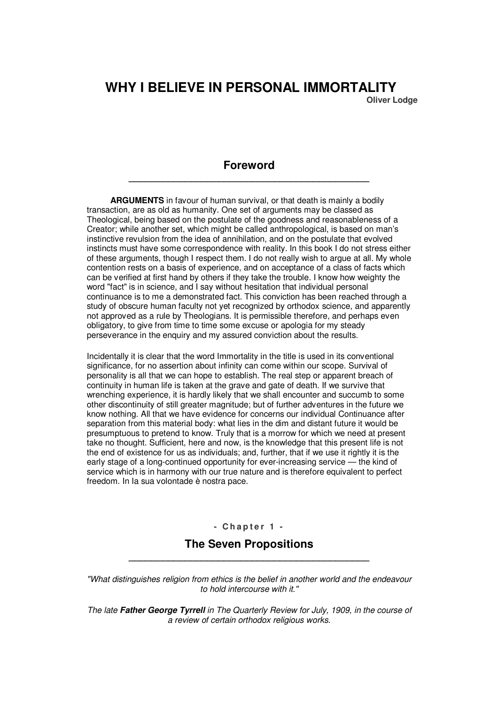# **WHY I BELIEVE IN PERSONAL IMMORTALITY Oliver Lodge**

# **Foreword \_\_\_\_\_\_\_\_\_\_\_\_\_\_\_\_\_\_\_\_\_\_\_\_\_\_\_\_\_\_\_\_\_\_\_\_\_\_\_\_\_\_\_**

**ARGUMENTS** in favour of human survival, or that death is mainly a bodily transaction, are as old as humanity. One set of arguments may be classed as Theological, being based on the postulate of the goodness and reasonableness of a Creator; while another set, which might be called anthropological, is based on man's instinctive revulsion from the idea of annihilation, and on the postulate that evolved instincts must have some correspondence with reality. In this book I do not stress either of these arguments, though I respect them. I do not really wish to argue at all. My whole contention rests on a basis of experience, and on acceptance of a class of facts which can be verified at first hand by others if they take the trouble. I know how weighty the word "fact" is in science, and I say without hesitation that individual personal continuance is to me a demonstrated fact. This conviction has been reached through a study of obscure human faculty not yet recognized by orthodox science, and apparently not approved as a rule by Theologians. It is permissible therefore, and perhaps even obligatory, to give from time to time some excuse or apologia for my steady perseverance in the enquiry and my assured conviction about the results.

Incidentally it is clear that the word Immortality in the title is used in its conventional significance, for no assertion about infinity can come within our scope. Survival of personality is all that we can hope to establish. The real step or apparent breach of continuity in human life is taken at the grave and gate of death. If we survive that wrenching experience, it is hardly likely that we shall encounter and succumb to some other discontinuity of still greater magnitude; but of further adventures in the future we know nothing. All that we have evidence for concerns our individual Continuance after separation from this material body: what lies in the dim and distant future it would be presumptuous to pretend to know. Truly that is a morrow for which we need at present take no thought. Sufficient, here and now, is the knowledge that this present life is not the end of existence for us as individuals; and, further, that if we use it rightly it is the early stage of a long-continued opportunity for ever-increasing service — the kind of service which is in harmony with our true nature and is therefore equivalent to perfect freedom. In Ia sua volontade è nostra pace.

### **- C h a p t e r 1 -**

## **The Seven Propositions \_\_\_\_\_\_\_\_\_\_\_\_\_\_\_\_\_\_\_\_\_\_\_\_\_\_\_\_\_\_\_\_\_\_\_\_\_\_\_\_\_\_\_**

*"What distinguishes religion from ethics is the belief in another world and the endeavour to hold intercourse with it."*

*The late Father George Tyrrell in The Quarterly Review for July, 1909, in the course of a review of certain orthodox religious works.*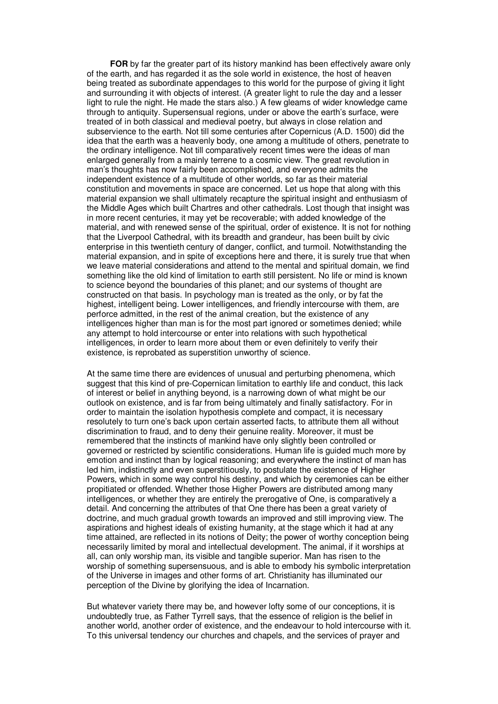**FOR** by far the greater part of its history mankind has been effectively aware only of the earth, and has regarded it as the sole world in existence, the host of heaven being treated as subordinate appendages to this world for the purpose of giving it light and surrounding it with objects of interest. (A greater light to rule the day and a lesser light to rule the night. He made the stars also.) A few gleams of wider knowledge came through to antiquity. Supersensual regions, under or above the earth's surface, were treated of in both classical and medieval poetry, but always in close relation and subservience to the earth. Not till some centuries after Copernicus (A.D. 1500) did the idea that the earth was a heavenly body, one among a multitude of others, penetrate to the ordinary intelligence. Not till comparatively recent times were the ideas of man enlarged generally from a mainly terrene to a cosmic view. The great revolution in man's thoughts has now fairly been accomplished, and everyone admits the independent existence of a multitude of other worlds, so far as their material constitution and movements in space are concerned. Let us hope that along with this material expansion we shall ultimately recapture the spiritual insight and enthusiasm of the Middle Ages which built Chartres and other cathedrals. Lost though that insight was in more recent centuries, it may yet be recoverable; with added knowledge of the material, and with renewed sense of the spiritual, order of existence. It is not for nothing that the Liverpool Cathedral, with its breadth and grandeur, has been built by civic enterprise in this twentieth century of danger, conflict, and turmoil. Notwithstanding the material expansion, and in spite of exceptions here and there, it is surely true that when we leave material considerations and attend to the mental and spiritual domain, we find something like the old kind of limitation to earth still persistent. No life or mind is known to science beyond the boundaries of this planet; and our systems of thought are constructed on that basis. In psychology man is treated as the only, or by fat the highest, intelligent being. Lower intelligences, and friendly intercourse with them, are perforce admitted, in the rest of the animal creation, but the existence of any intelligences higher than man is for the most part ignored or sometimes denied; while any attempt to hold intercourse or enter into relations with such hypothetical intelligences, in order to learn more about them or even definitely to verify their existence, is reprobated as superstition unworthy of science.

At the same time there are evidences of unusual and perturbing phenomena, which suggest that this kind of pre-Copernican limitation to earthly life and conduct, this lack of interest or belief in anything beyond, is a narrowing down of what might be our outlook on existence, and is far from being ultimately and finally satisfactory. For in order to maintain the isolation hypothesis complete and compact, it is necessary resolutely to turn one's back upon certain asserted facts, to attribute them all without discrimination to fraud, and to deny their genuine reality. Moreover, it must be remembered that the instincts of mankind have only slightly been controlled or governed or restricted by scientific considerations. Human life is guided much more by emotion and instinct than by logical reasoning; and everywhere the instinct of man has led him, indistinctly and even superstitiously, to postulate the existence of Higher Powers, which in some way control his destiny, and which by ceremonies can be either propitiated or offended. Whether those Higher Powers are distributed among many intelligences, or whether they are entirely the prerogative of One, is comparatively a detail. And concerning the attributes of that One there has been a great variety of doctrine, and much gradual growth towards an improved and still improving view. The aspirations and highest ideals of existing humanity, at the stage which it had at any time attained, are reflected in its notions of Deity; the power of worthy conception being necessarily limited by moral and intellectual development. The animal, if it worships at all, can only worship man, its visible and tangible superior. Man has risen to the worship of something supersensuous, and is able to embody his symbolic interpretation of the Universe in images and other forms of art. Christianity has illuminated our perception of the Divine by glorifying the idea of Incarnation.

But whatever variety there may be, and however lofty some of our conceptions, it is undoubtedly true, as Father Tyrrell says, that the essence of religion is the belief in another world, another order of existence, and the endeavour to hold intercourse with it. To this universal tendency our churches and chapels, and the services of prayer and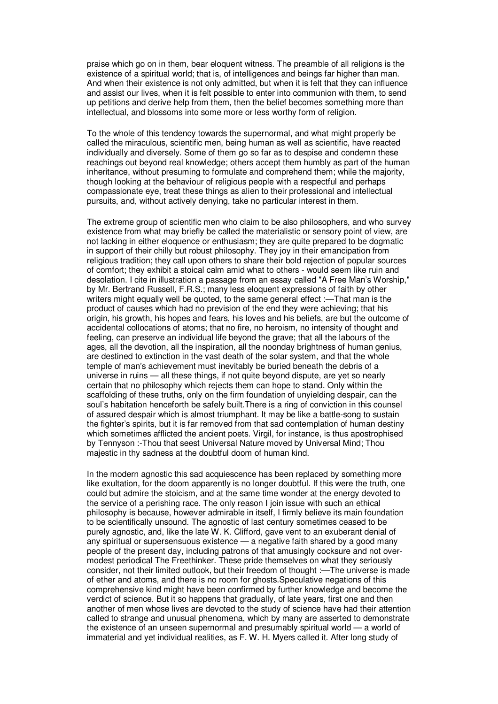praise which go on in them, bear eloquent witness. The preamble of all religions is the existence of a spiritual world; that is, of intelligences and beings far higher than man. And when their existence is not only admitted, but when it is felt that they can influence and assist our lives, when it is felt possible to enter into communion with them, to send up petitions and derive help from them, then the belief becomes something more than intellectual, and blossoms into some more or less worthy form of religion.

To the whole of this tendency towards the supernormal, and what might properly be called the miraculous, scientific men, being human as well as scientific, have reacted individually and diversely. Some of them go so far as to despise and condemn these reachings out beyond real knowledge; others accept them humbly as part of the human inheritance, without presuming to formulate and comprehend them; while the majority, though looking at the behaviour of religious people with a respectful and perhaps compassionate eye, treat these things as alien to their professional and intellectual pursuits, and, without actively denying, take no particular interest in them.

The extreme group of scientific men who claim to be also philosophers, and who survey existence from what may briefly be called the materialistic or sensory point of view, are not lacking in either eloquence or enthusiasm; they are quite prepared to be dogmatic in support of their chilly but robust philosophy. They joy in their emancipation from religious tradition; they call upon others to share their bold rejection of popular sources of comfort; they exhibit a stoical calm amid what to others - would seem like ruin and desolation. I cite in illustration a passage from an essay called "A Free Man's Worship," by Mr. Bertrand Russell, F.R.S.; many less eloquent expressions of faith by other writers might equally well be quoted, to the same general effect :—That man is the product of causes which had no prevision of the end they were achieving; that his origin, his growth, his hopes and fears, his loves and his beliefs, are but the outcome of accidental collocations of atoms; that no fire, no heroism, no intensity of thought and feeling, can preserve an individual life beyond the grave; that all the labours of the ages, all the devotion, all the inspiration, all the noonday brightness of human genius, are destined to extinction in the vast death of the solar system, and that the whole temple of man's achievement must inevitably be buried beneath the debris of a universe in ruins — all these things, if not quite beyond dispute, are yet so nearly certain that no philosophy which rejects them can hope to stand. Only within the scaffolding of these truths, only on the firm foundation of unyielding despair, can the soul's habitation henceforth be safely built.There is a ring of conviction in this counsel of assured despair which is almost triumphant. It may be like a battle-song to sustain the fighter's spirits, but it is far removed from that sad contemplation of human destiny which sometimes afflicted the ancient poets. Virgil, for instance, is thus apostrophised by Tennyson :-Thou that seest Universal Nature moved by Universal Mind; Thou majestic in thy sadness at the doubtful doom of human kind.

In the modern agnostic this sad acquiescence has been replaced by something more like exultation, for the doom apparently is no longer doubtful. If this were the truth, one could but admire the stoicism, and at the same time wonder at the energy devoted to the service of a perishing race. The only reason I join issue with such an ethical philosophy is because, however admirable in itself, I firmly believe its main foundation to be scientifically unsound. The agnostic of last century sometimes ceased to be purely agnostic, and, like the late W. K. Clifford, gave vent to an exuberant denial of any spiritual or supersensuous existence — a negative faith shared by a good many people of the present day, including patrons of that amusingly cocksure and not overmodest periodical The Freethinker. These pride themselves on what they seriously consider, not their limited outlook, but their freedom of thought :—The universe is made of ether and atoms, and there is no room for ghosts.Speculative negations of this comprehensive kind might have been confirmed by further knowledge and become the verdict of science. But it so happens that gradually, of late years, first one and then another of men whose lives are devoted to the study of science have had their attention called to strange and unusual phenomena, which by many are asserted to demonstrate the existence of an unseen supernormal and presumably spiritual world — a world of immaterial and yet individual realities, as F. W. H. Myers called it. After long study of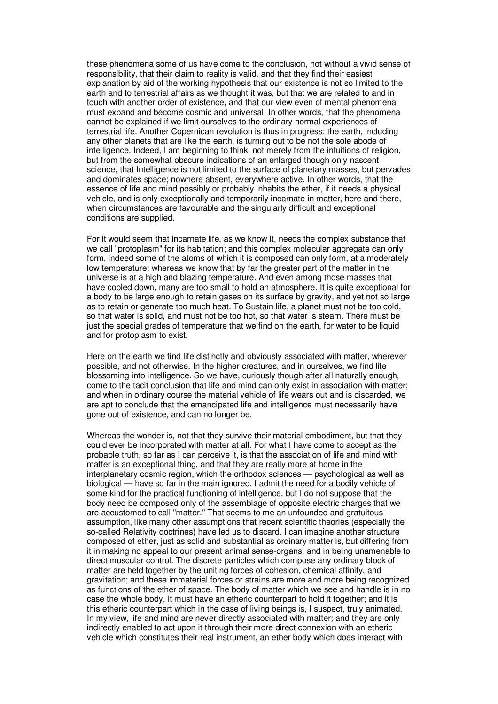these phenomena some of us have come to the conclusion, not without a vivid sense of responsibility, that their claim to reality is valid, and that they find their easiest explanation by aid of the working hypothesis that our existence is not so limited to the earth and to terrestrial affairs as we thought it was, but that we are related to and in touch with another order of existence, and that our view even of mental phenomena must expand and become cosmic and universal. In other words, that the phenomena cannot be explained if we limit ourselves to the ordinary normal experiences of terrestrial life. Another Copernican revolution is thus in progress: the earth, including any other planets that are like the earth, is turning out to be not the sole abode of intelligence. Indeed, I am beginning to think, not merely from the intuitions of religion, but from the somewhat obscure indications of an enlarged though only nascent science, that Intelligence is not limited to the surface of planetary masses, but pervades and dominates space; nowhere absent, everywhere active. In other words, that the essence of life and mind possibly or probably inhabits the ether, if it needs a physical vehicle, and is only exceptionally and temporarily incarnate in matter, here and there, when circumstances are favourable and the singularly difficult and exceptional conditions are supplied.

For it would seem that incarnate life, as we know it, needs the complex substance that we call "protoplasm" for its habitation; and this complex molecular aggregate can only form, indeed some of the atoms of which it is composed can only form, at a moderately low temperature: whereas we know that by far the greater part of the matter in the universe is at a high and blazing temperature. And even among those masses that have cooled down, many are too small to hold an atmosphere. It is quite exceptional for a body to be large enough to retain gases on its surface by gravity, and yet not so large as to retain or generate too much heat. To Sustain life, a planet must not be too cold, so that water is solid, and must not be too hot, so that water is steam. There must be just the special grades of temperature that we find on the earth, for water to be liquid and for protoplasm to exist.

Here on the earth we find life distinctly and obviously associated with matter, wherever possible, and not otherwise. In the higher creatures, and in ourselves, we find life blossoming into intelligence. So we have, curiously though after all naturally enough, come to the tacit conclusion that life and mind can only exist in association with matter; and when in ordinary course the material vehicle of life wears out and is discarded, we are apt to conclude that the emancipated life and intelligence must necessarily have gone out of existence, and can no longer be.

Whereas the wonder is, not that they survive their material embodiment, but that they could ever be incorporated with matter at all. For what I have come to accept as the probable truth, so far as I can perceive it, is that the association of life and mind with matter is an exceptional thing, and that they are really more at home in the interplanetary cosmic region, which the orthodox sciences — psychological as well as biological — have so far in the main ignored. I admit the need for a bodily vehicle of some kind for the practical functioning of intelligence, but I do not suppose that the body need be composed only of the assemblage of opposite electric charges that we are accustomed to call "matter." That seems to me an unfounded and gratuitous assumption, like many other assumptions that recent scientific theories (especially the so-called Relativity doctrines) have led us to discard. I can imagine another structure composed of ether, just as solid and substantial as ordinary matter is, but differing from it in making no appeal to our present animal sense-organs, and in being unamenable to direct muscular control. The discrete particles which compose any ordinary block of matter are held together by the uniting forces of cohesion, chemical affinity, and gravitation; and these immaterial forces or strains are more and more being recognized as functions of the ether of space. The body of matter which we see and handle is in no case the whole body, it must have an etheric counterpart to hold it together; and it is this etheric counterpart which in the case of living beings is, I suspect, truly animated. In my view, life and mind are never directly associated with matter; and they are only indirectly enabled to act upon it through their more direct connexion with an etheric vehicle which constitutes their real instrument, an ether body which does interact with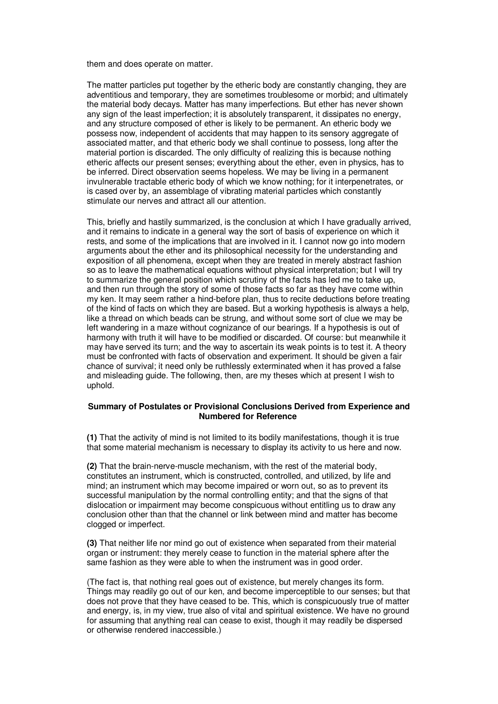them and does operate on matter.

The matter particles put together by the etheric body are constantly changing, they are adventitious and temporary, they are sometimes troublesome or morbid; and ultimately the material body decays. Matter has many imperfections. But ether has never shown any sign of the least imperfection; it is absolutely transparent, it dissipates no energy, and any structure composed of ether is likely to be permanent. An etheric body we possess now, independent of accidents that may happen to its sensory aggregate of associated matter, and that etheric body we shall continue to possess, long after the material portion is discarded. The only difficulty of realizing this is because nothing etheric affects our present senses; everything about the ether, even in physics, has to be inferred. Direct observation seems hopeless. We may be living in a permanent invulnerable tractable etheric body of which we know nothing; for it interpenetrates, or is cased over by, an assemblage of vibrating material particles which constantly stimulate our nerves and attract all our attention.

This, briefly and hastily summarized, is the conclusion at which I have gradually arrived, and it remains to indicate in a general way the sort of basis of experience on which it rests, and some of the implications that are involved in it. I cannot now go into modern arguments about the ether and its philosophical necessity for the understanding and exposition of all phenomena, except when they are treated in merely abstract fashion so as to leave the mathematical equations without physical interpretation; but I will try to summarize the general position which scrutiny of the facts has led me to take up, and then run through the story of some of those facts so far as they have come within my ken. It may seem rather a hind-before plan, thus to recite deductions before treating of the kind of facts on which they are based. But a working hypothesis is always a help, like a thread on which beads can be strung, and without some sort of clue we may be left wandering in a maze without cognizance of our bearings. If a hypothesis is out of harmony with truth it will have to be modified or discarded. Of course: but meanwhile it may have served its turn; and the way to ascertain its weak points is to test it. A theory must be confronted with facts of observation and experiment. It should be given a fair chance of survival; it need only be ruthlessly exterminated when it has proved a false and misleading guide. The following, then, are my theses which at present I wish to uphold.

### **Summary of Postulates or Provisional Conclusions Derived from Experience and Numbered for Reference**

**(1)** That the activity of mind is not limited to its bodily manifestations, though it is true that some material mechanism is necessary to display its activity to us here and now.

**(2)** That the brain-nerve-muscle mechanism, with the rest of the material body, constitutes an instrument, which is constructed, controlled, and utilized, by life and mind; an instrument which may become impaired or worn out, so as to prevent its successful manipulation by the normal controlling entity; and that the signs of that dislocation or impairment may become conspicuous without entitling us to draw any conclusion other than that the channel or link between mind and matter has become clogged or imperfect.

**(3)** That neither life nor mind go out of existence when separated from their material organ or instrument: they merely cease to function in the material sphere after the same fashion as they were able to when the instrument was in good order.

(The fact is, that nothing real goes out of existence, but merely changes its form. Things may readily go out of our ken, and become imperceptible to our senses; but that does not prove that they have ceased to be. This, which is conspicuously true of matter and energy, is, in my view, true also of vital and spiritual existence. We have no ground for assuming that anything real can cease to exist, though it may readily be dispersed or otherwise rendered inaccessible.)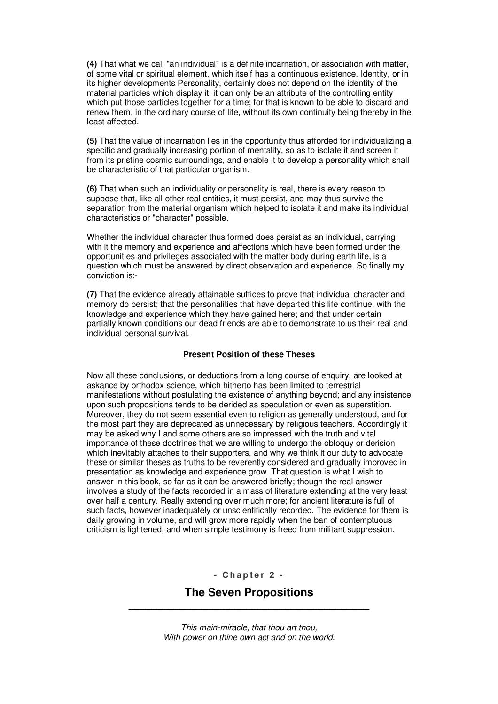**(4)** That what we call "an individual" is a definite incarnation, or association with matter, of some vital or spiritual element, which itself has a continuous existence. Identity, or in its higher developments Personality, certainly does not depend on the identity of the material particles which display it; it can only be an attribute of the controlling entity which put those particles together for a time; for that is known to be able to discard and renew them, in the ordinary course of life, without its own continuity being thereby in the least affected.

**(5)** That the value of incarnation lies in the opportunity thus afforded for individualizing a specific and gradually increasing portion of mentality, so as to isolate it and screen it from its pristine cosmic surroundings, and enable it to develop a personality which shall be characteristic of that particular organism.

**(6)** That when such an individuality or personality is real, there is every reason to suppose that, like all other real entities, it must persist, and may thus survive the separation from the material organism which helped to isolate it and make its individual characteristics or "character" possible.

Whether the individual character thus formed does persist as an individual, carrying with it the memory and experience and affections which have been formed under the opportunities and privileges associated with the matter body during earth life, is a question which must be answered by direct observation and experience. So finally my conviction is:-

**(7)** That the evidence already attainable suffices to prove that individual character and memory do persist; that the personalities that have departed this life continue, with the knowledge and experience which they have gained here; and that under certain partially known conditions our dead friends are able to demonstrate to us their real and individual personal survival.

### **Present Position of these Theses**

Now all these conclusions, or deductions from a long course of enquiry, are looked at askance by orthodox science, which hitherto has been limited to terrestrial manifestations without postulating the existence of anything beyond; and any insistence upon such propositions tends to be derided as speculation or even as superstition. Moreover, they do not seem essential even to religion as generally understood, and for the most part they are deprecated as unnecessary by religious teachers. Accordingly it may be asked why I and some others are so impressed with the truth and vital importance of these doctrines that we are willing to undergo the obloquy or derision which inevitably attaches to their supporters, and why we think it our duty to advocate these or similar theses as truths to be reverently considered and gradually improved in presentation as knowledge and experience grow. That question is what I wish to answer in this book, so far as it can be answered briefly; though the real answer involves a study of the facts recorded in a mass of literature extending at the very least over half a century. Really extending over much more; for ancient literature is full of such facts, however inadequately or unscientifically recorded. The evidence for them is daily growing in volume, and will grow more rapidly when the ban of contemptuous criticism is lightened, and when simple testimony is freed from militant suppression.

### **- C h a p t e r 2 -**

# **The Seven Propositions \_\_\_\_\_\_\_\_\_\_\_\_\_\_\_\_\_\_\_\_\_\_\_\_\_\_\_\_\_\_\_\_\_\_\_\_\_\_\_\_\_\_\_**

*This main-miracle, that thou art thou, With power on thine own act and on the world.*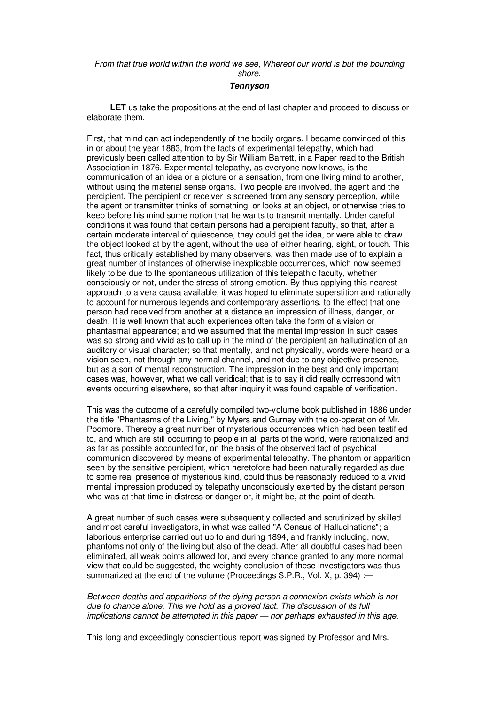*From that true world within the world we see, Whereof our world is but the bounding shore.*

#### *Tennyson*

**LET** us take the propositions at the end of last chapter and proceed to discuss or elaborate them.

First, that mind can act independently of the bodily organs. I became convinced of this in or about the year 1883, from the facts of experimental telepathy, which had previously been called attention to by Sir William Barrett, in a Paper read to the British Association in 1876. Experimental telepathy, as everyone now knows, is the communication of an idea or a picture or a sensation, from one living mind to another, without using the material sense organs. Two people are involved, the agent and the percipient. The percipient or receiver is screened from any sensory perception, while the agent or transmitter thinks of something, or looks at an object, or otherwise tries to keep before his mind some notion that he wants to transmit mentally. Under careful conditions it was found that certain persons had a percipient faculty, so that, after a certain moderate interval of quiescence, they could get the idea, or were able to draw the object looked at by the agent, without the use of either hearing, sight, or touch. This fact, thus critically established by many observers, was then made use of to explain a great number of instances of otherwise inexplicable occurrences, which now seemed likely to be due to the spontaneous utilization of this telepathic faculty, whether consciously or not, under the stress of strong emotion. By thus applying this nearest approach to a vera causa available, it was hoped to eliminate superstition and rationally to account for numerous legends and contemporary assertions, to the effect that one person had received from another at a distance an impression of illness, danger, or death. It is well known that such experiences often take the form of a vision or phantasmal appearance; and we assumed that the mental impression in such cases was so strong and vivid as to call up in the mind of the percipient an hallucination of an auditory or visual character; so that mentally, and not physically, words were heard or a vision seen, not through any normal channel, and not due to any objective presence, but as a sort of mental reconstruction. The impression in the best and only important cases was, however, what we call veridical; that is to say it did really correspond with events occurring elsewhere, so that after inquiry it was found capable of verification.

This was the outcome of a carefully compiled two-volume book published in 1886 under the title "Phantasms of the Living," by Myers and Gurney with the co-operation of Mr. Podmore. Thereby a great number of mysterious occurrences which had been testified to, and which are still occurring to people in all parts of the world, were rationalized and as far as possible accounted for, on the basis of the observed fact of psychical communion discovered by means of experimental telepathy. The phantom or apparition seen by the sensitive percipient, which heretofore had been naturally regarded as due to some real presence of mysterious kind, could thus be reasonably reduced to a vivid mental impression produced by telepathy unconsciously exerted by the distant person who was at that time in distress or danger or, it might be, at the point of death.

A great number of such cases were subsequently collected and scrutinized by skilled and most careful investigators, in what was called "A Census of Hallucinations"; a laborious enterprise carried out up to and during 1894, and frankly including, now, phantoms not only of the living but also of the dead. After all doubtful cases had been eliminated, all weak points allowed for, and every chance granted to any more normal view that could be suggested, the weighty conclusion of these investigators was thus summarized at the end of the volume (Proceedings S.P.R., Vol. X, p. 394) :-

*Between deaths and apparitions of the dying person a connexion exists which is not due to chance alone. This we hold as a proved fact. The discussion of its full implications cannot be attempted in this paper — nor perhaps exhausted in this age.*

This long and exceedingly conscientious report was signed by Professor and Mrs.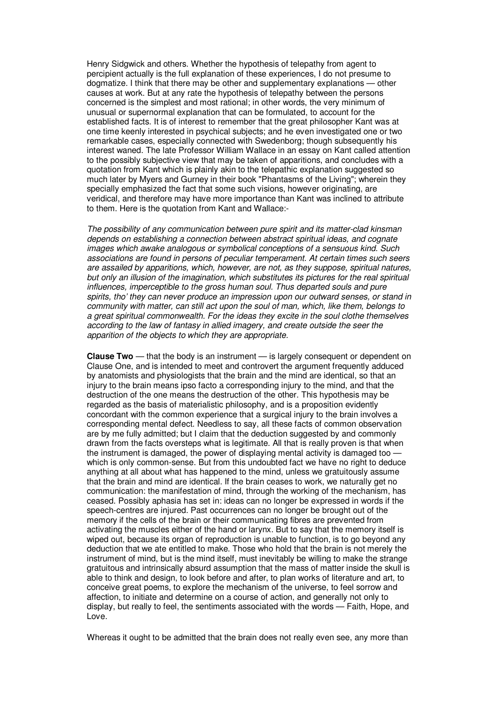Henry Sidgwick and others. Whether the hypothesis of telepathy from agent to percipient actually is the full explanation of these experiences, I do not presume to dogmatize. I think that there may be other and supplementary explanations — other causes at work. But at any rate the hypothesis of telepathy between the persons concerned is the simplest and most rational; in other words, the very minimum of unusual or supernormal explanation that can be formulated, to account for the established facts. It is of interest to remember that the great philosopher Kant was at one time keenly interested in psychical subjects; and he even investigated one or two remarkable cases, especially connected with Swedenborg; though subsequently his interest waned. The late Professor William Wallace in an essay on Kant called attention to the possibly subjective view that may be taken of apparitions, and concludes with a quotation from Kant which is plainly akin to the telepathic explanation suggested so much later by Myers and Gurney in their book "Phantasms of the Living"; wherein they specially emphasized the fact that some such visions, however originating, are veridical, and therefore may have more importance than Kant was inclined to attribute to them. Here is the quotation from Kant and Wallace:-

*The possibility of any communication between pure spirit and its matter-clad kinsman depends on establishing a connection between abstract spiritual ideas, and cognate images which awake analogous or symbolical conceptions of a sensuous kind. Such associations are found in persons of peculiar temperament. At certain times such seers are assailed by apparitions, which, however, are not, as they suppose, spiritual natures, but only an illusion of the imagination, which substitutes its pictures for the real spiritual influences, imperceptible to the gross human soul. Thus departed souls and pure spirits, tho' they can never produce an impression upon our outward senses, or stand in community with matter, can still act upon the soul of man, which, like them, belongs to a great spiritual commonwealth. For the ideas they excite in the soul clothe themselves according to the law of fantasy in allied imagery, and create outside the seer the apparition of the objects to which they are appropriate.*

**Clause Two** — that the body is an instrument — is largely consequent or dependent on Clause One, and is intended to meet and controvert the argument frequently adduced by anatomists and physiologists that the brain and the mind are identical, so that an injury to the brain means ipso facto a corresponding injury to the mind, and that the destruction of the one means the destruction of the other. This hypothesis may be regarded as the basis of materialistic philosophy, and is a proposition evidently concordant with the common experience that a surgical injury to the brain involves a corresponding mental defect. Needless to say, all these facts of common observation are by me fully admitted; but I claim that the deduction suggested by and commonly drawn from the facts oversteps what is legitimate. All that is really proven is that when the instrument is damaged, the power of displaying mental activity is damaged too which is only common-sense. But from this undoubted fact we have no right to deduce anything at all about what has happened to the mind, unless we gratuitously assume that the brain and mind are identical. If the brain ceases to work, we naturally get no communication: the manifestation of mind, through the working of the mechanism, has ceased. Possibly aphasia has set in: ideas can no longer be expressed in words if the speech-centres are injured. Past occurrences can no longer be brought out of the memory if the cells of the brain or their communicating fibres are prevented from activating the muscles either of the hand or larynx. But to say that the memory itself is wiped out, because its organ of reproduction is unable to function, is to go beyond any deduction that we ate entitled to make. Those who hold that the brain is not merely the instrument of mind, but is the mind itself, must inevitably be willing to make the strange gratuitous and intrinsically absurd assumption that the mass of matter inside the skull is able to think and design, to look before and after, to plan works of literature and art, to conceive great poems, to explore the mechanism of the universe, to feel sorrow and affection, to initiate and determine on a course of action, and generally not only to display, but really to feel, the sentiments associated with the words — Faith, Hope, and Love.

Whereas it ought to be admitted that the brain does not really even see, any more than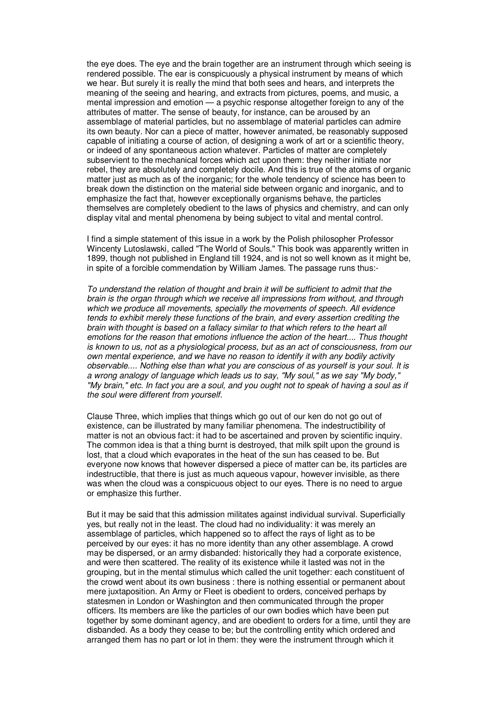the eye does. The eye and the brain together are an instrument through which seeing is rendered possible. The ear is conspicuously a physical instrument by means of which we hear. But surely it is really the mind that both sees and hears, and interprets the meaning of the seeing and hearing, and extracts from pictures, poems, and music, a mental impression and emotion — a psychic response altogether foreign to any of the attributes of matter. The sense of beauty, for instance, can be aroused by an assemblage of material particles, but no assemblage of material particles can admire its own beauty. Nor can a piece of matter, however animated, be reasonably supposed capable of initiating a course of action, of designing a work of art or a scientific theory, or indeed of any spontaneous action whatever. Particles of matter are completely subservient to the mechanical forces which act upon them: they neither initiate nor rebel, they are absolutely and completely docile. And this is true of the atoms of organic matter just as much as of the inorganic; for the whole tendency of science has been to break down the distinction on the material side between organic and inorganic, and to emphasize the fact that, however exceptionally organisms behave, the particles themselves are completely obedient to the laws of physics and chemistry, and can only display vital and mental phenomena by being subject to vital and mental control.

I find a simple statement of this issue in a work by the Polish philosopher Professor Wincenty Lutoslawski, called "The World of Souls." This book was apparently written in 1899, though not published in England till 1924, and is not so well known as it might be, in spite of a forcible commendation by William James. The passage runs thus:-

*To understand the relation of thought and brain it will be sufficient to admit that the brain is the organ through which we receive all impressions from without, and through which we produce all movements, specially the movements of speech. All evidence tends to exhibit merely these functions of the brain, and every assertion crediting the brain with thought is based on a fallacy similar to that which refers to the heart all emotions for the reason that emotions influence the action of the heart.... Thus thought is known to us, not as a physiological process, but as an act of consciousness, from our own mental experience, and we have no reason to identify it with any bodily activity observable.... Nothing else than what you are conscious of as yourself is your soul. It is a wrong analogy of language which leads us to say, "My soul," as we say "My body,"* "My brain," etc. In fact you are a soul, and you ought not to speak of having a soul as if *the soul were different from yourself.*

Clause Three, which implies that things which go out of our ken do not go out of existence, can be illustrated by many familiar phenomena. The indestructibility of matter is not an obvious fact: it had to be ascertained and proven by scientific inquiry. The common idea is that a thing burnt is destroyed, that milk spilt upon the ground is lost, that a cloud which evaporates in the heat of the sun has ceased to be. But everyone now knows that however dispersed a piece of matter can be, its particles are indestructible, that there is just as much aqueous vapour, however invisible, as there was when the cloud was a conspicuous object to our eyes. There is no need to argue or emphasize this further.

But it may be said that this admission militates against individual survival. Superficially yes, but really not in the least. The cloud had no individuality: it was merely an assemblage of particles, which happened so to affect the rays of light as to be perceived by our eyes: it has no more identity than any other assemblage. A crowd may be dispersed, or an army disbanded: historically they had a corporate existence, and were then scattered. The reality of its existence while it lasted was not in the grouping, but in the mental stimulus which called the unit together: each constituent of the crowd went about its own business : there is nothing essential or permanent about mere juxtaposition. An Army or Fleet is obedient to orders, conceived perhaps by statesmen in London or Washington and then communicated through the proper officers. Its members are like the particles of our own bodies which have been put together by some dominant agency, and are obedient to orders for a time, until they are disbanded. As a body they cease to be; but the controlling entity which ordered and arranged them has no part or lot in them: they were the instrument through which it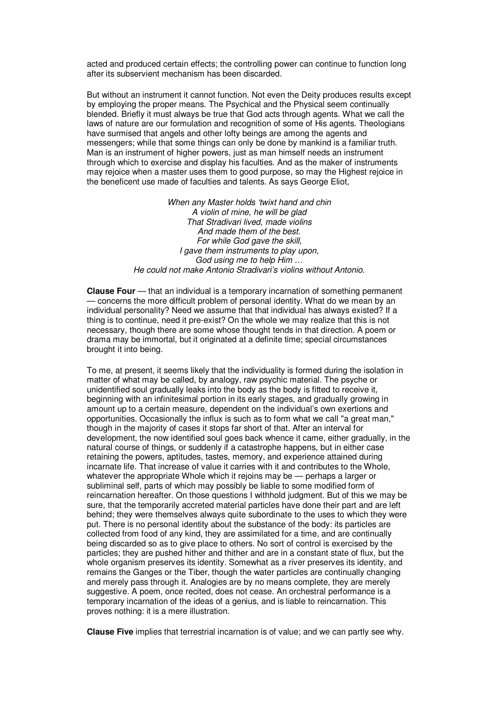acted and produced certain effects; the controlling power can continue to function long after its subservient mechanism has been discarded.

But without an instrument it cannot function. Not even the Deity produces results except by employing the proper means. The Psychical and the Physical seem continually blended. Briefly it must always be true that God acts through agents. What we call the laws of nature are our formulation and recognition of some of His agents. Theologians have surmised that angels and other lofty beings are among the agents and messengers; while that some things can only be done by mankind is a familiar truth. Man is an instrument of higher powers, just as man himself needs an instrument through which to exercise and display his faculties. And as the maker of instruments may rejoice when a master uses them to good purpose, so may the Highest rejoice in the beneficent use made of faculties and talents. As says George Eliot,

> *When any Master holds 'twixt hand and chin A violin of mine, he will be glad That Stradivari lived, made violins And made them of the best. For while God gave the skill, I gave them instruments to play upon, God using me to help Him … He could not make Antonio Stradivari's violins without Antonio.*

**Clause Four** — that an individual is a temporary incarnation of something permanent — concerns the more difficult problem of personal identity. What do we mean by an individual personality? Need we assume that that individual has always existed? If a thing is to continue, need it pre-exist? On the whole we may realize that this is not necessary, though there are some whose thought tends in that direction. A poem or drama may be immortal, but it originated at a definite time; special circumstances brought it into being.

To me, at present, it seems likely that the individuality is formed during the isolation in matter of what may be called, by analogy, raw psychic material. The psyche or unidentified soul gradually leaks into the body as the body is fitted to receive it, beginning with an infinitesimal portion in its early stages, and gradually growing in amount up to a certain measure, dependent on the individual's own exertions and opportunities. Occasionally the influx is such as to form what we call "a great man," though in the majority of cases it stops far short of that. After an interval for development, the now identified soul goes back whence it came, either gradually, in the natural course of things, or suddenly if a catastrophe happens, but in either case retaining the powers, aptitudes, tastes, memory, and experience attained during incarnate life. That increase of value it carries with it and contributes to the Whole, whatever the appropriate Whole which it rejoins may be — perhaps a larger or subliminal self, parts of which may possibly be liable to some modified form of reincarnation hereafter. On those questions I withhold judgment. But of this we may be sure, that the temporarily accreted material particles have done their part and are left behind; they were themselves always quite subordinate to the uses to which they were put. There is no personal identity about the substance of the body: its particles are collected from food of any kind, they are assimilated for a time, and are continually being discarded so as to give place to others. No sort of control is exercised by the particles; they are pushed hither and thither and are in a constant state of flux, but the whole organism preserves its identity. Somewhat as a river preserves its identity, and remains the Ganges or the Tiber, though the water particles are continually changing and merely pass through it. Analogies are by no means complete, they are merely suggestive. A poem, once recited, does not cease. An orchestral performance is a temporary incarnation of the ideas of a genius, and is liable to reincarnation. This proves nothing: it is a mere illustration.

**Clause Five** implies that terrestrial incarnation is of value; and we can partly see why.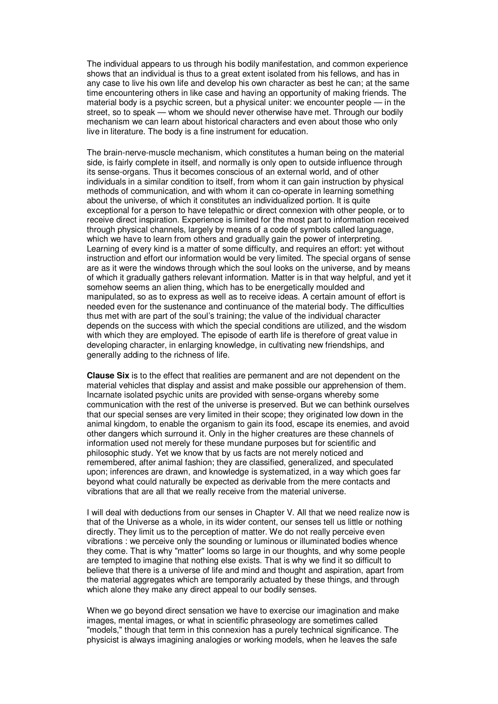The individual appears to us through his bodily manifestation, and common experience shows that an individual is thus to a great extent isolated from his fellows, and has in any case to live his own life and develop his own character as best he can; at the same time encountering others in like case and having an opportunity of making friends. The material body is a psychic screen, but a physical uniter: we encounter people — in the street, so to speak — whom we should never otherwise have met. Through our bodily mechanism we can learn about historical characters and even about those who only live in literature. The body is a fine instrument for education.

The brain-nerve-muscle mechanism, which constitutes a human being on the material side, is fairly complete in itself, and normally is only open to outside influence through its sense-organs. Thus it becomes conscious of an external world, and of other individuals in a similar condition to itself, from whom it can gain instruction by physical methods of communication, and with whom it can co-operate in learning something about the universe, of which it constitutes an individualized portion. It is quite exceptional for a person to have telepathic or direct connexion with other people, or to receive direct inspiration. Experience is limited for the most part to information received through physical channels, largely by means of a code of symbols called language, which we have to learn from others and gradually gain the power of interpreting. Learning of every kind is a matter of some difficulty, and requires an effort: yet without instruction and effort our information would be very limited. The special organs of sense are as it were the windows through which the soul looks on the universe, and by means of which it gradually gathers relevant information. Matter is in that way helpful, and yet it somehow seems an alien thing, which has to be energetically moulded and manipulated, so as to express as well as to receive ideas. A certain amount of effort is needed even for the sustenance and continuance of the material body. The difficulties thus met with are part of the soul's training; the value of the individual character depends on the success with which the special conditions are utilized, and the wisdom with which they are employed. The episode of earth life is therefore of great value in developing character, in enlarging knowledge, in cultivating new friendships, and generally adding to the richness of life.

**Clause Six** is to the effect that realities are permanent and are not dependent on the material vehicles that display and assist and make possible our apprehension of them. Incarnate isolated psychic units are provided with sense-organs whereby some communication with the rest of the universe is preserved. But we can bethink ourselves that our special senses are very limited in their scope; they originated low down in the animal kingdom, to enable the organism to gain its food, escape its enemies, and avoid other dangers which surround it. Only in the higher creatures are these channels of information used not merely for these mundane purposes but for scientific and philosophic study. Yet we know that by us facts are not merely noticed and remembered, after animal fashion; they are classified, generalized, and speculated upon; inferences are drawn, and knowledge is systematized, in a way which goes far beyond what could naturally be expected as derivable from the mere contacts and vibrations that are all that we really receive from the material universe.

I will deal with deductions from our senses in Chapter V. All that we need realize now is that of the Universe as a whole, in its wider content, our senses tell us little or nothing directly. They limit us to the perception of matter. We do not really perceive even vibrations : we perceive only the sounding or luminous or illuminated bodies whence they come. That is why "matter" looms so large in our thoughts, and why some people are tempted to imagine that nothing else exists. That is why we find it so difficult to believe that there is a universe of life and mind and thought and aspiration, apart from the material aggregates which are temporarily actuated by these things, and through which alone they make any direct appeal to our bodily senses.

When we go beyond direct sensation we have to exercise our imagination and make images, mental images, or what in scientific phraseology are sometimes called "models," though that term in this connexion has a purely technical significance. The physicist is always imagining analogies or working models, when he leaves the safe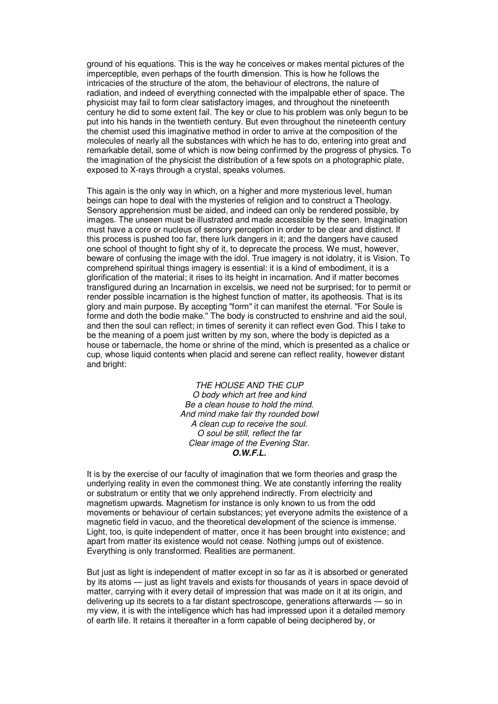ground of his equations. This is the way he conceives or makes mental pictures of the imperceptible, even perhaps of the fourth dimension. This is how he follows the intricacies of the structure of the atom, the behaviour of electrons, the nature of radiation, and indeed of everything connected with the impalpable ether of space. The physicist may fail to form clear satisfactory images, and throughout the nineteenth century he did to some extent fail. The key or clue to his problem was only begun to be put into his hands in the twentieth century. But even throughout the nineteenth century the chemist used this imaginative method in order to arrive at the composition of the molecules of nearly all the substances with which he has to do, entering into great and remarkable detail, some of which is now being confirmed by the progress of physics. To the imagination of the physicist the distribution of a few spots on a photographic plate, exposed to X-rays through a crystal, speaks volumes.

This again is the only way in which, on a higher and more mysterious level, human beings can hope to deal with the mysteries of religion and to construct a Theology. Sensory apprehension must be aided, and indeed can only be rendered possible, by images. The unseen must be illustrated and made accessible by the seen. Imagination must have a core or nucleus of sensory perception in order to be clear and distinct. If this process is pushed too far, there lurk dangers in it; and the dangers have caused one school of thought to fight shy of it, to deprecate the process. We must, however, beware of confusing the image with the idol. True imagery is not idolatry, it is Vision. To comprehend spiritual things imagery is essential: it is a kind of embodiment, it is a glorification of the material; it rises to its height in incarnation. And if matter becomes transfigured during an Incarnation in excelsis, we need not be surprised; for to permit or render possible incarnation is the highest function of matter, its apotheosis. That is its glory and main purpose. By accepting "form" it can manifest the eternal. "For Soule is forme and doth the bodie make." The body is constructed to enshrine and aid the soul, and then the soul can reflect; in times of serenity it can reflect even God. This I take to be the meaning of a poem just written by my son, where the body is depicted as a house or tabernacle, the home or shrine of the mind, which is presented as a chalice or cup, whose liquid contents when placid and serene can reflect reality, however distant and bright:

> *THE HOUSE AND THE CUP O body which art free and kind Be a clean house to hold the mind. And mind make fair thy rounded bowl A clean cup to receive the soul. O soul be still, reflect the far Clear image of the Evening Star. O.W.F.L.*

It is by the exercise of our faculty of imagination that we form theories and grasp the underlying reality in even the commonest thing. We ate constantly inferring the reality or substratum or entity that we only apprehend indirectly. From electricity and magnetism upwards. Magnetism for instance is only known to us from the odd movements or behaviour of certain substances; yet everyone admits the existence of a magnetic field in vacuo, and the theoretical development of the science is immense. Light, too, is quite independent of matter, once it has been brought into existence; and apart from matter its existence would not cease. Nothing jumps out of existence. Everything is only transformed. Realities are permanent.

But just as light is independent of matter except in so far as it is absorbed or generated by its atoms — just as light travels and exists for thousands of years in space devoid of matter, carrying with it every detail of impression that was made on it at its origin, and delivering up its secrets to a far distant spectroscope, generations afterwards — so in my view, it is with the intelligence which has had impressed upon it a detailed memory of earth life. It retains it thereafter in a form capable of being deciphered by, or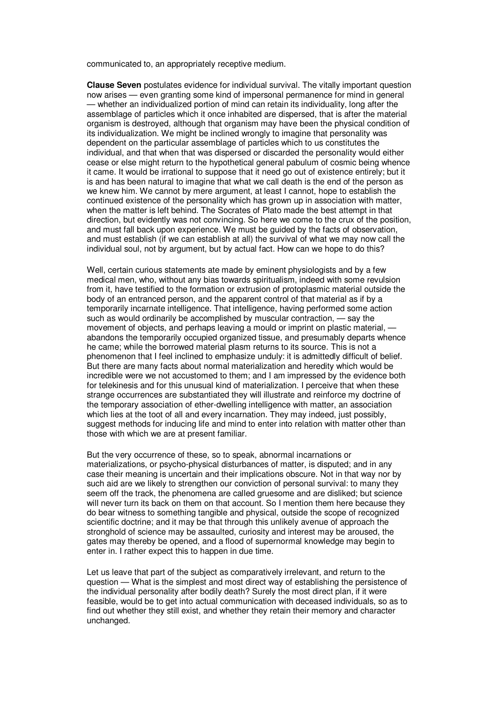communicated to, an appropriately receptive medium.

**Clause Seven** postulates evidence for individual survival. The vitally important question now arises — even granting some kind of impersonal permanence for mind in general — whether an individualized portion of mind can retain its individuality, long after the assemblage of particles which it once inhabited are dispersed, that is after the material organism is destroyed, although that organism may have been the physical condition of its individualization. We might be inclined wrongly to imagine that personality was dependent on the particular assemblage of particles which to us constitutes the individual, and that when that was dispersed or discarded the personality would either cease or else might return to the hypothetical general pabulum of cosmic being whence it came. It would be irrational to suppose that it need go out of existence entirely; but it is and has been natural to imagine that what we call death is the end of the person as we knew him. We cannot by mere argument, at least I cannot, hope to establish the continued existence of the personality which has grown up in association with matter, when the matter is left behind. The Socrates of Plato made the best attempt in that direction, but evidently was not convincing. So here we come to the crux of the position, and must fall back upon experience. We must be guided by the facts of observation, and must establish (if we can establish at all) the survival of what we may now call the individual soul, not by argument, but by actual fact. How can we hope to do this?

Well, certain curious statements ate made by eminent physiologists and by a few medical men, who, without any bias towards spiritualism, indeed with some revulsion from it, have testified to the formation or extrusion of protoplasmic material outside the body of an entranced person, and the apparent control of that material as if by a temporarily incarnate intelligence. That intelligence, having performed some action such as would ordinarily be accomplished by muscular contraction, — say the movement of objects, and perhaps leaving a mould or imprint on plastic material, abandons the temporarily occupied organized tissue, and presumably departs whence he came; while the borrowed material plasm returns to its source. This is not a phenomenon that I feel inclined to emphasize unduly: it is admittedly difficult of belief. But there are many facts about normal materialization and heredity which would be incredible were we not accustomed to them; and I am impressed by the evidence both for telekinesis and for this unusual kind of materialization. I perceive that when these strange occurrences are substantiated they will illustrate and reinforce my doctrine of the temporary association of ether-dwelling intelligence with matter, an association which lies at the toot of all and every incarnation. They may indeed, just possibly, suggest methods for inducing life and mind to enter into relation with matter other than those with which we are at present familiar.

But the very occurrence of these, so to speak, abnormal incarnations or materializations, or psycho-physical disturbances of matter, is disputed; and in any case their meaning is uncertain and their implications obscure. Not in that way nor by such aid are we likely to strengthen our conviction of personal survival: to many they seem off the track, the phenomena are called gruesome and are disliked; but science will never turn its back on them on that account. So I mention them here because they do bear witness to something tangible and physical, outside the scope of recognized scientific doctrine; and it may be that through this unlikely avenue of approach the stronghold of science may be assaulted, curiosity and interest may be aroused, the gates may thereby be opened, and a flood of supernormal knowledge may begin to enter in. I rather expect this to happen in due time.

Let us leave that part of the subject as comparatively irrelevant, and return to the question — What is the simplest and most direct way of establishing the persistence of the individual personality after bodily death? Surely the most direct plan, if it were feasible, would be to get into actual communication with deceased individuals, so as to find out whether they still exist, and whether they retain their memory and character unchanged.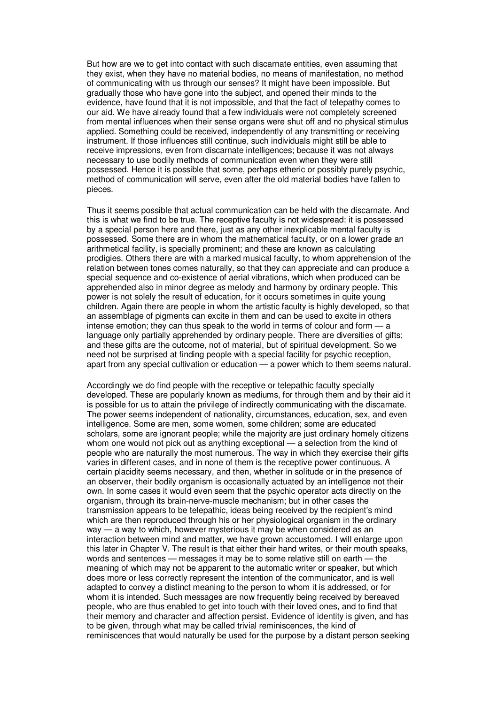But how are we to get into contact with such discarnate entities, even assuming that they exist, when they have no material bodies, no means of manifestation, no method of communicating with us through our senses? It might have been impossible. But gradually those who have gone into the subject, and opened their minds to the evidence, have found that it is not impossible, and that the fact of telepathy comes to our aid. We have already found that a few individuals were not completely screened from mental influences when their sense organs were shut off and no physical stimulus applied. Something could be received, independently of any transmitting or receiving instrument. If those influences still continue, such individuals might still be able to receive impressions, even from discarnate intelligences; because it was not always necessary to use bodily methods of communication even when they were still possessed. Hence it is possible that some, perhaps etheric or possibly purely psychic, method of communication will serve, even after the old material bodies have fallen to pieces.

Thus it seems possible that actual communication can be held with the discarnate. And this is what we find to be true. The receptive faculty is not widespread: it is possessed by a special person here and there, just as any other inexplicable mental faculty is possessed. Some there are in whom the mathematical faculty, or on a lower grade an arithmetical facility, is specially prominent; and these are known as calculating prodigies. Others there are with a marked musical faculty, to whom apprehension of the relation between tones comes naturally, so that they can appreciate and can produce a special sequence and co-existence of aerial vibrations, which when produced can be apprehended also in minor degree as melody and harmony by ordinary people. This power is not solely the result of education, for it occurs sometimes in quite young children. Again there are people in whom the artistic faculty is highly developed, so that an assemblage of pigments can excite in them and can be used to excite in others intense emotion; they can thus speak to the world in terms of colour and form — a language only partially apprehended by ordinary people. There are diversities of gifts; and these gifts are the outcome, not of material, but of spiritual development. So we need not be surprised at finding people with a special facility for psychic reception, apart from any special cultivation or education — a power which to them seems natural.

Accordingly we do find people with the receptive or telepathic faculty specially developed. These are popularly known as mediums, for through them and by their aid it is possible for us to attain the privilege of indirectly communicating with the discarnate. The power seems independent of nationality, circumstances, education, sex, and even intelligence. Some are men, some women, some children; some are educated scholars, some are ignorant people; while the majority are just ordinary homely citizens whom one would not pick out as anything exceptional — a selection from the kind of people who are naturally the most numerous. The way in which they exercise their gifts varies in different cases, and in none of them is the receptive power continuous. A certain placidity seems necessary, and then, whether in solitude or in the presence of an observer, their bodily organism is occasionally actuated by an intelligence not their own. In some cases it would even seem that the psychic operator acts directly on the organism, through its brain-nerve-muscle mechanism; but in other cases the transmission appears to be telepathic, ideas being received by the recipient's mind which are then reproduced through his or her physiological organism in the ordinary way — a way to which, however mysterious it may be when considered as an interaction between mind and matter, we have grown accustomed. I will enlarge upon this later in Chapter V. The result is that either their hand writes, or their mouth speaks, words and sentences — messages it may be to some relative still on earth — the meaning of which may not be apparent to the automatic writer or speaker, but which does more or less correctly represent the intention of the communicator, and is well adapted to convey a distinct meaning to the person to whom it is addressed, or for whom it is intended. Such messages are now frequently being received by bereaved people, who are thus enabled to get into touch with their loved ones, and to find that their memory and character and affection persist. Evidence of identity is given, and has to be given, through what may be called trivial reminiscences, the kind of reminiscences that would naturally be used for the purpose by a distant person seeking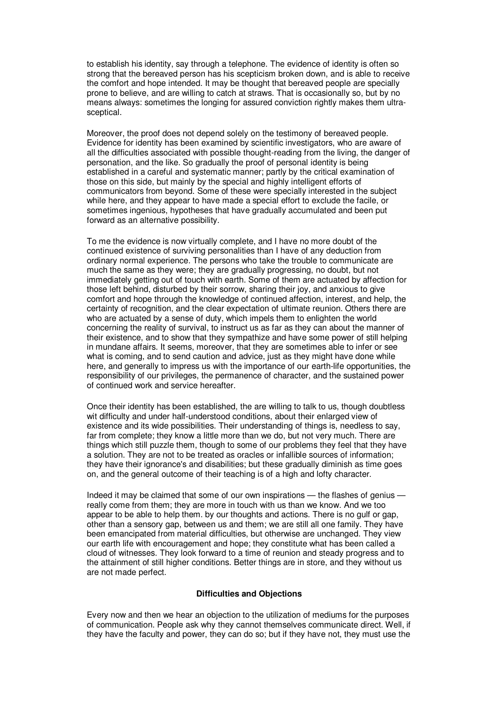to establish his identity, say through a telephone. The evidence of identity is often so strong that the bereaved person has his scepticism broken down, and is able to receive the comfort and hope intended. It may be thought that bereaved people are specially prone to believe, and are willing to catch at straws. That is occasionally so, but by no means always: sometimes the longing for assured conviction rightly makes them ultrasceptical.

Moreover, the proof does not depend solely on the testimony of bereaved people. Evidence for identity has been examined by scientific investigators, who are aware of all the difficulties associated with possible thought-reading from the living, the danger of personation, and the like. So gradually the proof of personal identity is being established in a careful and systematic manner; partly by the critical examination of those on this side, but mainly by the special and highly intelligent efforts of communicators from beyond. Some of these were specially interested in the subject while here, and they appear to have made a special effort to exclude the facile, or sometimes ingenious, hypotheses that have gradually accumulated and been put forward as an alternative possibility.

To me the evidence is now virtually complete, and I have no more doubt of the continued existence of surviving personalities than I have of any deduction from ordinary normal experience. The persons who take the trouble to communicate are much the same as they were; they are gradually progressing, no doubt, but not immediately getting out of touch with earth. Some of them are actuated by affection for those left behind, disturbed by their sorrow, sharing their joy, and anxious to give comfort and hope through the knowledge of continued affection, interest, and help, the certainty of recognition, and the clear expectation of ultimate reunion. Others there are who are actuated by a sense of duty, which impels them to enlighten the world concerning the reality of survival, to instruct us as far as they can about the manner of their existence, and to show that they sympathize and have some power of still helping in mundane affairs. It seems, moreover, that they are sometimes able to infer or see what is coming, and to send caution and advice, just as they might have done while here, and generally to impress us with the importance of our earth-life opportunities, the responsibility of our privileges, the permanence of character, and the sustained power of continued work and service hereafter.

Once their identity has been established, the are willing to talk to us, though doubtless wit difficulty and under half-understood conditions, about their enlarged view of existence and its wide possibilities. Their understanding of things is, needless to say, far from complete; they know a little more than we do, but not very much. There are things which still puzzle them, though to some of our problems they feel that they have a solution. They are not to be treated as oracles or infallible sources of information; they have their ignorance's and disabilities; but these gradually diminish as time goes on, and the general outcome of their teaching is of a high and lofty character.

Indeed it may be claimed that some of our own inspirations — the flashes of genius really come from them; they are more in touch with us than we know. And we too appear to be able to help them. by our thoughts and actions. There is no gulf or gap, other than a sensory gap, between us and them; we are still all one family. They have been emancipated from material difficulties, but otherwise are unchanged. They view our earth life with encouragement and hope; they constitute what has been called a cloud of witnesses. They look forward to a time of reunion and steady progress and to the attainment of still higher conditions. Better things are in store, and they without us are not made perfect.

#### **Difficulties and Objections**

Every now and then we hear an objection to the utilization of mediums for the purposes of communication. People ask why they cannot themselves communicate direct. Well, if they have the faculty and power, they can do so; but if they have not, they must use the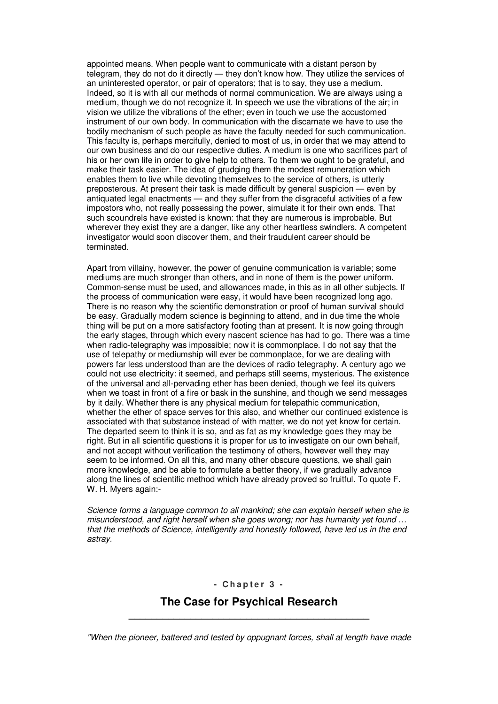appointed means. When people want to communicate with a distant person by telegram, they do not do it directly — they don't know how. They utilize the services of an uninterested operator, or pair of operators; that is to say, they use a medium. Indeed, so it is with all our methods of normal communication. We are always using a medium, though we do not recognize it. In speech we use the vibrations of the air; in vision we utilize the vibrations of the ether; even in touch we use the accustomed instrument of our own body. In communication with the discarnate we have to use the bodily mechanism of such people as have the faculty needed for such communication. This faculty is, perhaps mercifully, denied to most of us, in order that we may attend to our own business and do our respective duties. A medium is one who sacrifices part of his or her own life in order to give help to others. To them we ought to be grateful, and make their task easier. The idea of grudging them the modest remuneration which enables them to live while devoting themselves to the service of others, is utterly preposterous. At present their task is made difficult by general suspicion — even by antiquated legal enactments  $-$  and they suffer from the disgraceful activities of a few impostors who, not really possessing the power, simulate it for their own ends. That such scoundrels have existed is known: that they are numerous is improbable. But wherever they exist they are a danger, like any other heartless swindlers. A competent investigator would soon discover them, and their fraudulent career should be terminated.

Apart from villainy, however, the power of genuine communication is variable; some mediums are much stronger than others, and in none of them is the power uniform. Common-sense must be used, and allowances made, in this as in all other subjects. If the process of communication were easy, it would have been recognized long ago. There is no reason why the scientific demonstration or proof of human survival should be easy. Gradually modern science is beginning to attend, and in due time the whole thing will be put on a more satisfactory footing than at present. It is now going through the early stages, through which every nascent science has had to go. There was a time when radio-telegraphy was impossible; now it is commonplace. I do not say that the use of telepathy or mediumship will ever be commonplace, for we are dealing with powers far less understood than are the devices of radio telegraphy. A century ago we could not use electricity: it seemed, and perhaps still seems, mysterious. The existence of the universal and all-pervading ether has been denied, though we feel its quivers when we toast in front of a fire or bask in the sunshine, and though we send messages by it daily. Whether there is any physical medium for telepathic communication, whether the ether of space serves for this also, and whether our continued existence is associated with that substance instead of with matter, we do not yet know for certain. The departed seem to think it is so, and as fat as my knowledge goes they may be right. But in all scientific questions it is proper for us to investigate on our own behalf, and not accept without verification the testimony of others, however well they may seem to be informed. On all this, and many other obscure questions, we shall gain more knowledge, and be able to formulate a better theory, if we gradually advance along the lines of scientific method which have already proved so fruitful. To quote F. W. H. Myers again:-

*Science forms a language common to all mankind; she can explain herself when she is misunderstood, and right herself when she goes wrong; nor has humanity yet found … that the methods of Science, intelligently and honestly followed, have led us in the end astray.*

## **- C h a p t e r 3 -**

# **The Case for Psychical Research \_\_\_\_\_\_\_\_\_\_\_\_\_\_\_\_\_\_\_\_\_\_\_\_\_\_\_\_\_\_\_\_\_\_\_\_\_\_\_\_\_\_\_**

*"When the pioneer, battered and tested by oppugnant forces, shall at length have made*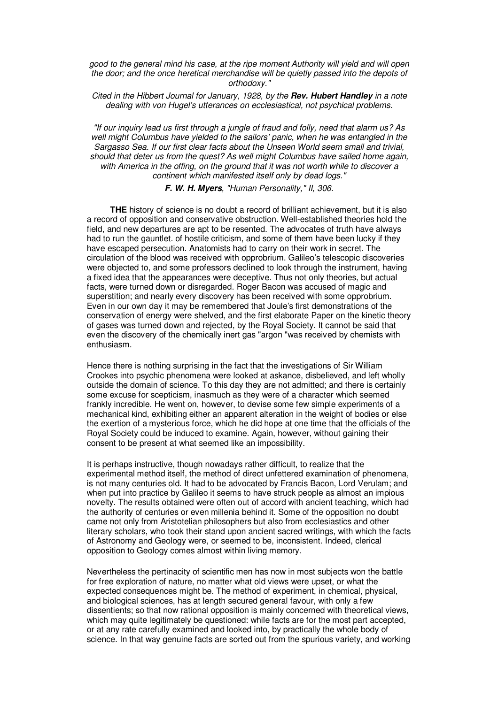### *good to the general mind his case, at the ripe moment Authority will yield and will open the door; and the once heretical merchandise will be quietly passed into the depots of orthodoxy."*

*Cited in the Hibbert Journal for January, 1928, by the Rev. Hubert Handley in a note dealing with von Hugel's utterances on ecclesiastical, not psychical problems.*

*"If our inquiry lead us first through a jungle of fraud and folly, need that alarm us? As well might Columbus have yielded to the sailors' panic, when he was entangled in the Sargasso Sea. If our first clear facts about the Unseen World seem small and trivial, should that deter us from the quest? As well might Columbus have sailed home again, with America in the offing, on the ground that it was not worth while to discover a continent which manifested itself only by dead logs."*

*F. W. H. Myers, "Human Personality," II, 306.*

**THE** history of science is no doubt a record of brilliant achievement, but it is also a record of opposition and conservative obstruction. Well-established theories hold the field, and new departures are apt to be resented. The advocates of truth have always had to run the gauntlet. of hostile criticism, and some of them have been lucky if they have escaped persecution. Anatomists had to carry on their work in secret. The circulation of the blood was received with opprobrium. Galileo's telescopic discoveries were objected to, and some professors declined to look through the instrument, having a fixed idea that the appearances were deceptive. Thus not only theories, but actual facts, were turned down or disregarded. Roger Bacon was accused of magic and superstition; and nearly every discovery has been received with some opprobrium. Even in our own day it may be remembered that Joule's first demonstrations of the conservation of energy were shelved, and the first elaborate Paper on the kinetic theory of gases was turned down and rejected, by the Royal Society. It cannot be said that even the discovery of the chemically inert gas "argon "was received by chemists with enthusiasm.

Hence there is nothing surprising in the fact that the investigations of Sir William Crookes into psychic phenomena were looked at askance, disbelieved, and left wholly outside the domain of science. To this day they are not admitted; and there is certainly some excuse for scepticism, inasmuch as they were of a character which seemed frankly incredible. He went on, however, to devise some few simple experiments of a mechanical kind, exhibiting either an apparent alteration in the weight of bodies or else the exertion of a mysterious force, which he did hope at one time that the officials of the Royal Society could be induced to examine. Again, however, without gaining their consent to be present at what seemed like an impossibility.

It is perhaps instructive, though nowadays rather difficult, to realize that the experimental method itself, the method of direct unfettered examination of phenomena, is not many centuries old. It had to be advocated by Francis Bacon, Lord Verulam; and when put into practice by Galileo it seems to have struck people as almost an impious novelty. The results obtained were often out of accord with ancient teaching, which had the authority of centuries or even millenia behind it. Some of the opposition no doubt came not only from Aristotelian philosophers but also from ecclesiastics and other literary scholars, who took their stand upon ancient sacred writings, with which the facts of Astronomy and Geology were, or seemed to be, inconsistent. Indeed, clerical opposition to Geology comes almost within living memory.

Nevertheless the pertinacity of scientific men has now in most subjects won the battle for free exploration of nature, no matter what old views were upset, or what the expected consequences might be. The method of experiment, in chemical, physical, and biological sciences, has at length secured general favour, with only a few dissentients; so that now rational opposition is mainly concerned with theoretical views, which may quite legitimately be questioned: while facts are for the most part accepted. or at any rate carefully examined and looked into, by practically the whole body of science. In that way genuine facts are sorted out from the spurious variety, and working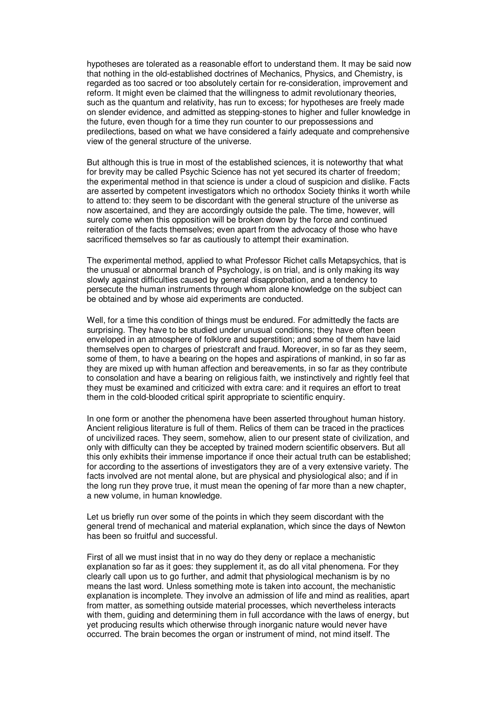hypotheses are tolerated as a reasonable effort to understand them. It may be said now that nothing in the old-established doctrines of Mechanics, Physics, and Chemistry, is regarded as too sacred or too absolutely certain for re-consideration, improvement and reform. It might even be claimed that the willingness to admit revolutionary theories, such as the quantum and relativity, has run to excess; for hypotheses are freely made on slender evidence, and admitted as stepping-stones to higher and fuller knowledge in the future, even though for a time they run counter to our prepossessions and predilections, based on what we have considered a fairly adequate and comprehensive view of the general structure of the universe.

But although this is true in most of the established sciences, it is noteworthy that what for brevity may be called Psychic Science has not yet secured its charter of freedom; the experimental method in that science is under a cloud of suspicion and dislike. Facts are asserted by competent investigators which no orthodox Society thinks it worth while to attend to: they seem to be discordant with the general structure of the universe as now ascertained, and they are accordingly outside the pale. The time, however, will surely come when this opposition will be broken down by the force and continued reiteration of the facts themselves; even apart from the advocacy of those who have sacrificed themselves so far as cautiously to attempt their examination.

The experimental method, applied to what Professor Richet calls Metapsychics, that is the unusual or abnormal branch of Psychology, is on trial, and is only making its way slowly against difficulties caused by general disapprobation, and a tendency to persecute the human instruments through whom alone knowledge on the subject can be obtained and by whose aid experiments are conducted.

Well, for a time this condition of things must be endured. For admittedly the facts are surprising. They have to be studied under unusual conditions; they have often been enveloped in an atmosphere of folklore and superstition; and some of them have laid themselves open to charges of priestcraft and fraud. Moreover, in so far as they seem, some of them, to have a bearing on the hopes and aspirations of mankind, in so far as they are mixed up with human affection and bereavements, in so far as they contribute to consolation and have a bearing on religious faith, we instinctively and rightly feel that they must be examined and criticized with extra care: and it requires an effort to treat them in the cold-blooded critical spirit appropriate to scientific enquiry.

In one form or another the phenomena have been asserted throughout human history. Ancient religious literature is full of them. Relics of them can be traced in the practices of uncivilized races. They seem, somehow, alien to our present state of civilization, and only with difficulty can they be accepted by trained modern scientific observers. But all this only exhibits their immense importance if once their actual truth can be established; for according to the assertions of investigators they are of a very extensive variety. The facts involved are not mental alone, but are physical and physiological also; and if in the long run they prove true, it must mean the opening of far more than a new chapter, a new volume, in human knowledge.

Let us briefly run over some of the points in which they seem discordant with the general trend of mechanical and material explanation, which since the days of Newton has been so fruitful and successful.

First of all we must insist that in no way do they deny or replace a mechanistic explanation so far as it goes: they supplement it, as do all vital phenomena. For they clearly call upon us to go further, and admit that physiological mechanism is by no means the last word. Unless something mote is taken into account, the mechanistic explanation is incomplete. They involve an admission of life and mind as realities, apart from matter, as something outside material processes, which nevertheless interacts with them, guiding and determining them in full accordance with the laws of energy, but yet producing results which otherwise through inorganic nature would never have occurred. The brain becomes the organ or instrument of mind, not mind itself. The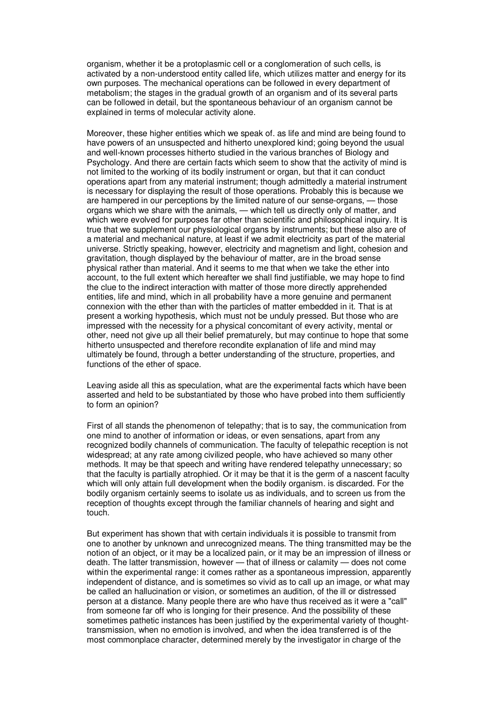organism, whether it be a protoplasmic cell or a conglomeration of such cells, is activated by a non-understood entity called life, which utilizes matter and energy for its own purposes. The mechanical operations can be followed in every department of metabolism; the stages in the gradual growth of an organism and of its several parts can be followed in detail, but the spontaneous behaviour of an organism cannot be explained in terms of molecular activity alone.

Moreover, these higher entities which we speak of. as life and mind are being found to have powers of an unsuspected and hitherto unexplored kind; going beyond the usual and well-known processes hitherto studied in the various branches of Biology and Psychology. And there are certain facts which seem to show that the activity of mind is not limited to the working of its bodily instrument or organ, but that it can conduct operations apart from any material instrument; though admittedly a material instrument is necessary for displaying the result of those operations. Probably this is because we are hampered in our perceptions by the limited nature of our sense-organs, — those organs which we share with the animals, — which tell us directly only of matter, and which were evolved for purposes far other than scientific and philosophical inquiry. It is true that we supplement our physiological organs by instruments; but these also are of a material and mechanical nature, at least if we admit electricity as part of the material universe. Strictly speaking, however, electricity and magnetism and light, cohesion and gravitation, though displayed by the behaviour of matter, are in the broad sense physical rather than material. And it seems to me that when we take the ether into account, to the full extent which hereafter we shall find justifiable, we may hope to find the clue to the indirect interaction with matter of those more directly apprehended entities, life and mind, which in all probability have a more genuine and permanent connexion with the ether than with the particles of matter embedded in it. That is at present a working hypothesis, which must not be unduly pressed. But those who are impressed with the necessity for a physical concomitant of every activity, mental or other, need not give up all their belief prematurely, but may continue to hope that some hitherto unsuspected and therefore recondite explanation of life and mind may ultimately be found, through a better understanding of the structure, properties, and functions of the ether of space.

Leaving aside all this as speculation, what are the experimental facts which have been asserted and held to be substantiated by those who have probed into them sufficiently to form an opinion?

First of all stands the phenomenon of telepathy; that is to say, the communication from one mind to another of information or ideas, or even sensations, apart from any recognized bodily channels of communication. The faculty of telepathic reception is not widespread; at any rate among civilized people, who have achieved so many other methods. It may be that speech and writing have rendered telepathy unnecessary; so that the faculty is partially atrophied. Or it may be that it is the germ of a nascent faculty which will only attain full development when the bodily organism. is discarded. For the bodily organism certainly seems to isolate us as individuals, and to screen us from the reception of thoughts except through the familiar channels of hearing and sight and touch.

But experiment has shown that with certain individuals it is possible to transmit from one to another by unknown and unrecognized means. The thing transmitted may be the notion of an object, or it may be a localized pain, or it may be an impression of illness or death. The latter transmission, however — that of illness or calamity — does not come within the experimental range: it comes rather as a spontaneous impression, apparently independent of distance, and is sometimes so vivid as to call up an image, or what may be called an hallucination or vision, or sometimes an audition, of the ill or distressed person at a distance. Many people there are who have thus received as it were a "call" from someone far off who is longing for their presence. And the possibility of these sometimes pathetic instances has been justified by the experimental variety of thoughttransmission, when no emotion is involved, and when the idea transferred is of the most commonplace character, determined merely by the investigator in charge of the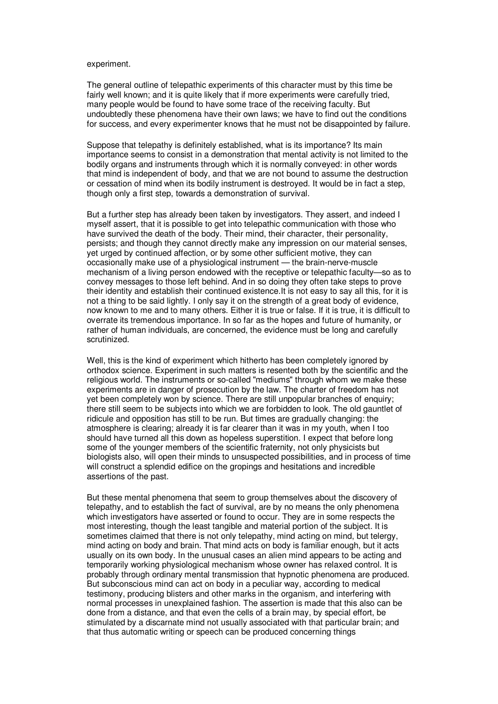#### experiment.

The general outline of telepathic experiments of this character must by this time be fairly well known; and it is quite likely that if more experiments were carefully tried, many people would be found to have some trace of the receiving faculty. But undoubtedly these phenomena have their own laws; we have to find out the conditions for success, and every experimenter knows that he must not be disappointed by failure.

Suppose that telepathy is definitely established, what is its importance? Its main importance seems to consist in a demonstration that mental activity is not limited to the bodily organs and instruments through which it is normally conveyed: in other words that mind is independent of body, and that we are not bound to assume the destruction or cessation of mind when its bodily instrument is destroyed. It would be in fact a step, though only a first step, towards a demonstration of survival.

But a further step has already been taken by investigators. They assert, and indeed I myself assert, that it is possible to get into telepathic communication with those who have survived the death of the body. Their mind, their character, their personality, persists; and though they cannot directly make any impression on our material senses, yet urged by continued affection, or by some other sufficient motive, they can occasionally make use of a physiological instrument — the brain-nerve-muscle mechanism of a living person endowed with the receptive or telepathic faculty—so as to convey messages to those left behind. And in so doing they often take steps to prove their identity and establish their continued existence.It is not easy to say all this, for it is not a thing to be said lightly. I only say it on the strength of a great body of evidence, now known to me and to many others. Either it is true or false. If it is true, it is difficult to overrate its tremendous importance. In so far as the hopes and future of humanity, or rather of human individuals, are concerned, the evidence must be long and carefully scrutinized.

Well, this is the kind of experiment which hitherto has been completely ignored by orthodox science. Experiment in such matters is resented both by the scientific and the religious world. The instruments or so-called "mediums" through whom we make these experiments are in danger of prosecution by the law. The charter of freedom has not yet been completely won by science. There are still unpopular branches of enquiry; there still seem to be subjects into which we are forbidden to look. The old gauntlet of ridicule and opposition has still to be run. But times are gradually changing: the atmosphere is clearing; already it is far clearer than it was in my youth, when I too should have turned all this down as hopeless superstition. I expect that before long some of the younger members of the scientific fraternity, not only physicists but biologists also, will open their minds to unsuspected possibilities, and in process of time will construct a splendid edifice on the gropings and hesitations and incredible assertions of the past.

But these mental phenomena that seem to group themselves about the discovery of telepathy, and to establish the fact of survival, are by no means the only phenomena which investigators have asserted or found to occur. They are in some respects the most interesting, though the least tangible and material portion of the subject. It is sometimes claimed that there is not only telepathy, mind acting on mind, but telergy, mind acting on body and brain. That mind acts on body is familiar enough, but it acts usually on its own body. In the unusual cases an alien mind appears to be acting and temporarily working physiological mechanism whose owner has relaxed control. It is probably through ordinary mental transmission that hypnotic phenomena are produced. But subconscious mind can act on body in a peculiar way, according to medical testimony, producing blisters and other marks in the organism, and interfering with normal processes in unexplained fashion. The assertion is made that this also can be done from a distance, and that even the cells of a brain may, by special effort, be stimulated by a discarnate mind not usually associated with that particular brain; and that thus automatic writing or speech can be produced concerning things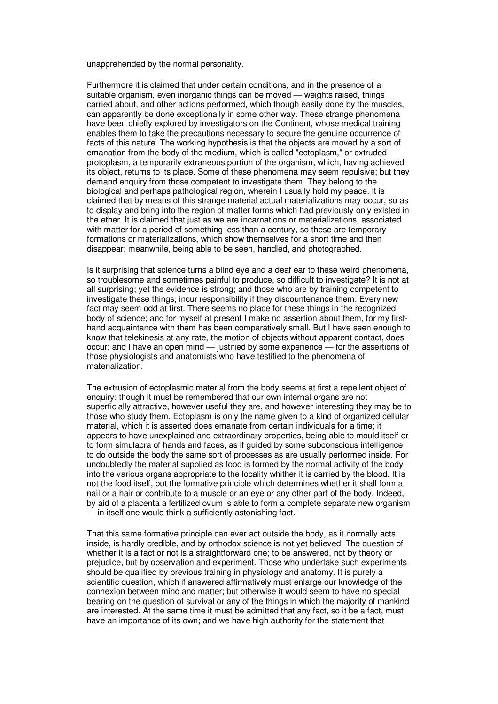unapprehended by the normal personality.

Furthermore it is claimed that under certain conditions, and in the presence of a suitable organism, even inorganic things can be moved — weights raised, things carried about, and other actions performed, which though easily done by the muscles, can apparently be done exceptionally in some other way. These strange phenomena have been chiefly explored by investigators on the Continent, whose medical training enables them to take the precautions necessary to secure the genuine occurrence of facts of this nature. The working hypothesis is that the objects are moved by a sort of emanation from the body of the medium, which is called "ectoplasm," or extruded protoplasm, a temporarily extraneous portion of the organism, which, having achieved its object, returns to its place. Some of these phenomena may seem repulsive; but they demand enquiry from those competent to investigate them. They belong to the biological and perhaps pathological region, wherein I usually hold my peace. It is claimed that by means of this strange material actual materializations may occur, so as to display and bring into the region of matter forms which had previously only existed in the ether. It is claimed that just as we are incarnations or materializations, associated with matter for a period of something less than a century, so these are temporary formations or materializations, which show themselves for a short time and then disappear; meanwhile, being able to be seen, handled, and photographed.

Is it surprising that science turns a blind eye and a deaf ear to these weird phenomena, so troublesome and sometimes painful to produce, so difficult to investigate? It is not at all surprising; yet the evidence is strong; and those who are by training competent to investigate these things, incur responsibility if they discountenance them. Every new fact may seem odd at first. There seems no place for these things in the recognized body of science; and for myself at present I make no assertion about them, for my firsthand acquaintance with them has been comparatively small. But I have seen enough to know that telekinesis at any rate, the motion of objects without apparent contact, does occur; and I have an open mind — justified by some experience — for the assertions of those physiologists and anatomists who have testified to the phenomena of materialization.

The extrusion of ectoplasmic material from the body seems at first a repellent object of enquiry; though it must be remembered that our own internal organs are not superficially attractive, however useful they are, and however interesting they may be to those who study them. Ectoplasm is only the name given to a kind of organized cellular material, which it is asserted does emanate from certain individuals for a time; it appears to have unexplained and extraordinary properties, being able to mould itself or to form simulacra of hands and faces, as if guided by some subconscious intelligence to do outside the body the same sort of processes as are usually performed inside. For undoubtedly the material supplied as food is formed by the normal activity of the body into the various organs appropriate to the locality whither it is carried by the blood. It is not the food itself, but the formative principle which determines whether it shall form a nail or a hair or contribute to a muscle or an eye or any other part of the body. Indeed, by aid of a placenta a fertilized ovum is able to form a complete separate new organism — in itself one would think a sufficiently astonishing fact.

That this same formative principle can ever act outside the body, as it normally acts inside, is hardly credible, and by orthodox science is not yet believed. The question of whether it is a fact or not is a straightforward one; to be answered, not by theory or prejudice, but by observation and experiment. Those who undertake such experiments should be qualified by previous training in physiology and anatomy. It is purely a scientific question, which if answered affirmatively must enlarge our knowledge of the connexion between mind and matter; but otherwise it would seem to have no special bearing on the question of survival or any of the things in which the majority of mankind are interested. At the same time it must be admitted that any fact, so it be a fact, must have an importance of its own; and we have high authority for the statement that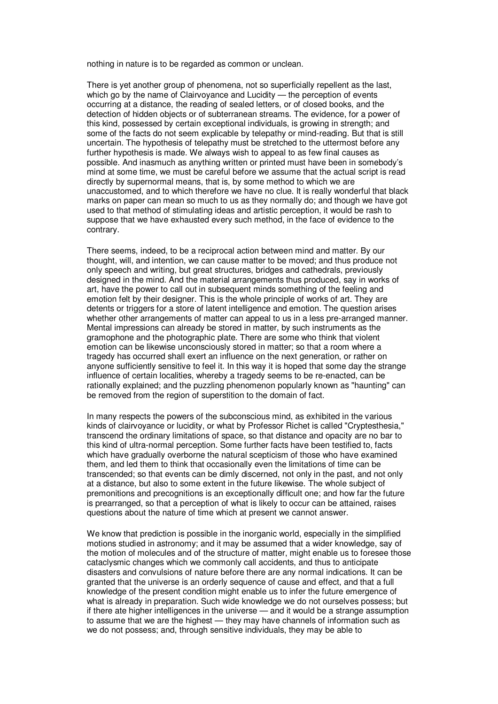nothing in nature is to be regarded as common or unclean.

There is yet another group of phenomena, not so superficially repellent as the last, which go by the name of Clairvoyance and Lucidity — the perception of events occurring at a distance, the reading of sealed letters, or of closed books, and the detection of hidden objects or of subterranean streams. The evidence, for a power of this kind, possessed by certain exceptional individuals, is growing in strength; and some of the facts do not seem explicable by telepathy or mind-reading. But that is still uncertain. The hypothesis of telepathy must be stretched to the uttermost before any further hypothesis is made. We always wish to appeal to as few final causes as possible. And inasmuch as anything written or printed must have been in somebody's mind at some time, we must be careful before we assume that the actual script is read directly by supernormal means, that is, by some method to which we are unaccustomed, and to which therefore we have no clue. It is really wonderful that black marks on paper can mean so much to us as they normally do; and though we have got used to that method of stimulating ideas and artistic perception, it would be rash to suppose that we have exhausted every such method, in the face of evidence to the contrary.

There seems, indeed, to be a reciprocal action between mind and matter. By our thought, will, and intention, we can cause matter to be moved; and thus produce not only speech and writing, but great structures, bridges and cathedrals, previously designed in the mind. And the material arrangements thus produced, say in works of art, have the power to call out in subsequent minds something of the feeling and emotion felt by their designer. This is the whole principle of works of art. They are detents or triggers for a store of latent intelligence and emotion. The question arises whether other arrangements of matter can appeal to us in a less pre-arranged manner. Mental impressions can already be stored in matter, by such instruments as the gramophone and the photographic plate. There are some who think that violent emotion can be likewise unconsciously stored in matter; so that a room where a tragedy has occurred shall exert an influence on the next generation, or rather on anyone sufficiently sensitive to feel it. In this way it is hoped that some day the strange influence of certain localities, whereby a tragedy seems to be re-enacted, can be rationally explained; and the puzzling phenomenon popularly known as "haunting" can be removed from the region of superstition to the domain of fact.

In many respects the powers of the subconscious mind, as exhibited in the various kinds of clairvoyance or lucidity, or what by Professor Richet is called "Cryptesthesia," transcend the ordinary limitations of space, so that distance and opacity are no bar to this kind of ultra-normal perception. Some further facts have been testified to, facts which have gradually overborne the natural scepticism of those who have examined them, and led them to think that occasionally even the limitations of time can be transcended; so that events can be dimly discerned, not only in the past, and not only at a distance, but also to some extent in the future likewise. The whole subject of premonitions and precognitions is an exceptionally difficult one; and how far the future is prearranged, so that a perception of what is likely to occur can be attained, raises questions about the nature of time which at present we cannot answer.

We know that prediction is possible in the inorganic world, especially in the simplified motions studied in astronomy; and it may be assumed that a wider knowledge, say of the motion of molecules and of the structure of matter, might enable us to foresee those cataclysmic changes which we commonly call accidents, and thus to anticipate disasters and convulsions of nature before there are any normal indications. It can be granted that the universe is an orderly sequence of cause and effect, and that a full knowledge of the present condition might enable us to infer the future emergence of what is already in preparation. Such wide knowledge we do not ourselves possess; but if there ate higher intelligences in the universe — and it would be a strange assumption to assume that we are the highest — they may have channels of information such as we do not possess; and, through sensitive individuals, they may be able to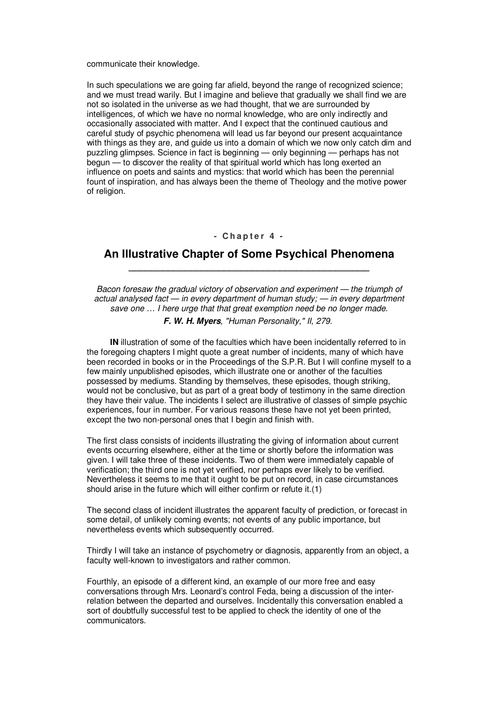communicate their knowledge.

In such speculations we are going far afield, beyond the range of recognized science; and we must tread warily. But I imagine and believe that gradually we shall find we are not so isolated in the universe as we had thought, that we are surrounded by intelligences, of which we have no normal knowledge, who are only indirectly and occasionally associated with matter. And I expect that the continued cautious and careful study of psychic phenomena will lead us far beyond our present acquaintance with things as they are, and quide us into a domain of which we now only catch dim and puzzling glimpses. Science in fact is beginning — only beginning — perhaps has not begun — to discover the reality of that spiritual world which has long exerted an influence on poets and saints and mystics: that world which has been the perennial fount of inspiration, and has always been the theme of Theology and the motive power of religion.

### **- C h a p t e r 4 -**

# **An Illustrative Chapter of Some Psychical Phenomena \_\_\_\_\_\_\_\_\_\_\_\_\_\_\_\_\_\_\_\_\_\_\_\_\_\_\_\_\_\_\_\_\_\_\_\_\_\_\_\_\_\_\_**

*Bacon foresaw the gradual victory of observation and experiment — the triumph of actual analysed fact — in every department of human study; — in every department save one … I here urge that that great exemption need be no longer made.*

*F. W. H. Myers, "Human Personality," II, 279.*

**IN** illustration of some of the faculties which have been incidentally referred to in the foregoing chapters I might quote a great number of incidents, many of which have been recorded in books or in the Proceedings of the S.P.R. But I will confine myself to a few mainly unpublished episodes, which illustrate one or another of the faculties possessed by mediums. Standing by themselves, these episodes, though striking, would not be conclusive, but as part of a great body of testimony in the same direction they have their value. The incidents I select are illustrative of classes of simple psychic experiences, four in number. For various reasons these have not yet been printed, except the two non-personal ones that I begin and finish with.

The first class consists of incidents illustrating the giving of information about current events occurring elsewhere, either at the time or shortly before the information was given. I will take three of these incidents. Two of them were immediately capable of verification; the third one is not yet verified, nor perhaps ever likely to be verified. Nevertheless it seems to me that it ought to be put on record, in case circumstances should arise in the future which will either confirm or refute it.(1)

The second class of incident illustrates the apparent faculty of prediction, or forecast in some detail, of unlikely coming events; not events of any public importance, but nevertheless events which subsequently occurred.

Thirdly I will take an instance of psychometry or diagnosis, apparently from an object, a faculty well-known to investigators and rather common.

Fourthly, an episode of a different kind, an example of our more free and easy conversations through Mrs. Leonard's control Feda, being a discussion of the interrelation between the departed and ourselves. Incidentally this conversation enabled a sort of doubtfully successful test to be applied to check the identity of one of the communicators.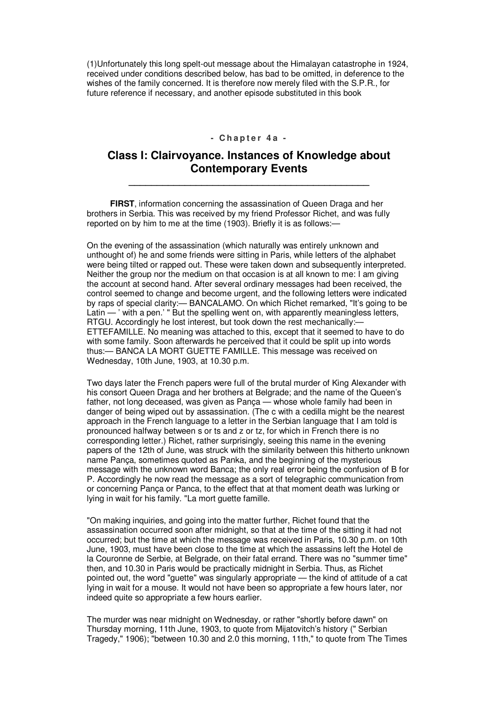(1)Unfortunately this long spelt-out message about the Himalayan catastrophe in 1924, received under conditions described below, has bad to be omitted, in deference to the wishes of the family concerned. It is therefore now merely filed with the S.P.R., for future reference if necessary, and another episode substituted in this book

### **- C h a p t e r 4 a -**

# **Class I: Clairvoyance. Instances of Knowledge about Contemporary Events**

**\_\_\_\_\_\_\_\_\_\_\_\_\_\_\_\_\_\_\_\_\_\_\_\_\_\_\_\_\_\_\_\_\_\_\_\_\_\_\_\_\_\_\_**

**FIRST**, information concerning the assassination of Queen Draga and her brothers in Serbia. This was received by my friend Professor Richet, and was fully reported on by him to me at the time (1903). Briefly it is as follows:—

On the evening of the assassination (which naturally was entirely unknown and unthought of) he and some friends were sitting in Paris, while letters of the alphabet were being tilted or rapped out. These were taken down and subsequently interpreted. Neither the group nor the medium on that occasion is at all known to me: I am giving the account at second hand. After several ordinary messages had been received, the control seemed to change and become urgent, and the following letters were indicated by raps of special clarity:— BANCALAMO. On which Richet remarked, "It's going to be Latin — ' with a pen.' " But the spelling went on, with apparently meaningless letters, RTGU. Accordingly he lost interest, but took down the rest mechanically:— ETTEFAMILLE. No meaning was attached to this, except that it seemed to have to do with some family. Soon afterwards he perceived that it could be split up into words thus:— BANCA LA MORT GUETTE FAMILLE. This message was received on Wednesday, 10th June, 1903, at 10.30 p.m.

Two days later the French papers were full of the brutal murder of King Alexander with his consort Queen Draga and her brothers at Belgrade; and the name of the Queen's father, not long deceased, was given as Pança — whose whole family had been in danger of being wiped out by assassination. (The c with a cedilla might be the nearest approach in the French language to a letter in the Serbian language that I am told is pronounced halfway between s or ts and z or tz, for which in French there is no corresponding letter.) Richet, rather surprisingly, seeing this name in the evening papers of the 12th of June, was struck with the similarity between this hitherto unknown name Pança, sometimes quoted as Panka, and the beginning of the mysterious message with the unknown word Banca; the only real error being the confusion of B for P. Accordingly he now read the message as a sort of telegraphic communication from or concerning Pança or Panca, to the effect that at that moment death was lurking or lying in wait for his family. "La mort guette famille.

"On making inquiries, and going into the matter further, Richet found that the assassination occurred soon after midnight, so that at the time of the sitting it had not occurred; but the time at which the message was received in Paris, 10.30 p.m. on 10th June, 1903, must have been close to the time at which the assassins left the Hotel de la Couronne de Serbie, at Belgrade, on their fatal errand. There was no "summer time" then, and 10.30 in Paris would be practically midnight in Serbia. Thus, as Richet pointed out, the word "guette" was singularly appropriate — the kind of attitude of a cat lying in wait for a mouse. It would not have been so appropriate a few hours later, nor indeed quite so appropriate a few hours earlier.

The murder was near midnight on Wednesday, or rather "shortly before dawn" on Thursday morning, 11th June, 1903, to quote from Mijatovitch's history (" Serbian Tragedy," 1906); "between 10.30 and 2.0 this morning, 11th," to quote from The Times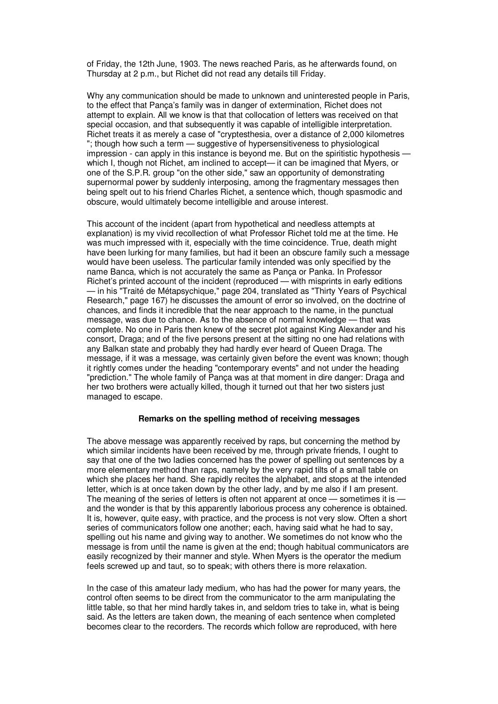of Friday, the 12th June, 1903. The news reached Paris, as he afterwards found, on Thursday at 2 p.m., but Richet did not read any details till Friday.

Why any communication should be made to unknown and uninterested people in Paris, to the effect that Pança's family was in danger of extermination, Richet does not attempt to explain. All we know is that that collocation of letters was received on that special occasion, and that subsequently it was capable of intelligible interpretation. Richet treats it as merely a case of "cryptesthesia, over a distance of 2,000 kilometres "; though how such a term — suggestive of hypersensitiveness to physiological impression - can apply in this instance is beyond me. But on the spiritistic hypothesis which I, though not Richet, am inclined to accept— it can be imagined that Myers, or one of the S.P.R. group "on the other side," saw an opportunity of demonstrating supernormal power by suddenly interposing, among the fragmentary messages then being spelt out to his friend Charles Richet, a sentence which, though spasmodic and obscure, would ultimately become intelligible and arouse interest.

This account of the incident (apart from hypothetical and needless attempts at explanation) is my vivid recollection of what Professor Richet told me at the time. He was much impressed with it, especially with the time coincidence. True, death might have been lurking for many families, but had it been an obscure family such a message would have been useless. The particular family intended was only specified by the name Banca, which is not accurately the same as Pança or Panka. In Professor Richet's printed account of the incident (reproduced — with misprints in early editions — in his "Traité de Métapsychique," page 204, translated as "Thirty Years of Psychical Research," page 167) he discusses the amount of error so involved, on the doctrine of chances, and finds it incredible that the near approach to the name, in the punctual message, was due to chance. As to the absence of normal knowledge — that was complete. No one in Paris then knew of the secret plot against King Alexander and his consort, Draga; and of the five persons present at the sitting no one had relations with any Balkan state and probably they had hardly ever heard of Queen Draga. The message, if it was a message, was certainly given before the event was known; though it rightly comes under the heading "contemporary events" and not under the heading "prediction." The whole family of Pança was at that moment in dire danger: Draga and her two brothers were actually killed, though it turned out that her two sisters just managed to escape.

### **Remarks on the spelling method of receiving messages**

The above message was apparently received by raps, but concerning the method by which similar incidents have been received by me, through private friends, I ought to say that one of the two ladies concerned has the power of spelling out sentences by a more elementary method than raps, namely by the very rapid tilts of a small table on which she places her hand. She rapidly recites the alphabet, and stops at the intended letter, which is at once taken down by the other lady, and by me also if I am present. The meaning of the series of letters is often not apparent at once  $-$  sometimes it is  $$ and the wonder is that by this apparently laborious process any coherence is obtained. It is, however, quite easy, with practice, and the process is not very slow. Often a short series of communicators follow one another; each, having said what he had to say, spelling out his name and giving way to another. We sometimes do not know who the message is from until the name is given at the end; though habitual communicators are easily recognized by their manner and style. When Myers is the operator the medium feels screwed up and taut, so to speak; with others there is more relaxation.

In the case of this amateur lady medium, who has had the power for many years, the control often seems to be direct from the communicator to the arm manipulating the little table, so that her mind hardly takes in, and seldom tries to take in, what is being said. As the letters are taken down, the meaning of each sentence when completed becomes clear to the recorders. The records which follow are reproduced, with here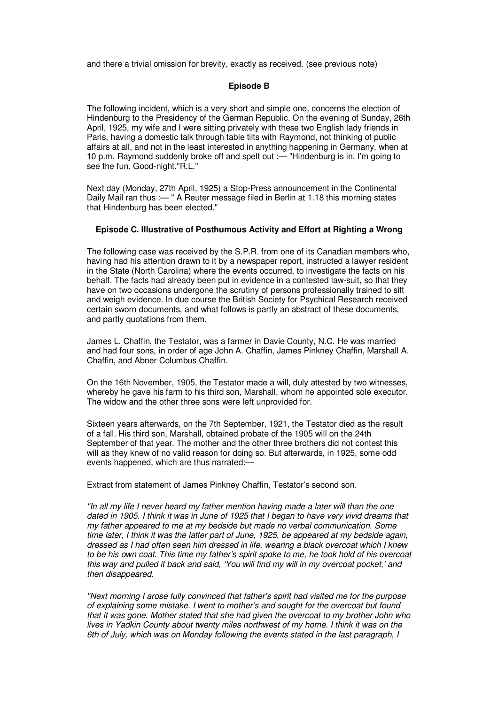and there a trivial omission for brevity, exactly as received. (see previous note)

### **Episode B**

The following incident, which is a very short and simple one, concerns the election of Hindenburg to the Presidency of the German Republic. On the evening of Sunday, 26th April, 1925, my wife and I were sitting privately with these two English lady friends in Paris, having a domestic talk through table tilts with Raymond, not thinking of public affairs at all, and not in the least interested in anything happening in Germany, when at 10 p.m. Raymond suddenly broke off and spelt out :— "Hindenburg is in. I'm going to see the fun. Good-night."R.L."

Next day (Monday, 27th April, 1925) a Stop-Press announcement in the Continental Daily Mail ran thus :— " A Reuter message filed in Berlin at 1.18 this morning states that Hindenburg has been elected."

### **Episode C. Illustrative of Posthumous Activity and Effort at Righting a Wrong**

The following case was received by the S.P.R. from one of its Canadian members who, having had his attention drawn to it by a newspaper report, instructed a lawyer resident in the State (North Carolina) where the events occurred, to investigate the facts on his behalf. The facts had already been put in evidence in a contested law-suit, so that they have on two occasions undergone the scrutiny of persons professionally trained to sift and weigh evidence. In due course the British Society for Psychical Research received certain sworn documents, and what follows is partly an abstract of these documents, and partly quotations from them.

James L. Chaffin, the Testator, was a farmer in Davie County, N.C. He was married and had four sons, in order of age John A. Chaffin, James Pinkney Chaffin, Marshall A. Chaffin, and Abner Columbus Chaffin.

On the 16th November, 1905, the Testator made a will, duly attested by two witnesses, whereby he gave his farm to his third son, Marshall, whom he appointed sole executor. The widow and the other three sons were left unprovided for.

Sixteen years afterwards, on the 7th September, 1921, the Testator died as the result of a fall. His third son, Marshall, obtained probate of the 1905 will on the 24th September of that year. The mother and the other three brothers did not contest this will as they knew of no valid reason for doing so. But afterwards, in 1925, some odd events happened, which are thus narrated:—

Extract from statement of James Pinkney Chaffin, Testator's second son.

*"In all my life I never heard my father mention having made a later will than the one* dated in 1905. I think it was in June of 1925 that I began to have very vivid dreams that *my father appeared to me at my bedside but made no verbal communication. Some time later, I think it was the latter part of June, 1925, be appeared at my bedside again, dressed as I had often seen him dressed in life, wearing a black overcoat which I knew to be his own coat. This time my father's spirit spoke to me, he took hold of his overcoat this way and pulled it back and said, 'You will find my will in my overcoat pocket,' and then disappeared.*

*"Next morning I arose fully convinced that father's spirit had visited me for the purpose of explaining some mistake. I went to mother's and sought for the overcoat but found that it was gone. Mother stated that she had given the overcoat to my brother John who lives in Yadkin County about twenty miles northwest of my home. I think it was on the 6th of July, which was on Monday following the events stated in the last paragraph, I*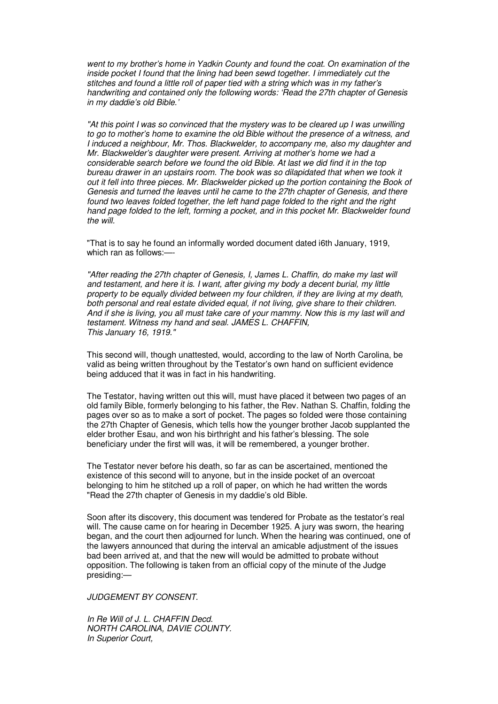*went to my brother's home in Yadkin County and found the coat. On examination of the inside pocket I found that the lining had been sewd together. I immediately cut the stitches and found a little roll of paper tied with a string which was in my father's handwriting and contained only the following words: 'Read the 27th chapter of Genesis in my daddie's old Bible.'*

*"At this point I was so convinced that the mystery was to be cleared up I was unwilling to go to mother's home to examine the old Bible without the presence of a witness, and I induced a neighbour, Mr. Thos. Blackwelder, to accompany me, also my daughter and Mr. Blackwelder's daughter were present. Arriving at mother's home we had a considerable search before we found the old Bible. At last we did find it in the top bureau drawer in an upstairs room. The book was so dilapidated that when we took it out it fell into three pieces. Mr. Blackwelder picked up the portion containing the Book of Genesis and turned the leaves until he came to the 27th chapter of Genesis, and there found two leaves folded together, the left hand page folded to the right and the right hand page folded to the left, forming a pocket, and in this pocket Mr. Blackwelder found the will.*

"That is to say he found an informally worded document dated i6th January, 1919, which ran as follows:-

*"After reading the 27th chapter of Genesis, I, James L. Chaffin, do make my last will and testament, and here it is. I want, after giving my body a decent burial, my little property to be equally divided between my four children, if they are living at my death, both personal and real estate divided equal, if not living, give share to their children.* And if she is living, you all must take care of your mammy. Now this is my last will and *testament. Witness my hand and seal. JAMES L. CHAFFIN, This January 16, 1919."*

This second will, though unattested, would, according to the law of North Carolina, be valid as being written throughout by the Testator's own hand on sufficient evidence being adduced that it was in fact in his handwriting.

The Testator, having written out this will, must have placed it between two pages of an old family Bible, formerly belonging to his father, the Rev. Nathan S. Chaffin, folding the pages over so as to make a sort of pocket. The pages so folded were those containing the 27th Chapter of Genesis, which tells how the younger brother Jacob supplanted the elder brother Esau, and won his birthright and his father's blessing. The sole beneficiary under the first will was, it will be remembered, a younger brother.

The Testator never before his death, so far as can be ascertained, mentioned the existence of this second will to anyone, but in the inside pocket of an overcoat belonging to him he stitched up a roll of paper, on which he had written the words "Read the 27th chapter of Genesis in my daddie's old Bible.

Soon after its discovery, this document was tendered for Probate as the testator's real will. The cause came on for hearing in December 1925. A jury was sworn, the hearing began, and the court then adjourned for lunch. When the hearing was continued, one of the lawyers announced that during the interval an amicable adjustment of the issues bad been arrived at, and that the new will would be admitted to probate without opposition. The following is taken from an official copy of the minute of the Judge presiding:—

*JUDGEMENT BY CONSENT.*

*In Re Will of J. L. CHAFFIN Decd. NORTH CAROLINA, DAVIE COUNTY. In Superior Court,*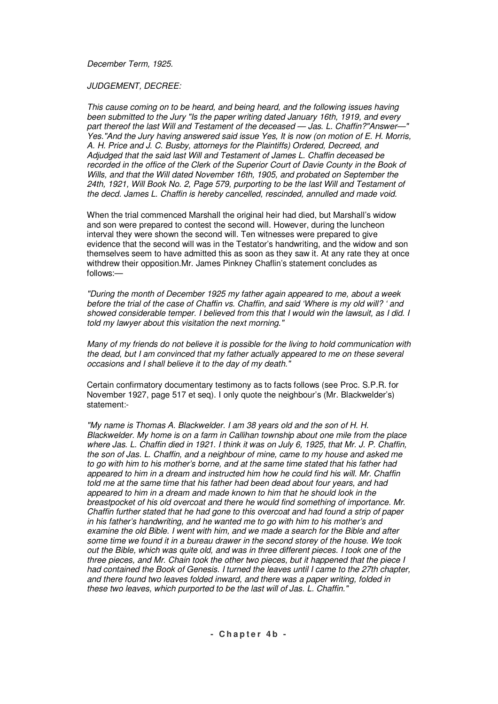### *December Term, 1925.*

## *JUDGEMENT, DECREE:*

*This cause coming on to be heard, and being heard, and the following issues having been submitted to the Jury "Is the paper writing dated January 16th, 1919, and every part thereof the last Will and Testament of the deceased — Jas. L. Chaffin?"Answer—" Yes."And the Jury having answered said issue Yes, It is now (on motion of E. H. Morris, A. H. Price and J. C. Busby, attorneys for the Plaintiffs) Ordered, Decreed, and Adjudged that the said last Will and Testament of James L. Chaffin deceased be recorded in the office of the Clerk of the Superior Court of Davie County in the Book of Wills, and that the Will dated November 16th, 1905, and probated on September the 24th, 1921, Will Book No. 2, Page 579, purporting to be the last Will and Testament of the decd. James L. Chaffin is hereby cancelled, rescinded, annulled and made void.*

When the trial commenced Marshall the original heir had died, but Marshall's widow and son were prepared to contest the second will. However, during the luncheon interval they were shown the second will. Ten witnesses were prepared to give evidence that the second will was in the Testator's handwriting, and the widow and son themselves seem to have admitted this as soon as they saw it. At any rate they at once withdrew their opposition.Mr. James Pinkney Chaflin's statement concludes as follows:—

*"During the month of December 1925 my father again appeared to me, about a week before the trial of the case of Chaffin vs. Chaffin, and said 'Where is my old will? ' and showed considerable temper. I believed from this that I would win the lawsuit, as I did. I told my lawyer about this visitation the next morning."*

*Many of my friends do not believe it is possible for the living to hold communication with the dead, but I am convinced that my father actually appeared to me on these several occasions and I shall believe it to the day of my death."*

Certain confirmatory documentary testimony as to facts follows (see Proc. S.P.R. for November 1927, page 517 et seq). I only quote the neighbour's (Mr. Blackwelder's) statement:-

*"My name is Thomas A. Blackwelder. I am 38 years old and the son of H. H. Blackwelder. My home is on a farm in Callihan township about one mile from the place* where Jas. L. Chaffin died in 1921. I think it was on July 6, 1925, that Mr. J. P. Chaffin, *the son of Jas. L. Chaffin, and a neighbour of mine, came to my house and asked me to go with him to his mother's borne, and at the same time stated that his father had appeared to him in a dream and instructed him how he could find his will. Mr. Chaffin told me at the same time that his father had been dead about four years, and had appeared to him in a dream and made known to him that he should look in the breastpocket of his old overcoat and there he would find something of importance. Mr. Chaffin further stated that he had gone to this overcoat and had found a strip of paper in his father's handwriting, and he wanted me to go with him to his mother's and examine the old Bible. I went with him, and we made a search for the Bible and after some time we found it in a bureau drawer in the second storey of the house. We took out the Bible, which was quite old, and was in three different pieces. I took one of the three pieces, and Mr. Chain took the other two pieces, but it happened that the piece I had contained the Book of Genesis. I turned the leaves until I came to the 27th chapter, and there found two leaves folded inward, and there was a paper writing, folded in these two leaves, which purported to be the last will of Jas. L. Chaffin."*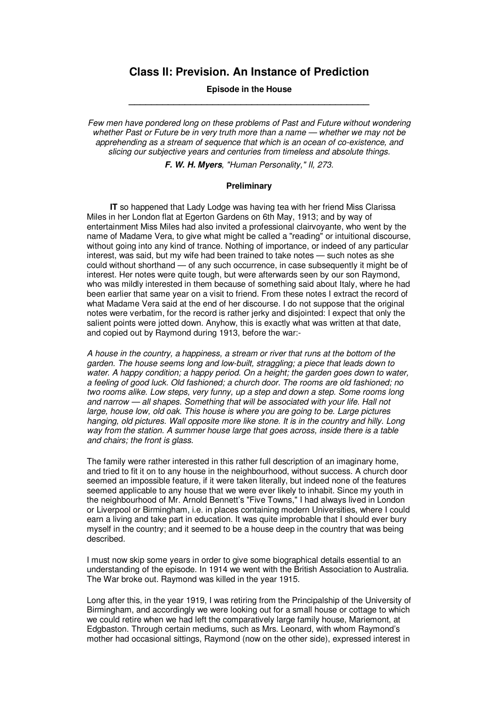# **Class II: Prevision. An Instance of Prediction**

**Episode in the House \_\_\_\_\_\_\_\_\_\_\_\_\_\_\_\_\_\_\_\_\_\_\_\_\_\_\_\_\_\_\_\_\_\_\_\_\_\_\_\_\_\_\_**

*Few men have pondered long on these problems of Past and Future without wondering whether Past or Future be in very truth more than a name — whether we may not be apprehending as a stream of sequence that which is an ocean of co-existence, and slicing our subjective years and centuries from timeless and absolute things.*

*F. W. H. Myers, "Human Personality," II, 273.*

### **Preliminary**

**IT** so happened that Lady Lodge was having tea with her friend Miss Clarissa Miles in her London flat at Egerton Gardens on 6th May, 1913; and by way of entertainment Miss Miles had also invited a professional clairvoyante, who went by the name of Madame Vera, to give what might be called a "reading" or intuitional discourse, without going into any kind of trance. Nothing of importance, or indeed of any particular interest, was said, but my wife had been trained to take notes — such notes as she could without shorthand — of any such occurrence, in case subsequently it might be of interest. Her notes were quite tough, but were afterwards seen by our son Raymond, who was mildly interested in them because of something said about Italy, where he had been earlier that same year on a visit to friend. From these notes I extract the record of what Madame Vera said at the end of her discourse. I do not suppose that the original notes were verbatim, for the record is rather jerky and disjointed: I expect that only the salient points were jotted down. Anyhow, this is exactly what was written at that date, and copied out by Raymond during 1913, before the war:-

*A house in the country, a happiness, a stream or river that runs at the bottom of the garden. The house seems long and low-built, straggling; a piece that leads down to water. A happy condition; a happy period. On a height; the garden goes down to water, a feeling of good luck. Old fashioned; a church door. The rooms are old fashioned; no two rooms alike. Low steps, very funny, up a step and down a step. Some rooms long and narrow — all shapes. Something that will be associated with your life. Hall not large, house low, old oak. This house is where you are going to be. Large pictures hanging, old pictures. Wall opposite more like stone. It is in the country and hilly. Long way from the station. A summer house large that goes across, inside there is a table and chairs; the front is glass.*

The family were rather interested in this rather full description of an imaginary home, and tried to fit it on to any house in the neighbourhood, without success. A church door seemed an impossible feature, if it were taken literally, but indeed none of the features seemed applicable to any house that we were ever likely to inhabit. Since my youth in the neighbourhood of Mr. Arnold Bennett's "Five Towns," I had always lived in London or Liverpool or Birmingham, i.e. in places containing modern Universities, where I could earn a living and take part in education. It was quite improbable that I should ever bury myself in the country; and it seemed to be a house deep in the country that was being described.

I must now skip some years in order to give some biographical details essential to an understanding of the episode. In 1914 we went with the British Association to Australia. The War broke out. Raymond was killed in the year 1915.

Long after this, in the year 1919, I was retiring from the Principalship of the University of Birmingham, and accordingly we were looking out for a small house or cottage to which we could retire when we had left the comparatively large family house, Mariemont, at Edgbaston. Through certain mediums, such as Mrs. Leonard, with whom Raymond's mother had occasional sittings, Raymond (now on the other side), expressed interest in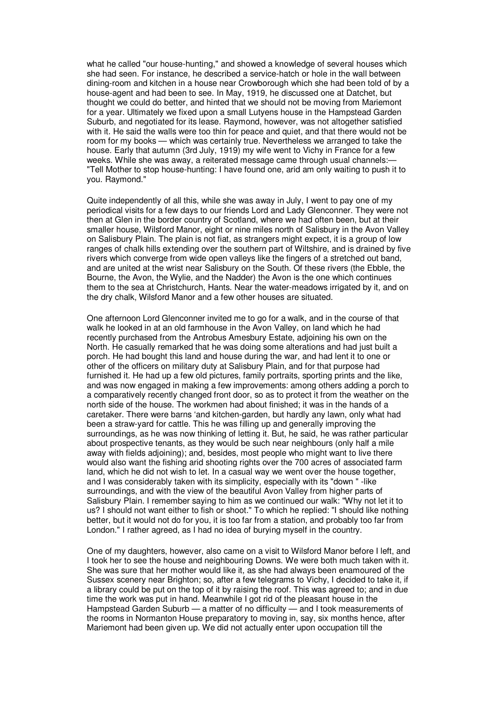what he called "our house-hunting," and showed a knowledge of several houses which she had seen. For instance, he described a service-hatch or hole in the wall between dining-room and kitchen in a house near Crowborough which she had been told of by a house-agent and had been to see. In May, 1919, he discussed one at Datchet, but thought we could do better, and hinted that we should not be moving from Mariemont for a year. Ultimately we fixed upon a small Lutyens house in the Hampstead Garden Suburb, and negotiated for its lease. Raymond, however, was not altogether satisfied with it. He said the walls were too thin for peace and quiet, and that there would not be room for my books — which was certainly true. Nevertheless we arranged to take the house. Early that autumn (3rd July, 1919) my wife went to Vichy in France for a few weeks. While she was away, a reiterated message came through usual channels:— "Tell Mother to stop house-hunting: I have found one, arid am only waiting to push it to you. Raymond."

Quite independently of all this, while she was away in July, I went to pay one of my periodical visits for a few days to our friends Lord and Lady Glenconner. They were not then at Glen in the border country of Scotland, where we had often been, but at their smaller house, Wilsford Manor, eight or nine miles north of Salisbury in the Avon Valley on Salisbury Plain. The plain is not fiat, as strangers might expect, it is a group of low ranges of chalk hills extending over the southern part of Wiltshire, and is drained by five rivers which converge from wide open valleys like the fingers of a stretched out band, and are united at the wrist near Salisbury on the South. Of these rivers (the Ebble, the Bourne, the Avon, the Wylie, and the Nadder) the Avon is the one which continues them to the sea at Christchurch, Hants. Near the water-meadows irrigated by it, and on the dry chalk, Wilsford Manor and a few other houses are situated.

One afternoon Lord Glenconner invited me to go for a walk, and in the course of that walk he looked in at an old farmhouse in the Avon Valley, on land which he had recently purchased from the Antrobus Amesbury Estate, adjoining his own on the North. He casually remarked that he was doing some alterations and had just built a porch. He had bought this land and house during the war, and had lent it to one or other of the officers on military duty at Salisbury Plain, and for that purpose had furnished it. He had up a few old pictures, family portraits, sporting prints and the like, and was now engaged in making a few improvements: among others adding a porch to a comparatively recently changed front door, so as to protect it from the weather on the north side of the house. The workmen had about finished; it was in the hands of a caretaker. There were barns 'and kitchen-garden, but hardly any lawn, only what had been a straw-yard for cattle. This he was filling up and generally improving the surroundings, as he was now thinking of letting it. But, he said, he was rather particular about prospective tenants, as they would be such near neighbours (only half a mile away with fields adjoining); and, besides, most people who might want to live there would also want the fishing arid shooting rights over the 700 acres of associated farm land, which he did not wish to let. In a casual way we went over the house together, and I was considerably taken with its simplicity, especially with its "down " -like surroundings, and with the view of the beautiful Avon Valley from higher parts of Salisbury Plain. I remember saying to him as we continued our walk: "Why not let it to us? I should not want either to fish or shoot." To which he replied: "I should like nothing better, but it would not do for you, it is too far from a station, and probably too far from London." I rather agreed, as I had no idea of burying myself in the country.

One of my daughters, however, also came on a visit to Wilsford Manor before I left, and I took her to see the house and neighbouring Downs. We were both much taken with it. She was sure that her mother would like it, as she had always been enamoured of the Sussex scenery near Brighton; so, after a few telegrams to Vichy, I decided to take it, if a library could be put on the top of it by raising the roof. This was agreed to; and in due time the work was put in hand. Meanwhile I got rid of the pleasant house in the Hampstead Garden Suburb — a matter of no difficulty — and I took measurements of the rooms in Normanton House preparatory to moving in, say, six months hence, after Mariemont had been given up. We did not actually enter upon occupation till the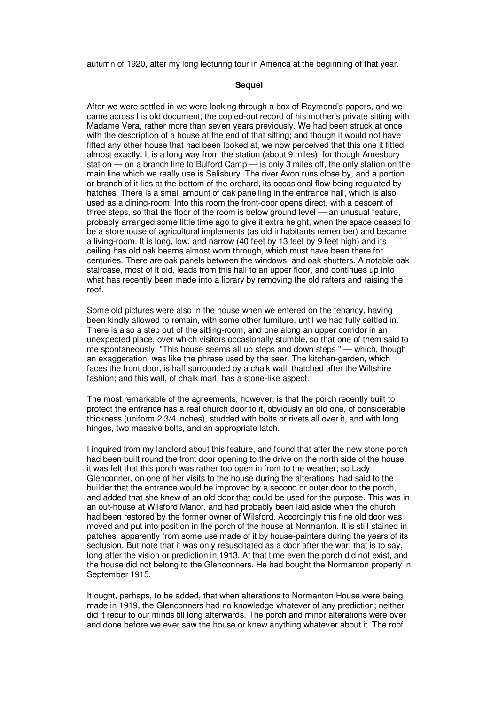autumn of 1920, after my long lecturing tour in America at the beginning of that year.

### **Sequel**

After we were settled in we were looking through a box of Raymond's papers, and we came across his old document, the copied-out record of his mother's private sitting with Madame Vera, rather more than seven years previously. We had been struck at once with the description of a house at the end of that sitting; and though it would not have fitted any other house that had been looked at, we now perceived that this one it fitted almost exactly. It is a long way from the station (about 9 miles); for though Amesbury station — on a branch line to Bulford Camp — is only 3 miles off, the only station on the main line which we really use is Salisbury. The river Avon runs close by, and a portion or branch of it lies at the bottom of the orchard, its occasional flow being regulated by hatches, There is a small amount of oak panelling in the entrance hall, which is also used as a dining-room. Into this room the front-door opens direct, with a descent of three steps, so that the floor of the room is below ground level — an unusual feature, probably arranged some little time ago to give it extra height, when the space ceased to be a storehouse of agricultural implements (as old inhabitants remember) and became a living-room. It is long, low, and narrow (40 feet by 13 feet by 9 feet high) and its ceiling has old oak beams almost worn through, which must have been there for centuries. There are oak panels between the windows, and oak shutters. A notable oak staircase, most of it old, leads from this hall to an upper floor, and continues up into what has recently been made into a library by removing the old rafters and raising the roof.

Some old pictures were also in the house when we entered on the tenancy, having been kindly allowed to remain, with some other furniture, until we had fully settled in. There is also a step out of the sitting-room, and one along an upper corridor in an unexpected place, over which visitors occasionally stumble, so that one of them said to me spontaneously, "This house seems all up steps and down steps " — which, though an exaggeration, was like the phrase used by the seer. The kitchen-garden, which faces the front door, is half surrounded by a chalk wall, thatched after the Wiltshire fashion; and this wall, of chalk marl, has a stone-like aspect.

The most remarkable of the agreements, however, is that the porch recently built to protect the entrance has a real church door to it, obviously an old one, of considerable thickness (uniform 2 3/4 inches), studded with bolts or rivets all over it, and with long hinges, two massive bolts, and an appropriate latch.

I inquired from my landlord about this feature, and found that after the new stone porch had been built round the front door opening to the drive on the north side of the house, it was felt that this porch was rather too open in front to the weather; so Lady Glenconner, on one of her visits to the house during the alterations, had said to the builder that the entrance would be improved by a second or outer door to the porch, and added that she knew of an old door that could be used for the purpose. This was in an out-house at Wilsford Manor, and had probably been laid aside when the church had been restored by the former owner of Wilsford. Accordingly this fine old door was moved and put into position in the porch of the house at Normanton. It is still stained in patches, apparently from some use made of it by house-painters during the years of its seclusion. But note that it was only resuscitated as a door after the war; that is to say, long after the vision or prediction in 1913. At that time even the porch did not exist, and the house did not belong to the Glenconners. He had bought the Normanton property in September 1915.

It ought, perhaps, to be added, that when alterations to Normanton House were being made in 1919, the Glenconners had no knowledge whatever of any prediction; neither did it recur to our minds till long afterwards. The porch and minor alterations were over and done before we ever saw the house or knew anything whatever about it. The roof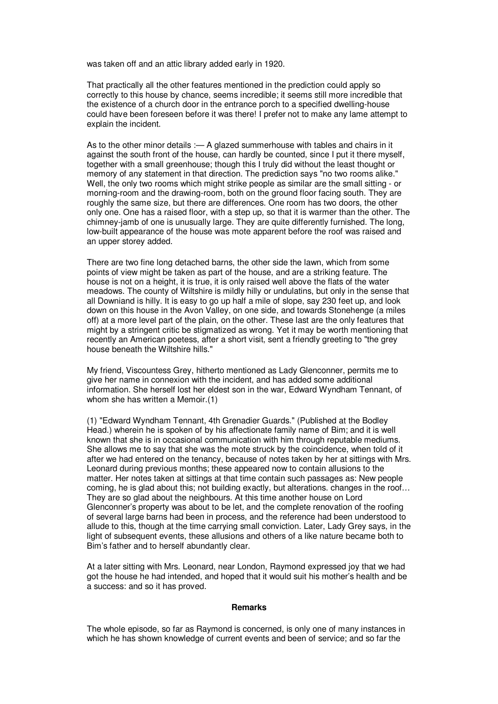was taken off and an attic library added early in 1920.

That practically all the other features mentioned in the prediction could apply so correctly to this house by chance, seems incredible; it seems still more incredible that the existence of a church door in the entrance porch to a specified dwelling-house could have been foreseen before it was there! I prefer not to make any lame attempt to explain the incident.

As to the other minor details :— A glazed summerhouse with tables and chairs in it against the south front of the house, can hardly be counted, since I put it there myself, together with a small greenhouse; though this I truly did without the least thought or memory of any statement in that direction. The prediction says "no two rooms alike." Well, the only two rooms which might strike people as similar are the small sitting - or morning-room and the drawing-room, both on the ground floor facing south. They are roughly the same size, but there are differences. One room has two doors, the other only one. One has a raised floor, with a step up, so that it is warmer than the other. The chimney-jamb of one is unusually large. They are quite differently furnished. The long, low-built appearance of the house was mote apparent before the roof was raised and an upper storey added.

There are two fine long detached barns, the other side the lawn, which from some points of view might be taken as part of the house, and are a striking feature. The house is not on a height, it is true, it is only raised well above the flats of the water meadows. The county of Wiltshire is mildly hilly or undulatins, but only in the sense that all Downiand is hilly. It is easy to go up half a mile of slope, say 230 feet up, and look down on this house in the Avon Valley, on one side, and towards Stonehenge (a miles off) at a more level part of the plain, on the other. These last are the only features that might by a stringent critic be stigmatized as wrong. Yet it may be worth mentioning that recently an American poetess, after a short visit, sent a friendly greeting to "the grey house beneath the Wiltshire hills."

My friend, Viscountess Grey, hitherto mentioned as Lady Glenconner, permits me to give her name in connexion with the incident, and has added some additional information. She herself lost her eldest son in the war, Edward Wyndham Tennant, of whom she has written a Memoir.(1)

(1) "Edward Wyndham Tennant, 4th Grenadier Guards." (Published at the Bodley Head.) wherein he is spoken of by his affectionate family name of Bim; and it is well known that she is in occasional communication with him through reputable mediums. She allows me to say that she was the mote struck by the coincidence, when told of it after we had entered on the tenancy, because of notes taken by her at sittings with Mrs. Leonard during previous months; these appeared now to contain allusions to the matter. Her notes taken at sittings at that time contain such passages as: New people coming, he is glad about this; not building exactly, but alterations. changes in the roof… They are so glad about the neighbours. At this time another house on Lord Glenconner's property was about to be let, and the complete renovation of the roofing of several large barns had been in process, and the reference had been understood to allude to this, though at the time carrying small conviction. Later, Lady Grey says, in the light of subsequent events, these allusions and others of a like nature became both to Bim's father and to herself abundantly clear.

At a later sitting with Mrs. Leonard, near London, Raymond expressed joy that we had got the house he had intended, and hoped that it would suit his mother's health and be a success: and so it has proved.

#### **Remarks**

The whole episode, so far as Raymond is concerned, is only one of many instances in which he has shown knowledge of current events and been of service; and so far the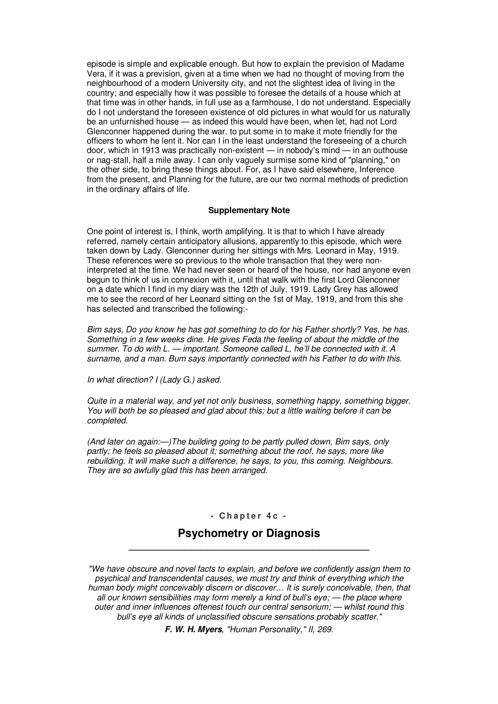episode is simple and explicable enough. But how to explain the prevision of Madame Vera, if it was a prevision, given at a time when we had no thought of moving from the neighbourhood of a modern University city, and not the slightest idea of living in the country; and especially how it was possible to foresee the details of a house which at that time was in other hands, in full use as a farmhouse, I do not understand. Especially do I not understand the foreseen existence of old pictures in what would for us naturally be an unfurnished house — as indeed this would have been, when let, had not Lord Glenconner happened during the war. to put some in to make it mote friendly for the officers to whom he lent it. Nor can I in the least understand the foreseeing of a church door, which in 1913 was practically non-existent — in nobody's mind — in an outhouse or nag-stall, half a mile away. I can only vaguely surmise some kind of "planning," on the other side, to bring these things about. For, as I have said elsewhere, Inference from the present, and Planning for the future, are our two normal methods of prediction in the ordinary affairs of life.

### **Supplementary Note**

One point of interest is, I think, worth amplifying. It is that to which I have already referred, namely certain anticipatory allusions, apparently to this episode, which were taken down by Lady. Glenconner during her sittings with Mrs. Leonard in May, 1919. These references were so previous to the whole transaction that they were noninterpreted at the time. We had never seen or heard of the house, nor had anyone even begun to think of us in connexion with it, until that walk with the first Lord Glenconner on a date which I find in my diary was the 12th of July, 1919. Lady Grey has allowed me to see the record of her Leonard sitting on the 1st of May, 1919, and from this she has selected and transcribed the following:-

*Bim says, Do you know he has got something to do for his Father shortly? Yes, he has. Something in a few weeks dine. He gives Feda the feeling of about the middle of the summer. To do with L. — important. Someone called L, he'll be connected with it. A surname, and a man. Bum says importantly connected with his Father to do with this.*

*In what direction? I (Lady G.) asked.*

*Quite in a material way, and yet not only business, something happy, something bigger. You will both be so pleased and glad about this; but a little waiting before it can be completed.*

*(And later on again:—)The building going to be partly pulled down, Bim says, only partly; he feels so pleased about it; something about the roof, he says, more like rebuilding. It will make such a difference, he says, to you, this coming. Neighbours. They are so awfully glad this has been arranged.*

## **- C h a p t e r 4 c -**

# **Psychometry or Diagnosis \_\_\_\_\_\_\_\_\_\_\_\_\_\_\_\_\_\_\_\_\_\_\_\_\_\_\_\_\_\_\_\_\_\_\_\_\_\_\_\_\_\_\_**

*"We have obscure and novel facts to explain, and before we confidently assign them to psychical and transcendental causes, we must try and think of everything which the human body might conceivably discern or discover… It is surely conceivable, then, that all our known sensibilities may form merely a kind of bull's eye; — the place where outer and inner influences oftenest touch our central sensorium; — whilst round this bull's eye all kinds of unclassified obscure sensations probably scatter."*

*F. W. H. Myers, "Human Personality," II, 269.*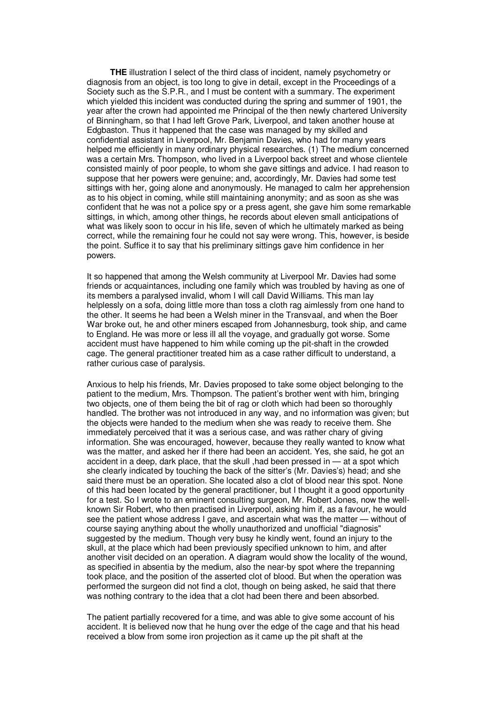**THE** illustration I select of the third class of incident, namely psychometry or diagnosis from an object, is too long to give in detail, except in the Proceedings of a Society such as the S.P.R., and I must be content with a summary. The experiment which yielded this incident was conducted during the spring and summer of 1901, the year after the crown had appointed me Principal of the then newly chartered University of Binningham, so that I had left Grove Park, Liverpool, and taken another house at Edgbaston. Thus it happened that the case was managed by my skilled and confidential assistant in Liverpool, Mr. Benjamin Davies, who had for many years helped me efficiently in many ordinary physical researches. (1) The medium concerned was a certain Mrs. Thompson, who lived in a Liverpool back street and whose clientele consisted mainly of poor people, to whom she gave sittings and advice. I had reason to suppose that her powers were genuine; and, accordingly, Mr. Davies had some test sittings with her, going alone and anonymously. He managed to calm her apprehension as to his object in coming, while still maintaining anonymity; and as soon as she was confident that he was not a police spy or a press agent, she gave him some remarkable sittings, in which, among other things, he records about eleven small anticipations of what was likely soon to occur in his life, seven of which he ultimately marked as being correct, while the remaining four he could not say were wrong. This, however, is beside the point. Suffice it to say that his preliminary sittings gave him confidence in her powers.

It so happened that among the Welsh community at Liverpool Mr. Davies had some friends or acquaintances, including one family which was troubled by having as one of its members a paralysed invalid, whom I will call David Williams. This man lay helplessly on a sofa, doing little more than toss a cloth rag aimlessly from one hand to the other. It seems he had been a Welsh miner in the Transvaal, and when the Boer War broke out, he and other miners escaped from Johannesburg, took ship, and came to England. He was more or less ill all the voyage, and gradually got worse. Some accident must have happened to him while coming up the pit-shaft in the crowded cage. The general practitioner treated him as a case rather difficult to understand, a rather curious case of paralysis.

Anxious to help his friends, Mr. Davies proposed to take some object belonging to the patient to the medium, Mrs. Thompson. The patient's brother went with him, bringing two objects, one of them being the bit of rag or cloth which had been so thoroughly handled. The brother was not introduced in any way, and no information was given; but the objects were handed to the medium when she was ready to receive them. She immediately perceived that it was a serious case, and was rather chary of giving information. She was encouraged, however, because they really wanted to know what was the matter, and asked her if there had been an accident. Yes, she said, he got an accident in a deep, dark place, that the skull ,had been pressed in — at a spot which she clearly indicated by touching the back of the sitter's (Mr. Davies's) head; and she said there must be an operation. She located also a clot of blood near this spot. None of this had been located by the general practitioner, but I thought it a good opportunity for a test. So I wrote to an eminent consulting surgeon, Mr. Robert Jones, now the wellknown Sir Robert, who then practised in Liverpool, asking him if, as a favour, he would see the patient whose address I gave, and ascertain what was the matter — without of course saying anything about the wholly unauthorized and unofficial "diagnosis" suggested by the medium. Though very busy he kindly went, found an injury to the skull, at the place which had been previously specified unknown to him, and after another visit decided on an operation. A diagram would show the locality of the wound, as specified in absentia by the medium, also the near-by spot where the trepanning took place, and the position of the asserted clot of blood. But when the operation was performed the surgeon did not find a clot, though on being asked, he said that there was nothing contrary to the idea that a clot had been there and been absorbed.

The patient partially recovered for a time, and was able to give some account of his accident. It is believed now that he hung over the edge of the cage and that his head received a blow from some iron projection as it came up the pit shaft at the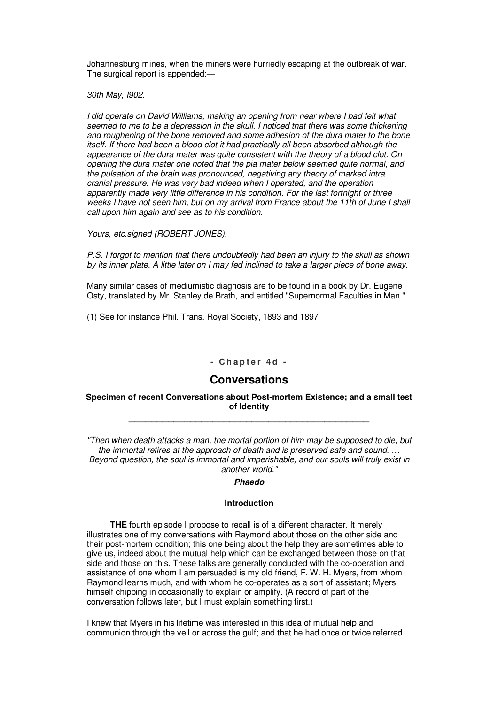Johannesburg mines, when the miners were hurriedly escaping at the outbreak of war. The surgical report is appended:-

*30th May, I902.*

*I did operate on David Williams, making an opening from near where I bad felt what seemed to me to be a depression in the skull. I noticed that there was some thickening and roughening of the bone removed and some adhesion of the dura mater to the bone itself. If there had been a blood clot it had practically all been absorbed although the appearance of the dura mater was quite consistent with the theory of a blood clot. On opening the dura mater one noted that the pia mater below seemed quite normal, and the pulsation of the brain was pronounced, negativing any theory of marked intra cranial pressure. He was very bad indeed when I operated, and the operation apparently made very little difference in his condition. For the last fortnight or three weeks I have not seen him, but on my arrival from France about the 11th of June I shall call upon him again and see as to his condition.*

*Yours, etc.signed (ROBERT JONES).*

*P.S. I forgot to mention that there undoubtedly had been an injury to the skull as shown* by its inner plate. A little later on I may fed inclined to take a larger piece of bone away.

Many similar cases of mediumistic diagnosis are to be found in a book by Dr. Eugene Osty, translated by Mr. Stanley de Brath, and entitled "Supernormal Faculties in Man."

(1) See for instance Phil. Trans. Royal Society, 1893 and 1897

## **- C h a p t e r 4 d -**

## **Conversations**

## **Specimen of recent Conversations about Post-mortem Existence; and a small test of Identity \_\_\_\_\_\_\_\_\_\_\_\_\_\_\_\_\_\_\_\_\_\_\_\_\_\_\_\_\_\_\_\_\_\_\_\_\_\_\_\_\_\_\_**

*"Then when death attacks a man, the mortal portion of him may be supposed to die, but the immortal retires at the approach of death and is preserved safe and sound. … Beyond question, the soul is immortal and imperishable, and our souls will truly exist in another world."*

#### *Phaedo*

#### **Introduction**

**THE** fourth episode I propose to recall is of a different character. It merely illustrates one of my conversations with Raymond about those on the other side and their post-mortem condition; this one being about the help they are sometimes able to give us, indeed about the mutual help which can be exchanged between those on that side and those on this. These talks are generally conducted with the co-operation and assistance of one whom I am persuaded is my old friend, F. W. H. Myers, from whom Raymond learns much, and with whom he co-operates as a sort of assistant; Myers himself chipping in occasionally to explain or amplify. (A record of part of the conversation follows later, but I must explain something first.)

I knew that Myers in his lifetime was interested in this idea of mutual help and communion through the veil or across the gulf; and that he had once or twice referred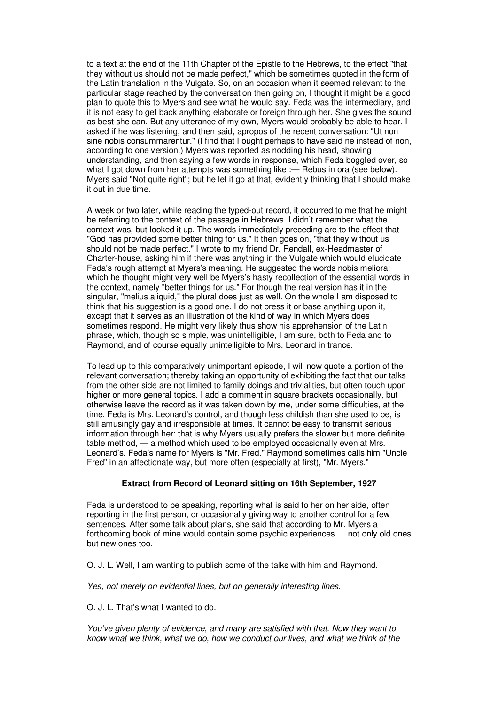to a text at the end of the 11th Chapter of the Epistle to the Hebrews, to the effect "that they without us should not be made perfect," which be sometimes quoted in the form of the Latin translation in the Vulgate. So, on an occasion when it seemed relevant to the particular stage reached by the conversation then going on, I thought it might be a good plan to quote this to Myers and see what he would say. Feda was the intermediary, and it is not easy to get back anything elaborate or foreign through her. She gives the sound as best she can. But any utterance of my own, Myers would probably be able to hear. I asked if he was listening, and then said, apropos of the recent conversation: "Ut non sine nobis consummarentur." (I find that I ought perhaps to have said ne instead of non, according to one version.) Myers was reported as nodding his head, showing understanding, and then saying a few words in response, which Feda boggled over, so what I got down from her attempts was something like :— Rebus in ora (see below). Myers said "Not quite right"; but he let it go at that, evidently thinking that I should make it out in due time.

A week or two later, while reading the typed-out record, it occurred to me that he might be referring to the context of the passage in Hebrews. I didn't remember what the context was, but looked it up. The words immediately preceding are to the effect that "God has provided some better thing for us." It then goes on, "that they without us should not be made perfect." I wrote to my friend Dr. Rendall, ex-Headmaster of Charter-house, asking him if there was anything in the Vulgate which would elucidate Feda's rough attempt at Myers's meaning. He suggested the words nobis meliora; which he thought might very well be Myers's hasty recollection of the essential words in the context, namely "better things for us." For though the real version has it in the singular, "melius aliquid," the plural does just as well. On the whole I am disposed to think that his suggestion is a good one. I do not press it or base anything upon it, except that it serves as an illustration of the kind of way in which Myers does sometimes respond. He might very likely thus show his apprehension of the Latin phrase, which, though so simple, was unintelligible, I am sure, both to Feda and to Raymond, and of course equally unintelligible to Mrs. Leonard in trance.

To lead up to this comparatively unimportant episode, I will now quote a portion of the relevant conversation; thereby taking an opportunity of exhibiting the fact that our talks from the other side are not limited to family doings and trivialities, but often touch upon higher or more general topics. I add a comment in square brackets occasionally, but otherwise leave the record as it was taken down by me, under some difficulties, at the time. Feda is Mrs. Leonard's control, and though less childish than she used to be, is still amusingly gay and irresponsible at times. It cannot be easy to transmit serious information through her: that is why Myers usually prefers the slower but more definite table method, — a method which used to be employed occasionally even at Mrs. Leonard's. Feda's name for Myers is "Mr. Fred." Raymond sometimes calls him "Uncle Fred" in an affectionate way, but more often (especially at first), "Mr. Myers."

## **Extract from Record of Leonard sitting on 16th September, 1927**

Feda is understood to be speaking, reporting what is said to her on her side, often reporting in the first person, or occasionally giving way to another control for a few sentences. After some talk about plans, she said that according to Mr. Myers a forthcoming book of mine would contain some psychic experiences … not only old ones but new ones too.

O. J. L. Well, I am wanting to publish some of the talks with him and Raymond.

*Yes, not merely on evidential lines, but on generally interesting lines.*

O. J. L. That's what I wanted to do.

*You've given plenty of evidence, and many are satisfied with that. Now they want to know what we think, what we do, how we conduct our lives, and what we think of the*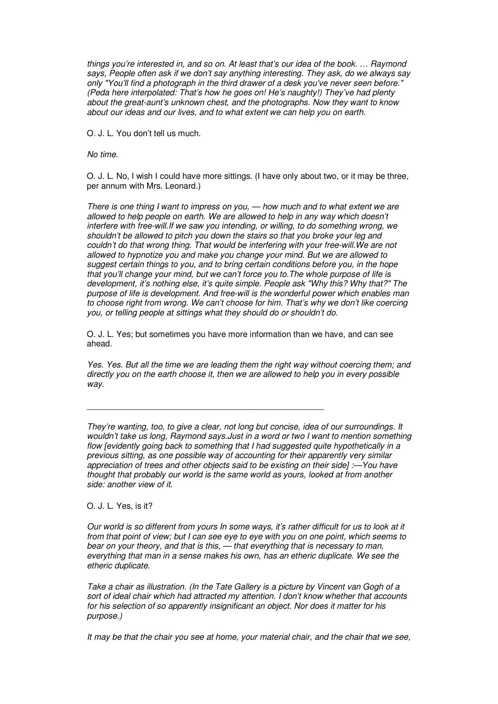*things you're interested in, and so on. At least that's our idea of the book. … Raymond says, People often ask if we don't say anything interesting. They ask, do we always say only "You'll find a photograph in the third drawer of a desk you've never seen before." (Peda here interpolated: That's how he goes on! He's naughty!) They've had plenty about the great-aunt's unknown chest, and the photographs. Now they want to know about our ideas and our lives, and to what extent we can help you on earth.*

O. J. L. You don't tell us much.

*No time.*

O. J. L. No, I wish I could have more sittings. (I have only about two, or it may be three, per annum with Mrs. Leonard.)

*There is one thing I want to impress on you, — how much and to what extent we are allowed to help people on earth. We are allowed to help in any way which doesn't interfere with free-will.If we saw you intending, or willing, to do something wrong, we shouldn't be allowed to pitch you down the stairs so that you broke your leg and couldn't do that wrong thing. That would be interfering with your free-will.We are not allowed to hypnotize you and make you change your mind. But we are allowed to suggest certain things to you, and to bring certain conditions before you, in the hope that you'll change your mind, but we can't force you to.The whole purpose of life is development, it's nothing else, it's quite simple. People ask "Why this? Why that?" The purpose of life is development. And free-will is the wonderful power which enables man to choose right from wrong. We can't choose for him. That's why we don't like coercing you, or telling people at sittings what they should do or shouldn't do.*

O. J. L. Yes; but sometimes you have more information than we have, and can see ahead.

 $\overline{\phantom{a}}$  , and the set of the set of the set of the set of the set of the set of the set of the set of the set of the set of the set of the set of the set of the set of the set of the set of the set of the set of the s

*Yes. Yes. But all the time we are leading them the right way without coercing them; and directly you on the earth choose it, then we are allowed to help you in every possible way.*

*They're wanting, too, to give a clear, not long but concise, idea of our surroundings. It wouldn't take us long, Raymond says.Just in a word or two I want to mention something flow [evidently going back to something that I had suggested quite hypothetically in a previous sitting, as one possible way of accounting for their apparently very similar appreciation of trees and other objects said to be existing on their side] :—You have thought that probably our world is the same world as yours, looked at from another side: another view of it.*

O. J. L. Yes, is it?

Our world is so different from yours In some ways, it's rather difficult for us to look at it from that point of view; but I can see eye to eye with you on one point, which seems to *bear on your theory, and that is this, — that everything that is necessary to man, everything that man in a sense makes his own, has an etheric duplicate. We see the etheric duplicate.*

*Take a chair as illustration. (In the Tate Gallery is a picture by Vincent van Gogh of a sort of ideal chair which had attracted my attention. I don't know whether that accounts for his selection of so apparently insignificant an object. Nor does it matter for his purpose.)*

*It may be that the chair you see at home, your material chair, and the chair that we see,*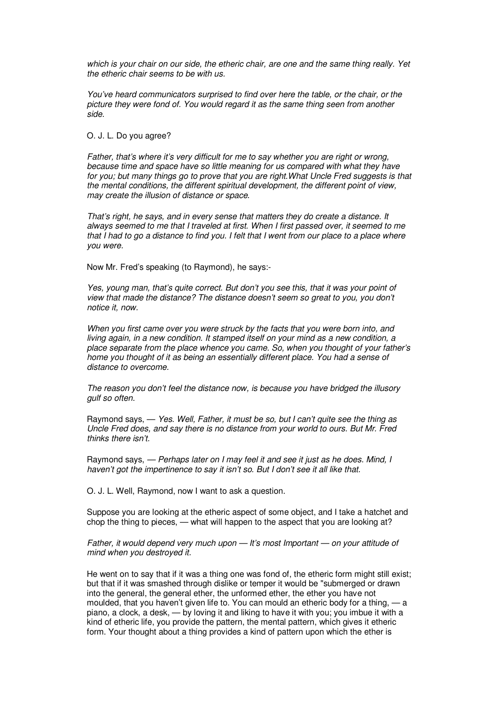*which is your chair on our side, the etheric chair, are one and the same thing really. Yet the etheric chair seems to be with us.*

*You've heard communicators surprised to find over here the table, or the chair, or the picture they were fond of. You would regard it as the same thing seen from another side.*

#### O. J. L. Do you agree?

*Father, that's where it's very difficult for me to say whether you are right or wrong, because time and space have so little meaning for us compared with what they have for you; but many things go to prove that you are right.What Uncle Fred suggests is that the mental conditions, the different spiritual development, the different point of view, may create the illusion of distance or space.*

*That's right, he says, and in every sense that matters they do create a distance. It always seemed to me that I traveled at first. When I first passed over, it seemed to me* that I had to go a distance to find you. I felt that I went from our place to a place where *you were.*

Now Mr. Fred's speaking (to Raymond), he says:-

*Yes, young man, that's quite correct. But don't you see this, that it was your point of view that made the distance? The distance doesn't seem so great to you, you don't notice it, now.*

*When you first came over you were struck by the facts that you were born into, and living again, in a new condition. It stamped itself on your mind as a new condition, a place separate from the place whence you came. So, when you thought of your father's home you thought of it as being an essentially different place. You had a sense of distance to overcome.*

*The reason you don't feel the distance now, is because you have bridged the illusory gulf so often.*

Raymond says, — *Yes. Well, Father, it must be so, but I can't quite see the thing as Uncle Fred does, and say there is no distance from your world to ours. But Mr. Fred thinks there isn't.*

Raymond says, *— Perhaps later on I may feel it and see it just as he does. Mind, I haven't got the impertinence to say it isn't so. But I don't see it all like that.*

O. J. L. Well, Raymond, now I want to ask a question.

Suppose you are looking at the etheric aspect of some object, and I take a hatchet and chop the thing to pieces, — what will happen to the aspect that you are looking at?

*Father, it would depend very much upon — It's most Important — on your attitude of mind when you destroyed it.*

He went on to say that if it was a thing one was fond of, the etheric form might still exist; but that if it was smashed through dislike or temper it would be "submerged or drawn into the general, the general ether, the unformed ether, the ether you have not moulded, that you haven't given life to. You can mould an etheric body for a thing, — a piano, a clock, a desk, — by loving it and liking to have it with you; you imbue it with a kind of etheric life, you provide the pattern, the mental pattern, which gives it etheric form. Your thought about a thing provides a kind of pattern upon which the ether is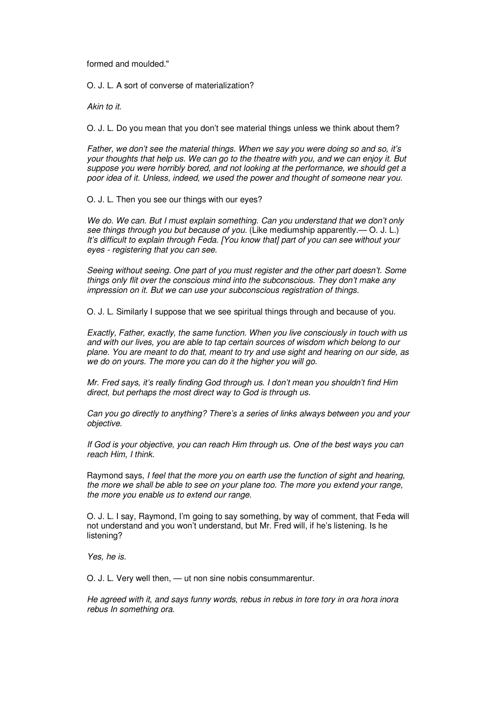formed and moulded."

O. J. L. A sort of converse of materialization?

*Akin to it.*

O. J. L. Do you mean that you don't see material things unless we think about them?

*Father, we don't see the material things. When we say you were doing so and so, it's your thoughts that help us. We can go to the theatre with you, and we can enjoy it. But suppose you were horribly bored, and not looking at the performance, we should get a poor idea of it. Unless, indeed, we used the power and thought of someone near you.*

O. J. L. Then you see our things with our eyes?

*We do. We can. But I must explain something. Can you understand that we don't only see things through you but because of you.* (Like mediumship apparently.— O. J. L.) *It's difficult to explain through Feda. [You know that] part of you can see without your eyes - registering that you can see.*

*Seeing without seeing. One part of you must register and the other part doesn't. Some things only flit over the conscious mind into the subconscious. They don't make any impression on it. But we can use your subconscious registration of things.*

O. J. L. Similarly I suppose that we see spiritual things through and because of you.

*Exactly, Father, exactly, the same function. When you live consciously in touch with us and with our lives, you are able to tap certain sources of wisdom which belong to our plane. You are meant to do that, meant to try and use sight and hearing on our side, as we do on yours. The more you can do it the higher you will go.*

*Mr. Fred says, it's really finding God through us. I don't mean you shouldn't find Him direct, but perhaps the most direct way to God is through us.*

*Can you go directly to anything? There's a series of links always between you and your objective.*

*If God is your objective, you can reach Him through us. One of the best ways you can reach Him, I think.*

Raymond says, *I feel that the more you on earth use the function of sight and hearing, the more we shall be able to see on your plane too. The more you extend your range, the more you enable us to extend our range.*

O. J. L. I say, Raymond, I'm going to say something, by way of comment, that Feda will not understand and you won't understand, but Mr. Fred will, if he's listening. Is he listening?

*Yes, he is.*

O. J. L. Very well then, — ut non sine nobis consummarentur.

*He agreed with it, and says funny words, rebus in rebus in tore tory in ora hora inora rebus In something ora.*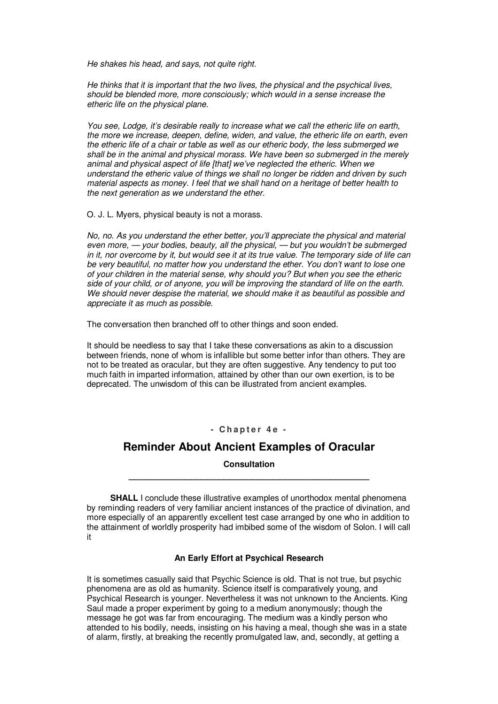*He shakes his head, and says, not quite right.*

*He thinks that it is important that the two lives, the physical and the psychical lives, should be blended more, more consciously; which would in a sense increase the etheric life on the physical plane.*

*You see, Lodge, it's desirable really to increase what we call the etheric life on earth, the more we increase, deepen, define, widen, and value, the etheric life on earth, even the etheric life of a chair or table as well as our etheric body, the less submerged we shall be in the animal and physical morass. We have been so submerged in the merely animal and physical aspect of life [that] we've neglected the etheric. When we understand the etheric value of things we shall no longer be ridden and driven by such material aspects as money. I feel that we shall hand on a heritage of better health to the next generation as we understand the ether.*

O. J. L. Myers, physical beauty is not a morass.

*No, no. As you understand the ether better, you'll appreciate the physical and material even more, — your bodies, beauty, all the physical, — but you wouldn't be submerged* in it, nor overcome by it, but would see it at its true value. The temporary side of life can *be very beautiful, no matter how you understand the ether. You don't want to lose one of your children in the material sense, why should you? But when you see the etheric side of your child, or of anyone, you will be improving the standard of life on the earth. We should never despise the material, we should make it as beautiful as possible and appreciate it as much as possible.*

The conversation then branched off to other things and soon ended.

It should be needless to say that I take these conversations as akin to a discussion between friends, none of whom is infallible but some better infor than others. They are not to be treated as oracular, but they are often suggestive. Any tendency to put too much faith in imparted information, attained by other than our own exertion, is to be deprecated. The unwisdom of this can be illustrated from ancient examples.

### **- C h a p t e r 4 e -**

# **Reminder About Ancient Examples of Oracular**

**Consultation \_\_\_\_\_\_\_\_\_\_\_\_\_\_\_\_\_\_\_\_\_\_\_\_\_\_\_\_\_\_\_\_\_\_\_\_\_\_\_\_\_\_\_**

**SHALL** I conclude these illustrative examples of unorthodox mental phenomena by reminding readers of very familiar ancient instances of the practice of divination, and more especially of an apparently excellent test case arranged by one who in addition to the attainment of worldly prosperity had imbibed some of the wisdom of Solon. I will call it

### **An Early Effort at Psychical Research**

It is sometimes casually said that Psychic Science is old. That is not true, but psychic phenomena are as old as humanity. Science itself is comparatively young, and Psychical Research is younger. Nevertheless it was not unknown to the Ancients. King Saul made a proper experiment by going to a medium anonymously; though the message he got was far from encouraging. The medium was a kindly person who attended to his bodily, needs, insisting on his having a meal, though she was in a state of alarm, firstly, at breaking the recently promulgated law, and, secondly, at getting a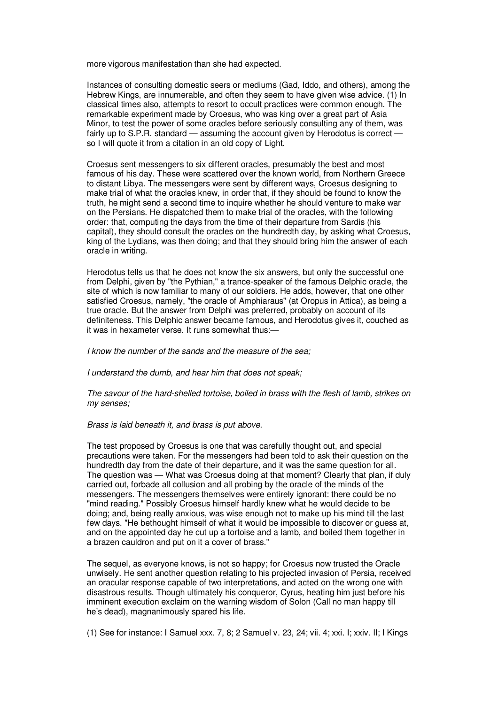more vigorous manifestation than she had expected.

Instances of consulting domestic seers or mediums (Gad, Iddo, and others), among the Hebrew Kings, are innumerable, and often they seem to have given wise advice. (1) In classical times also, attempts to resort to occult practices were common enough. The remarkable experiment made by Croesus, who was king over a great part of Asia Minor, to test the power of some oracles before seriously consulting any of them, was fairly up to S.P.R. standard — assuming the account given by Herodotus is correct so I will quote it from a citation in an old copy of Light.

Croesus sent messengers to six different oracles, presumably the best and most famous of his day. These were scattered over the known world, from Northern Greece to distant Libya. The messengers were sent by different ways, Croesus designing to make trial of what the oracles knew, in order that, if they should be found to know the truth, he might send a second time to inquire whether he should venture to make war on the Persians. He dispatched them to make trial of the oracles, with the following order: that, computing the days from the time of their departure from Sardis (his capital), they should consult the oracles on the hundredth day, by asking what Croesus, king of the Lydians, was then doing; and that they should bring him the answer of each oracle in writing.

Herodotus tells us that he does not know the six answers, but only the successful one from Delphi, given by "the Pythian," a trance-speaker of the famous Delphic oracle, the site of which is now familiar to many of our soldiers. He adds, however, that one other satisfied Croesus, namely, "the oracle of Amphiaraus" (at Oropus in Attica), as being a true oracle. But the answer from Delphi was preferred, probably on account of its definiteness. This Delphic answer became famous, and Herodotus gives it, couched as it was in hexameter verse. It runs somewhat thus:—

*I know the number of the sands and the measure of the sea;*

*I understand the dumb, and hear him that does not speak;*

*The savour of the hard-shelled tortoise, boiled in brass with the flesh of lamb, strikes on my senses;*

*Brass is laid beneath it, and brass is put above.*

The test proposed by Croesus is one that was carefully thought out, and special precautions were taken. For the messengers had been told to ask their question on the hundredth day from the date of their departure, and it was the same question for all. The question was — What was Croesus doing at that moment? Clearly that plan, if duly carried out, forbade all collusion and all probing by the oracle of the minds of the messengers. The messengers themselves were entirely ignorant: there could be no "mind reading." Possibly Croesus himself hardly knew what he would decide to be doing; and, being really anxious, was wise enough not to make up his mind till the last few days. "He bethought himself of what it would be impossible to discover or guess at, and on the appointed day he cut up a tortoise and a lamb, and boiled them together in a brazen cauldron and put on it a cover of brass."

The sequel, as everyone knows, is not so happy; for Croesus now trusted the Oracle unwisely. He sent another question relating to his projected invasion of Persia, received an oracular response capable of two interpretations, and acted on the wrong one with disastrous results. Though ultimately his conqueror, Cyrus, heating him just before his imminent execution exclaim on the warning wisdom of Solon (Call no man happy till he's dead), magnanimously spared his life.

(1) See for instance: I Samuel xxx. 7, 8; 2 Samuel v. 23, 24; vii. 4; xxi. I; xxiv. II; I Kings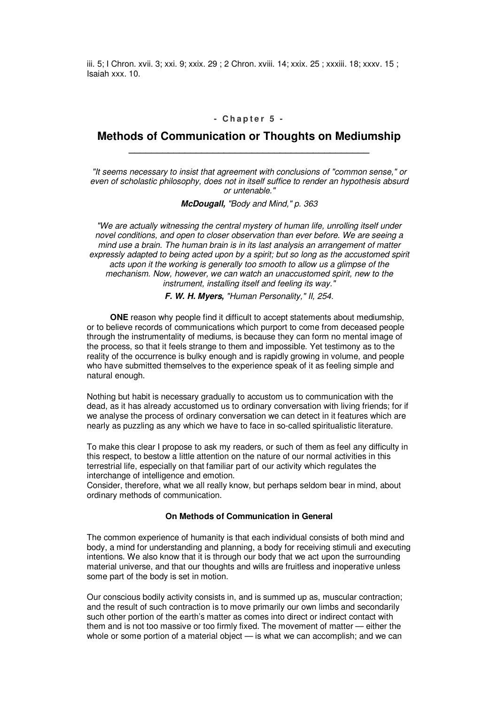iii. 5; I Chron. xvii. 3; xxi. 9; xxix. 29 ; 2 Chron. xviii. 14; xxix. 25 ; xxxiii. 18; xxxv. 15 ; Isaiah xxx. 10.

### **- C h a p t e r 5 -**

# **Methods of Communication or Thoughts on Mediumship \_\_\_\_\_\_\_\_\_\_\_\_\_\_\_\_\_\_\_\_\_\_\_\_\_\_\_\_\_\_\_\_\_\_\_\_\_\_\_\_\_\_\_**

*"It seems necessary to insist that agreement with conclusions of "common sense," or even of scholastic philosophy, does not in itself suffice to render an hypothesis absurd or untenable."*

*McDougall, "Body and Mind," p. 363*

*"We are actually witnessing the central mystery of human life, unrolling itself under novel conditions, and open to closer observation than ever before. We are seeing a mind use a brain. The human brain is in its last analysis an arrangement of matter expressly adapted to being acted upon by a spirit; but so long as the accustomed spirit acts upon it the working is generally too smooth to allow us a glimpse of the mechanism. Now, however, we can watch an unaccustomed spirit, new to the instrument, installing itself and feeling its way."*

*F. W. H. Myers, "Human Personality," II, 254.*

**ONE** reason why people find it difficult to accept statements about mediumship, or to believe records of communications which purport to come from deceased people through the instrumentality of mediums, is because they can form no mental image of the process, so that it feels strange to them and impossible. Yet testimony as to the reality of the occurrence is bulky enough and is rapidly growing in volume, and people who have submitted themselves to the experience speak of it as feeling simple and natural enough.

Nothing but habit is necessary gradually to accustom us to communication with the dead, as it has already accustomed us to ordinary conversation with living friends; for if we analyse the process of ordinary conversation we can detect in it features which are nearly as puzzling as any which we have to face in so-called spiritualistic literature.

To make this clear I propose to ask my readers, or such of them as feel any difficulty in this respect, to bestow a little attention on the nature of our normal activities in this terrestrial life, especially on that familiar part of our activity which regulates the interchange of intelligence and emotion.

Consider, therefore, what we all really know, but perhaps seldom bear in mind, about ordinary methods of communication.

## **On Methods of Communication in General**

The common experience of humanity is that each individual consists of both mind and body, a mind for understanding and planning, a body for receiving stimuli and executing intentions. We also know that it is through our body that we act upon the surrounding material universe, and that our thoughts and wills are fruitless and inoperative unless some part of the body is set in motion.

Our conscious bodily activity consists in, and is summed up as, muscular contraction; and the result of such contraction is to move primarily our own limbs and secondarily such other portion of the earth's matter as comes into direct or indirect contact with them and is not too massive or too firmly fixed. The movement of matter — either the whole or some portion of a material object — is what we can accomplish; and we can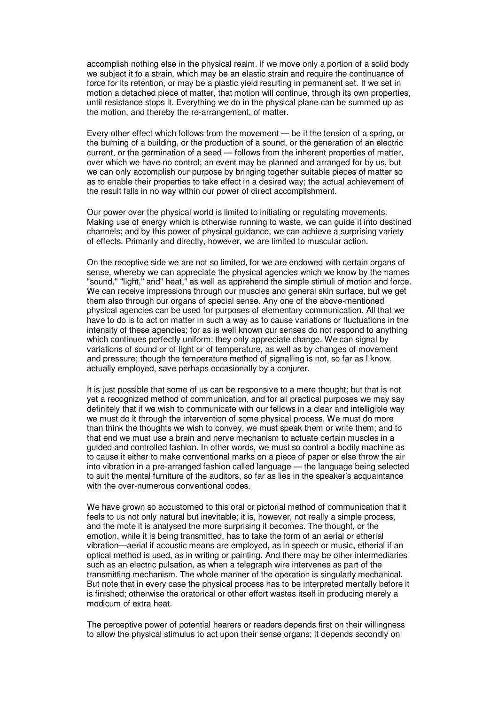accomplish nothing else in the physical realm. If we move only a portion of a solid body we subject it to a strain, which may be an elastic strain and require the continuance of force for its retention, or may be a plastic yield resulting in permanent set. If we set in motion a detached piece of matter, that motion will continue, through its own properties, until resistance stops it. Everything we do in the physical plane can be summed up as the motion, and thereby the re-arrangement, of matter.

Every other effect which follows from the movement — be it the tension of a spring, or the burning of a building, or the production of a sound, or the generation of an electric current, or the germination of a seed — follows from the inherent properties of matter, over which we have no control; an event may be planned and arranged for by us, but we can only accomplish our purpose by bringing together suitable pieces of matter so as to enable their properties to take effect in a desired way; the actual achievement of the result falls in no way within our power of direct accomplishment.

Our power over the physical world is limited to initiating or regulating movements. Making use of energy which is otherwise running to waste, we can guide it into destined channels; and by this power of physical guidance, we can achieve a surprising variety of effects. Primarily and directly, however, we are limited to muscular action.

On the receptive side we are not so limited, for we are endowed with certain organs of sense, whereby we can appreciate the physical agencies which we know by the names "sound," "light," and" heat," as well as apprehend the simple stimuli of motion and force. We can receive impressions through our muscles and general skin surface, but we get them also through our organs of special sense. Any one of the above-mentioned physical agencies can be used for purposes of elementary communication. All that we have to do is to act on matter in such a way as to cause variations or fluctuations in the intensity of these agencies; for as is well known our senses do not respond to anything which continues perfectly uniform: they only appreciate change. We can signal by variations of sound or of light or of temperature, as well as by changes of movement and pressure; though the temperature method of signalling is not, so far as I know, actually employed, save perhaps occasionally by a conjurer.

It is just possible that some of us can be responsive to a mere thought; but that is not yet a recognized method of communication, and for all practical purposes we may say definitely that if we wish to communicate with our fellows in a clear and intelligible way we must do it through the intervention of some physical process. We must do more than think the thoughts we wish to convey, we must speak them or write them; and to that end we must use a brain and nerve mechanism to actuate certain muscles in a guided and controlled fashion. In other words, we must so control a bodily machine as to cause it either to make conventional marks on a piece of paper or else throw the air into vibration in a pre-arranged fashion called language — the language being selected to suit the mental furniture of the auditors, so far as lies in the speaker's acquaintance with the over-numerous conventional codes.

We have grown so accustomed to this oral or pictorial method of communication that it feels to us not only natural but inevitable; it is, however, not really a simple process, and the mote it is analysed the more surprising it becomes. The thought, or the emotion, while it is being transmitted, has to take the form of an aerial or etherial vibration—aerial if acoustic means are employed, as in speech or music, etherial if an optical method is used, as in writing or painting. And there may be other intermediaries such as an electric pulsation, as when a telegraph wire intervenes as part of the transmitting mechanism. The whole manner of the operation is singularly mechanical. But note that in every case the physical process has to be interpreted mentally before it is finished; otherwise the oratorical or other effort wastes itself in producing merely a modicum of extra heat.

The perceptive power of potential hearers or readers depends first on their willingness to allow the physical stimulus to act upon their sense organs; it depends secondly on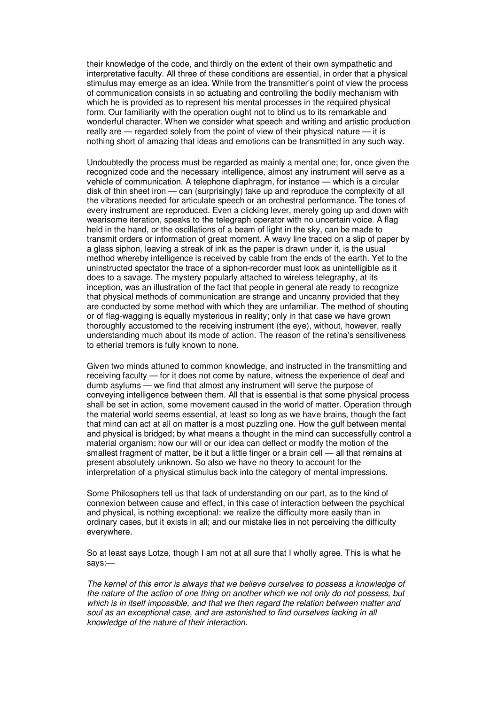their knowledge of the code, and thirdly on the extent of their own sympathetic and interpretative faculty. All three of these conditions are essential, in order that a physical stimulus may emerge as an idea. While from the transmitter's point of view the process of communication consists in so actuating and controlling the bodily mechanism with which he is provided as to represent his mental processes in the required physical form. Our familiarity with the operation ought not to blind us to its remarkable and wonderful character. When we consider what speech and writing and artistic production really are — regarded solely from the point of view of their physical nature — it is nothing short of amazing that ideas and emotions can be transmitted in any such way.

Undoubtedly the process must be regarded as mainly a mental one; for, once given the recognized code and the necessary intelligence, almost any instrument will serve as a vehicle of communication. A telephone diaphragm, for instance — which is a circular disk of thin sheet iron — can (surprisingly) take up and reproduce the complexity of all the vibrations needed for articulate speech or an orchestral performance. The tones of every instrument are reproduced. Even a clicking lever, merely going up and down with wearisome iteration, speaks to the telegraph operator with no uncertain voice. A flag held in the hand, or the oscillations of a beam of light in the sky, can be made to transmit orders or information of great moment. A wavy line traced on a slip of paper by a glass siphon, leaving a streak of ink as the paper is drawn under it, is the usual method whereby intelligence is received by cable from the ends of the earth. Yet to the uninstructed spectator the trace of a siphon-recorder must look as unintelligible as it does to a savage. The mystery popularly attached to wireless telegraphy, at its inception, was an illustration of the fact that people in general ate ready to recognize that physical methods of communication are strange and uncanny provided that they are conducted by some method with which they are unfamiliar. The method of shouting or of flag-wagging is equally mysterious in reality; only in that case we have grown thoroughly accustomed to the receiving instrument (the eye), without, however, really understanding much about its mode of action. The reason of the retina's sensitiveness to etherial tremors is fully known to none.

Given two minds attuned to common knowledge, and instructed in the transmitting and receiving faculty — for it does not come by nature, witness the experience of deaf and dumb asylums — we find that almost any instrument will serve the purpose of conveying intelligence between them. All that is essential is that some physical process shall be set in action, some movement caused in the world of matter. Operation through the material world seems essential, at least so long as we have brains, though the fact that mind can act at all on matter is a most puzzling one. How the gulf between mental and physical is bridged; by what means a thought in the mind can successfully control a material organism; how our will or our idea can deflect or modify the motion of the smallest fragment of matter, be it but a little finger or a brain cell — all that remains at present absolutely unknown. So also we have no theory to account for the interpretation of a physical stimulus back into the category of mental impressions.

Some Philosophers tell us that lack of understanding on our part, as to the kind of connexion between cause and effect, in this case of interaction between the psychical and physical, is nothing exceptional: we realize the difficulty more easily than in ordinary cases, but it exists in all; and our mistake lies in not perceiving the difficulty everywhere.

So at least says Lotze, though I am not at all sure that I wholly agree. This is what he says:—

*The kernel of this error is always that we believe ourselves to possess a knowledge of the nature of the action of one thing on another which we not only do not possess, but which is in itself impossible, and that we then regard the relation between matter and soul as an exceptional case, and are astonished to find ourselves lacking in all knowledge of the nature of their interaction.*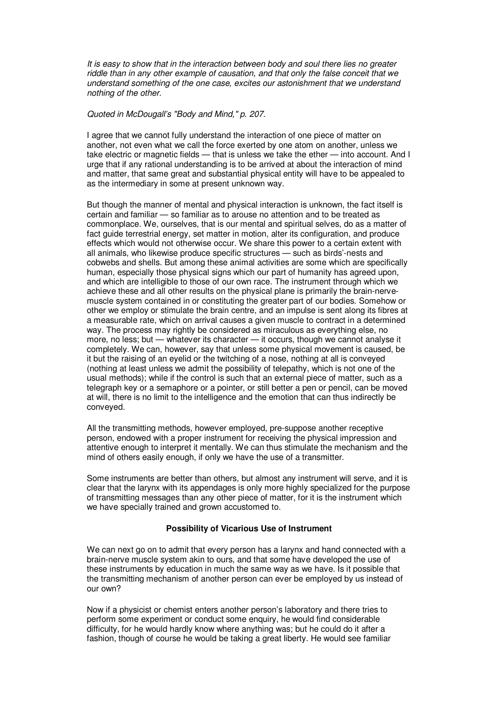*It is easy to show that in the interaction between body and soul there lies no greater riddle than in any other example of causation, and that only the false conceit that we understand something of the one case, excites our astonishment that we understand nothing of the other*.

### *Quoted in McDougall's "Body and Mind," p. 207.*

I agree that we cannot fully understand the interaction of one piece of matter on another, not even what we call the force exerted by one atom on another, unless we take electric or magnetic fields — that is unless we take the ether — into account. And I urge that if any rational understanding is to be arrived at about the interaction of mind and matter, that same great and substantial physical entity will have to be appealed to as the intermediary in some at present unknown way.

But though the manner of mental and physical interaction is unknown, the fact itself is certain and familiar — so familiar as to arouse no attention and to be treated as commonplace. We, ourselves, that is our mental and spiritual selves, do as a matter of fact guide terrestrial energy, set matter in motion, alter its configuration, and produce effects which would not otherwise occur. We share this power to a certain extent with all animals, who likewise produce specific structures — such as birds'-nests and cobwebs and shells. But among these animal activities are some which are specifically human, especially those physical signs which our part of humanity has agreed upon. and which are intelligible to those of our own race. The instrument through which we achieve these and all other results on the physical plane is primarily the brain-nervemuscle system contained in or constituting the greater part of our bodies. Somehow or other we employ or stimulate the brain centre, and an impulse is sent along its fibres at a measurable rate, which on arrival causes a given muscle to contract in a determined way. The process may rightly be considered as miraculous as everything else, no more, no less; but — whatever its character — it occurs, though we cannot analyse it completely. We can, however, say that unless some physical movement is caused, be it but the raising of an eyelid or the twitching of a nose, nothing at all is conveyed (nothing at least unless we admit the possibility of telepathy, which is not one of the usual methods); while if the control is such that an external piece of matter, such as a telegraph key or a semaphore or a pointer, or still better a pen or pencil, can be moved at will, there is no limit to the intelligence and the emotion that can thus indirectly be conveyed.

All the transmitting methods, however employed, pre-suppose another receptive person, endowed with a proper instrument for receiving the physical impression and attentive enough to interpret it mentally. We can thus stimulate the mechanism and the mind of others easily enough, if only we have the use of a transmitter.

Some instruments are better than others, but almost any instrument will serve, and it is clear that the larynx with its appendages is only more highly specialized for the purpose of transmitting messages than any other piece of matter, for it is the instrument which we have specially trained and grown accustomed to.

## **Possibility of Vicarious Use of Instrument**

We can next go on to admit that every person has a larynx and hand connected with a brain-nerve muscle system akin to ours, and that some have developed the use of these instruments by education in much the same way as we have. Is it possible that the transmitting mechanism of another person can ever be employed by us instead of our own?

Now if a physicist or chemist enters another person's laboratory and there tries to perform some experiment or conduct some enquiry, he would find considerable difficulty, for he would hardly know where anything was; but he could do it after a fashion, though of course he would be taking a great liberty. He would see familiar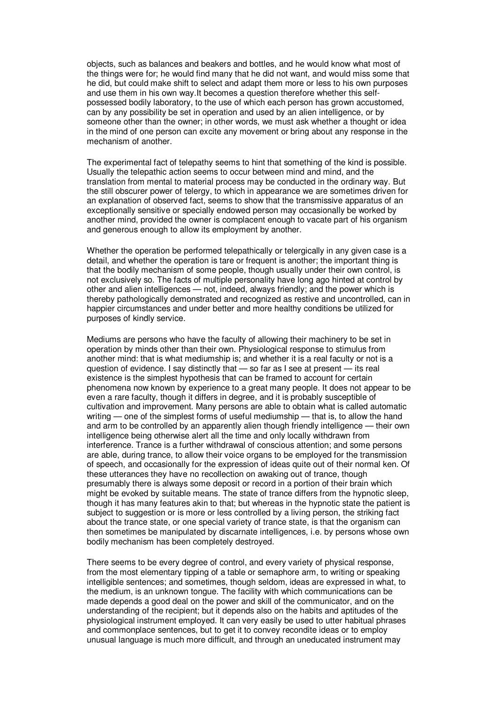objects, such as balances and beakers and bottles, and he would know what most of the things were for; he would find many that he did not want, and would miss some that he did, but could make shift to select and adapt them more or less to his own purposes and use them in his own way.It becomes a question therefore whether this selfpossessed bodily laboratory, to the use of which each person has grown accustomed, can by any possibility be set in operation and used by an alien intelligence, or by someone other than the owner; in other words, we must ask whether a thought or idea in the mind of one person can excite any movement or bring about any response in the mechanism of another.

The experimental fact of telepathy seems to hint that something of the kind is possible. Usually the telepathic action seems to occur between mind and mind, and the translation from mental to material process may be conducted in the ordinary way. But the still obscurer power of telergy, to which in appearance we are sometimes driven for an explanation of observed fact, seems to show that the transmissive apparatus of an exceptionally sensitive or specially endowed person may occasionally be worked by another mind, provided the owner is complacent enough to vacate part of his organism and generous enough to allow its employment by another.

Whether the operation be performed telepathically or telergically in any given case is a detail, and whether the operation is tare or frequent is another; the important thing is that the bodily mechanism of some people, though usually under their own control, is not exclusively so. The facts of multiple personality have long ago hinted at control by other and alien intelligences — not, indeed, always friendly; and the power which is thereby pathologically demonstrated and recognized as restive and uncontrolled, can in happier circumstances and under better and more healthy conditions be utilized for purposes of kindly service.

Mediums are persons who have the faculty of allowing their machinery to be set in operation by minds other than their own. Physiological response to stimulus from another mind: that is what mediumship is; and whether it is a real faculty or not is a question of evidence. I say distinctly that — so far as I see at present — its real existence is the simplest hypothesis that can be framed to account for certain phenomena now known by experience to a great many people. It does not appear to be even a rare faculty, though it differs in degree, and it is probably susceptible of cultivation and improvement. Many persons are able to obtain what is called automatic writing — one of the simplest forms of useful mediumship — that is, to allow the hand and arm to be controlled by an apparently alien though friendly intelligence — their own intelligence being otherwise alert all the time and only locally withdrawn from interference. Trance is a further withdrawal of conscious attention; and some persons are able, during trance, to allow their voice organs to be employed for the transmission of speech, and occasionally for the expression of ideas quite out of their normal ken. Of these utterances they have no recollection on awaking out of trance, though presumably there is always some deposit or record in a portion of their brain which might be evoked by suitable means. The state of trance differs from the hypnotic sleep, though it has many features akin to that; but whereas in the hypnotic state the patient is subject to suggestion or is more or less controlled by a living person, the striking fact about the trance state, or one special variety of trance state, is that the organism can then sometimes be manipulated by discarnate intelligences, i.e. by persons whose own bodily mechanism has been completely destroyed.

There seems to be every degree of control, and every variety of physical response, from the most elementary tipping of a table or semaphore arm, to writing or speaking intelligible sentences; and sometimes, though seldom, ideas are expressed in what, to the medium, is an unknown tongue. The facility with which communications can be made depends a good deal on the power and skill of the communicator, and on the understanding of the recipient; but it depends also on the habits and aptitudes of the physiological instrument employed. It can very easily be used to utter habitual phrases and commonplace sentences, but to get it to convey recondite ideas or to employ unusual language is much more difficult, and through an uneducated instrument may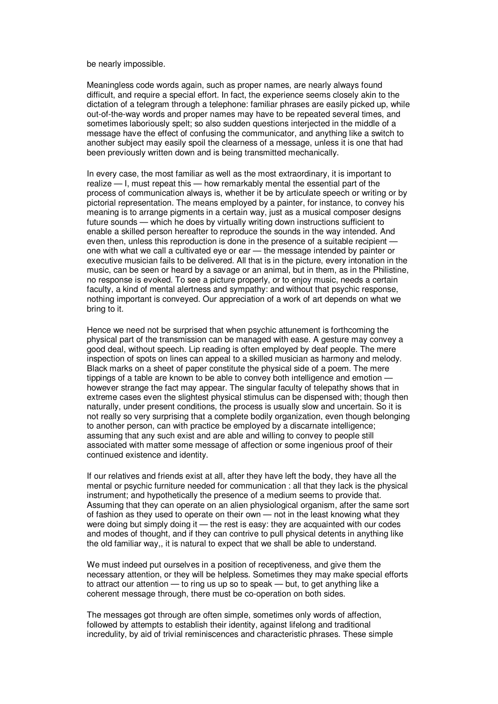be nearly impossible.

Meaningless code words again, such as proper names, are nearly always found difficult, and require a special effort. In fact, the experience seems closely akin to the dictation of a telegram through a telephone: familiar phrases are easily picked up, while out-of-the-way words and proper names may have to be repeated several times, and sometimes laboriously spelt; so also sudden questions interjected in the middle of a message have the effect of confusing the communicator, and anything like a switch to another subject may easily spoil the clearness of a message, unless it is one that had been previously written down and is being transmitted mechanically.

In every case, the most familiar as well as the most extraordinary, it is important to realize — I, must repeat this — how remarkably mental the essential part of the process of communication always is, whether it be by articulate speech or writing or by pictorial representation. The means employed by a painter, for instance, to convey his meaning is to arrange pigments in a certain way, just as a musical composer designs future sounds — which he does by virtually writing down instructions sufficient to enable a skilled person hereafter to reproduce the sounds in the way intended. And even then, unless this reproduction is done in the presence of a suitable recipient one with what we call a cultivated eye or ear — the message intended by painter or executive musician fails to be delivered. All that is in the picture, every intonation in the music, can be seen or heard by a savage or an animal, but in them, as in the Philistine, no response is evoked. To see a picture properly, or to enjoy music, needs a certain faculty, a kind of mental alertness and sympathy: and without that psychic response, nothing important is conveyed. Our appreciation of a work of art depends on what we bring to it.

Hence we need not be surprised that when psychic attunement is forthcoming the physical part of the transmission can be managed with ease. A gesture may convey a good deal, without speech. Lip reading is often employed by deaf people. The mere inspection of spots on lines can appeal to a skilled musician as harmony and melody. Black marks on a sheet of paper constitute the physical side of a poem. The mere tippings of a table are known to be able to convey both intelligence and emotion however strange the fact may appear. The singular faculty of telepathy shows that in extreme cases even the slightest physical stimulus can be dispensed with; though then naturally, under present conditions, the process is usually slow and uncertain. So it is not really so very surprising that a complete bodily organization, even though belonging to another person, can with practice be employed by a discarnate intelligence; assuming that any such exist and are able and willing to convey to people still associated with matter some message of affection or some ingenious proof of their continued existence and identity.

If our relatives and friends exist at all, after they have left the body, they have all the mental or psychic furniture needed for communication : all that they lack is the physical instrument; and hypothetically the presence of a medium seems to provide that. Assuming that they can operate on an alien physiological organism, after the same sort of fashion as they used to operate on their own — not in the least knowing what they were doing but simply doing it — the rest is easy: they are acquainted with our codes and modes of thought, and if they can contrive to pull physical detents in anything like the old familiar way,, it is natural to expect that we shall be able to understand.

We must indeed put ourselves in a position of receptiveness, and give them the necessary attention, or they will be helpless. Sometimes they may make special efforts to attract our attention — to ring us up so to speak — but, to get anything like a coherent message through, there must be co-operation on both sides.

The messages got through are often simple, sometimes only words of affection, followed by attempts to establish their identity, against lifelong and traditional incredulity, by aid of trivial reminiscences and characteristic phrases. These simple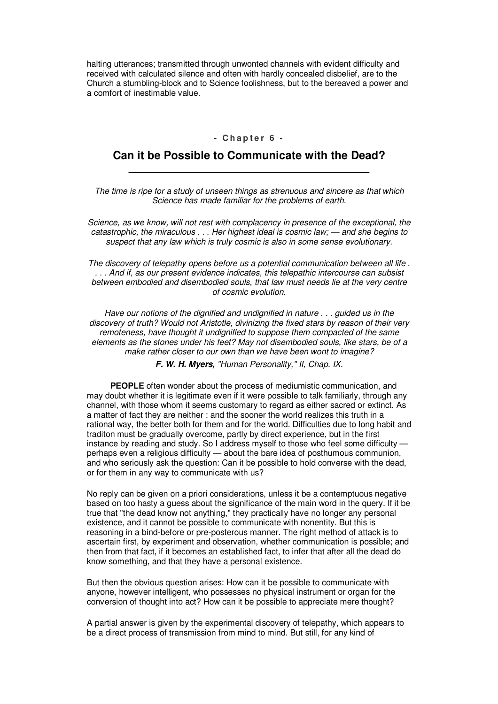halting utterances; transmitted through unwonted channels with evident difficulty and received with calculated silence and often with hardly concealed disbelief, are to the Church a stumbling-block and to Science foolishness, but to the bereaved a power and a comfort of inestimable value.

## **- C h a p t e r 6 -**

# **Can it be Possible to Communicate with the Dead? \_\_\_\_\_\_\_\_\_\_\_\_\_\_\_\_\_\_\_\_\_\_\_\_\_\_\_\_\_\_\_\_\_\_\_\_\_\_\_\_\_\_\_**

*The time is ripe for a study of unseen things as strenuous and sincere as that which Science has made familiar for the problems of earth.*

*Science, as we know, will not rest with complacency in presence of the exceptional, the catastrophic, the miraculous . . . Her highest ideal is cosmic law; — and she begins to suspect that any law which is truly cosmic is also in some sense evolutionary.*

*The discovery of telepathy opens before us a potential communication between all life . . . . And if, as our present evidence indicates, this telepathic intercourse can subsist between embodied and disembodied souls, that law must needs lie at the very centre of cosmic evolution.*

*Have our notions of the dignified and undignified in nature . . . guided us in the discovery of truth? Would not Aristotle, divinizing the fixed stars by reason of their very remoteness, have thought it undignifled to suppose them compacted of the same elements as the stones under his feet? May not disembodied souls, like stars, be of a make rather closer to our own than we have been wont to imagine?*

*F. W. H. Myers, "Human Personality," II, Chap. IX.*

**PEOPLE** often wonder about the process of mediumistic communication, and may doubt whether it is legitimate even if it were possible to talk familiarly, through any channel, with those whom it seems customary to regard as either sacred or extinct. As a matter of fact they are neither : and the sooner the world realizes this truth in a rational way, the better both for them and for the world. Difficulties due to long habit and traditon must be gradually overcome, partly by direct experience, but in the first instance by reading and study. So I address myself to those who feel some difficulty perhaps even a religious difficulty — about the bare idea of posthumous communion, and who seriously ask the question: Can it be possible to hold converse with the dead, or for them in any way to communicate with us?

No reply can be given on a priori considerations, unless it be a contemptuous negative based on too hasty a guess about the significance of the main word in the query. If it be true that "the dead know not anything," they practically have no longer any personal existence, and it cannot be possible to communicate with nonentity. But this is reasoning in a bind-before or pre-posterous manner. The right method of attack is to ascertain first, by experiment and observation, whether communication is possible; and then from that fact, if it becomes an established fact, to infer that after all the dead do know something, and that they have a personal existence.

But then the obvious question arises: How can it be possible to communicate with anyone, however intelligent, who possesses no physical instrument or organ for the conversion of thought into act? How can it be possible to appreciate mere thought?

A partial answer is given by the experimental discovery of telepathy, which appears to be a direct process of transmission from mind to mind. But still, for any kind of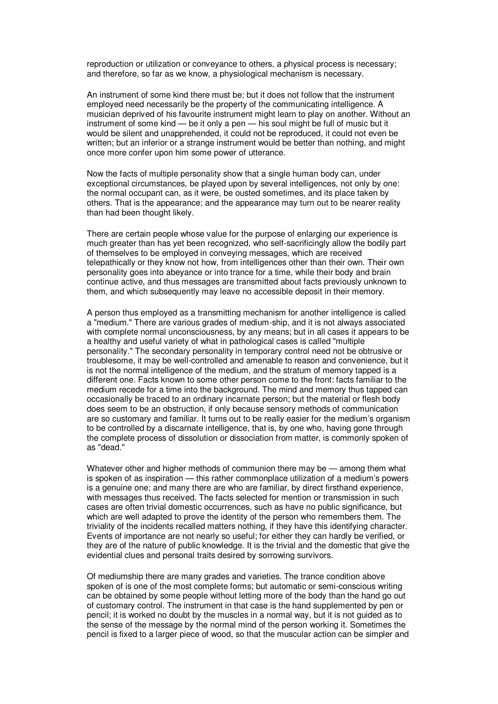reproduction or utilization or conveyance to others, a physical process is necessary; and therefore, so far as we know, a physiological mechanism is necessary.

An instrument of some kind there must be; but it does not follow that the instrument employed need necessarily be the property of the communicating intelligence. A musician deprived of his favourite instrument might learn to play on another. Without an instrument of some kind — be it only a pen — his soul might be full of music but it would be silent and unapprehended, it could not be reproduced, it could not even be written; but an inferior or a strange instrument would be better than nothing, and might once more confer upon him some power of utterance.

Now the facts of multiple personality show that a single human body can, under exceptional circumstances, be played upon by several intelligences, not only by one: the normal occupant can, as it were, be ousted sometimes, and its place taken by others. That is the appearance; and the appearance may turn out to be nearer reality than had been thought likely.

There are certain people whose value for the purpose of enlarging our experience is much greater than has yet been recognized, who self-sacrificingly allow the bodily part of themselves to be employed in conveying messages, which are received telepathically or they know not how, from intelligences other than their own. Their own personality goes into abeyance or into trance for a time, while their body and brain continue active, and thus messages are transmitted about facts previously unknown to them, and which subsequently may leave no accessible deposit in their memory.

A person thus employed as a transmitting mechanism for another intelligence is called a "medium." There are various grades of medium-ship, and it is not always associated with complete normal unconsciousness, by any means; but in all cases it appears to be a healthy and useful variety of what in pathological cases is called "multiple personality." The secondary personality in temporary control need not be obtrusive or troublesome, it may be well-controlled and amenable to reason and convenience, but it is not the normal intelligence of the medium, and the stratum of memory tapped is a different one. Facts known to some other person come to the front: facts familiar to the medium recede for a time into the background. The mind and memory thus tapped can occasionally be traced to an ordinary incarnate person; but the material or flesh body does seem to be an obstruction, if only because sensory methods of communication are so customary and familiar. It turns out to be really easier for the medium's organism to be controlled by a discarnate intelligence, that is, by one who, having gone through the complete process of dissolution or dissociation from matter, is commonly spoken of as "dead."

Whatever other and higher methods of communion there may be — among them what is spoken of as inspiration — this rather commonplace utilization of a medium's powers is a genuine one; and many there are who are familiar, by direct firsthand experience, with messages thus received. The facts selected for mention or transmission in such cases are often trivial domestic occurrences, such as have no public significance, but which are well adapted to prove the identity of the person who remembers them. The triviality of the incidents recalled matters nothing, if they have this identifying character. Events of importance are not nearly so useful; for either they can hardly be verified, or they are of the nature of public knowledge. It is the trivial and the domestic that give the evidential clues and personal traits desired by sorrowing survivors.

Of mediumship there are many grades and varieties. The trance condition above spoken of is one of the most complete forms; but automatic or semi-conscious writing can be obtained by some people without letting more of the body than the hand go out of customary control. The instrument in that case is the hand supplemented by pen or pencil; it is worked no doubt by the muscles in a normal way, but it is not guided as to the sense of the message by the normal mind of the person working it. Sometimes the pencil is fixed to a larger piece of wood, so that the muscular action can be simpler and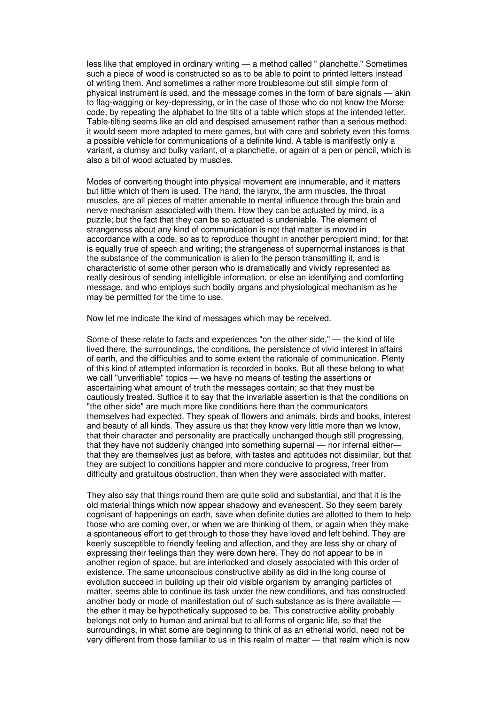less like that employed in ordinary writing — a method called " planchette." Sometimes such a piece of wood is constructed so as to be able to point to printed letters instead of writing them. And sometimes a rather more troublesome but still simple form of physical instrument is used, and the message comes in the form of bare signals — akin to flag-wagging or key-depressing, or in the case of those who do not know the Morse code, by repeating the alphabet to the tilts of a table which stops at the intended letter. Table-tilting seems like an old and despised amusement rather than a serious method: it would seem more adapted to mere games, but with care and sobriety even this forms a possible vehicle for communications of a definite kind. A table is manifestly only a variant, a clumsy and bulky variant, of a planchette, or again of a pen or pencil, which is also a bit of wood actuated by muscles.

Modes of converting thought into physical movement are innumerable, and it matters but little which of them is used. The hand, the larynx, the arm muscles, the throat muscles, are all pieces of matter amenable to mental influence through the brain and nerve mechanism associated with them. How they can be actuated by mind, is a puzzle; but the fact that they can be so actuated is undeniable. The element of strangeness about any kind of communication is not that matter is moved in accordance with a code, so as to reproduce thought in another percipient mind; for that is equally true of speech and writing; the strangeness of supernormal instances is that the substance of the communication is alien to the person transmitting it, and is characteristic of some other person who is dramatically and vividly represented as really desirous of sending intelligible information, or else an identifying and comforting message, and who employs such bodily organs and physiological mechanism as he may be permitted for the time to use.

Now let me indicate the kind of messages which may be received.

Some of these relate to facts and experiences "on the other side," — the kind of life lived there, the surroundings, the conditions, the persistence of vivid interest in affairs of earth, and the difficulties and to some extent the rationale of communication. Plenty of this kind of attempted information is recorded in books. But all these belong to what we call "unverifiable" topics — we have no means of testing the assertions or ascertaining what amount of truth the messages contain; so that they must be cautiously treated. Suffice it to say that the invariable assertion is that the conditions on "the other side" are much more like conditions here than the communicators themselves had expected. They speak of flowers and animals, birds and books, interest and beauty of all kinds. They assure us that they know very little more than we know, that their character and personality are practically unchanged though still progressing, that they have not suddenly changed into something supernal — nor infernal either that they are themselves just as before, with tastes and aptitudes not dissimilar, but that they are subject to conditions happier and more conducive to progress, freer from difficulty and gratuitous obstruction, than when they were associated with matter.

They also say that things round them are quite solid and substantial, and that it is the old material things which now appear shadowy and evanescent. So they seem barely cognisant of happenings on earth, save when definite duties are allotted to them to help those who are coming over, or when we are thinking of them, or again when they make a spontaneous effort to get through to those they have loved and left behind. They are keenly susceptible to friendly feeling and affection, and they are less shy or chary of expressing their feelings than they were down here. They do not appear to be in another region of space, but are interlocked and closely associated with this order of existence. The same unconscious constructive ability as did in the long course of evolution succeed in building up their old visible organism by arranging particles of matter, seems able to continue its task under the new conditions, and has constructed another body or mode of manifestation out of such substance as is there available  $\cdot$ the ether it may be hypothetically supposed to be. This constructive ability probably belongs not only to human and animal but to all forms of organic life, so that the surroundings, in what some are beginning to think of as an etherial world, need not be very different from those familiar to us in this realm of matter — that realm which is now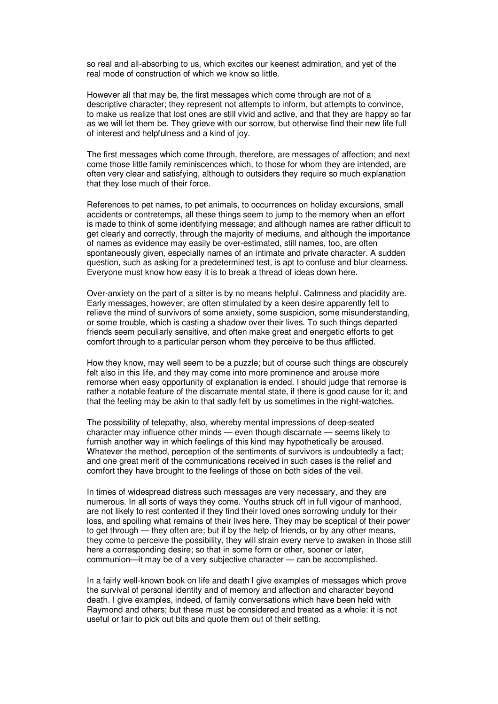so real and all-absorbing to us, which excites our keenest admiration, and yet of the real mode of construction of which we know so little.

However all that may be, the first messages which come through are not of a descriptive character; they represent not attempts to inform, but attempts to convince, to make us realize that lost ones are still vivid and active, and that they are happy so far as we will let them be. They grieve with our sorrow, but otherwise find their new life full of interest and helpfulness and a kind of joy.

The first messages which come through, therefore, are messages of affection; and next come those little family reminiscences which, to those for whom they are intended, are often very clear and satisfying, although to outsiders they require so much explanation that they lose much of their force.

References to pet names, to pet animals, to occurrences on holiday excursions, small accidents or contretemps, all these things seem to jump to the memory when an effort is made to think of some identifying message; and although names are rather difficult to get clearly and correctly, through the majority of mediums, and although the importance of names as evidence may easily be over-estimated, still names, too, are often spontaneously given, especially names of an intimate and private character. A sudden question, such as asking for a predetermined test, is apt to confuse and blur clearness. Everyone must know how easy it is to break a thread of ideas down here.

Over-anxiety on the part of a sitter is by no means helpful. Calmness and placidity are. Early messages, however, are often stimulated by a keen desire apparently felt to relieve the mind of survivors of some anxiety, some suspicion, some misunderstanding, or some trouble, which is casting a shadow over their lives. To such things departed friends seem peculiarly sensitive, and often make great and energetic efforts to get comfort through to a particular person whom they perceive to be thus afflicted.

How they know, may well seem to be a puzzle; but of course such things are obscurely felt also in this life, and they may come into more prominence and arouse more remorse when easy opportunity of explanation is ended. I should judge that remorse is rather a notable feature of the discarnate mental state, if there is good cause for it; and that the feeling may be akin to that sadly felt by us sometimes in the night-watches.

The possibility of telepathy, also, whereby mental impressions of deep-seated character may influence other minds — even though discarnate — seems likely to furnish another way in which feelings of this kind may hypothetically be aroused. Whatever the method, perception of the sentiments of survivors is undoubtedly a fact; and one great merit of the communications received in such cases is the relief and comfort they have brought to the feelings of those on both sides of the veil.

In times of widespread distress such messages are very necessary, and they are numerous. In all sorts of ways they come. Youths struck off in full vigour of manhood, are not likely to rest contented if they find their loved ones sorrowing unduly for their loss, and spoiling what remains of their lives here. They may be sceptical of their power to get through — they often are; but if by the help of friends, or by any other means, they come to perceive the possibility, they will strain every nerve to awaken in those still here a corresponding desire; so that in some form or other, sooner or later, communion—it may be of a very subjective character — can be accomplished.

In a fairly well-known book on life and death I give examples of messages which prove the survival of personal identity and of memory and affection and character beyond death. I give examples, indeed, of family conversations which have been held with Raymond and others; but these must be considered and treated as a whole: it is not useful or fair to pick out bits and quote them out of their setting.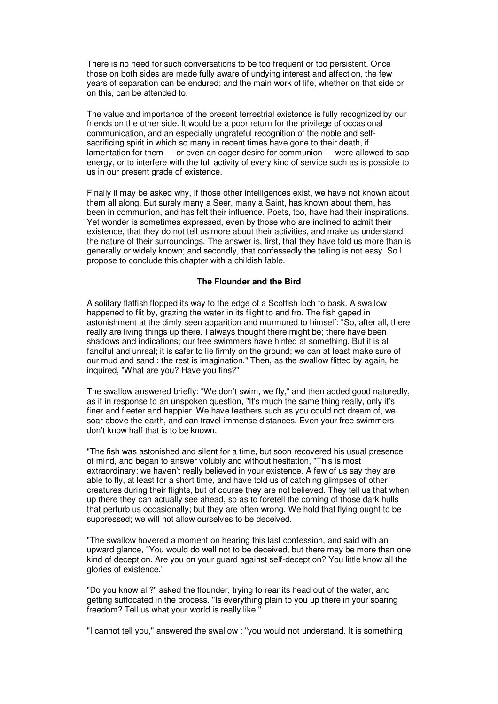There is no need for such conversations to be too frequent or too persistent. Once those on both sides are made fully aware of undying interest and affection, the few years of separation can be endured; and the main work of life, whether on that side or on this, can be attended to.

The value and importance of the present terrestrial existence is fully recognized by our friends on the other side. It would be a poor return for the privilege of occasional communication, and an especially ungrateful recognition of the noble and selfsacrificing spirit in which so many in recent times have gone to their death, if lamentation for them — or even an eager desire for communion — were allowed to sap energy, or to interfere with the full activity of every kind of service such as is possible to us in our present grade of existence.

Finally it may be asked why, if those other intelligences exist, we have not known about them all along. But surely many a Seer, many a Saint, has known about them, has been in communion, and has felt their influence. Poets, too, have had their inspirations. Yet wonder is sometimes expressed, even by those who are inclined to admit their existence, that they do not tell us more about their activities, and make us understand the nature of their surroundings. The answer is, first, that they have told us more than is generally or widely known; and secondly, that confessedly the telling is not easy. So I propose to conclude this chapter with a childish fable.

### **The Flounder and the Bird**

A solitary flatfish flopped its way to the edge of a Scottish loch to bask. A swallow happened to flit by, grazing the water in its flight to and fro. The fish gaped in astonishment at the dimly seen apparition and murmured to himself: "So, after all, there really are living things up there. I always thought there might be; there have been shadows and indications; our free swimmers have hinted at something. But it is all fanciful and unreal; it is safer to lie firmly on the ground; we can at least make sure of our mud and sand : the rest is imagination." Then, as the swallow flitted by again, he inquired, "What are you? Have you fins?"

The swallow answered briefly: "We don't swim, we fly," and then added good naturedly, as if in response to an unspoken question, "It's much the same thing really, only it's finer and fleeter and happier. We have feathers such as you could not dream of, we soar above the earth, and can travel immense distances. Even your free swimmers don't know half that is to be known.

"The fish was astonished and silent for a time, but soon recovered his usual presence of mind, and began to answer volubly and without hesitation, "This is most extraordinary; we haven't really believed in your existence. A few of us say they are able to fly, at least for a short time, and have told us of catching glimpses of other creatures during their flights, but of course they are not believed. They tell us that when up there they can actually see ahead, so as to foretell the coming of those dark hulls that perturb us occasionally; but they are often wrong. We hold that flying ought to be suppressed; we will not allow ourselves to be deceived.

"The swallow hovered a moment on hearing this last confession, and said with an upward glance, "You would do well not to be deceived, but there may be more than one kind of deception. Are you on your guard against self-deception? You little know all the glories of existence."

"Do you know all?" asked the flounder, trying to rear its head out of the water, and getting suffocated in the process. "Is everything plain to you up there in your soaring freedom? Tell us what your world is really like."

"I cannot tell you," answered the swallow : "you would not understand. It is something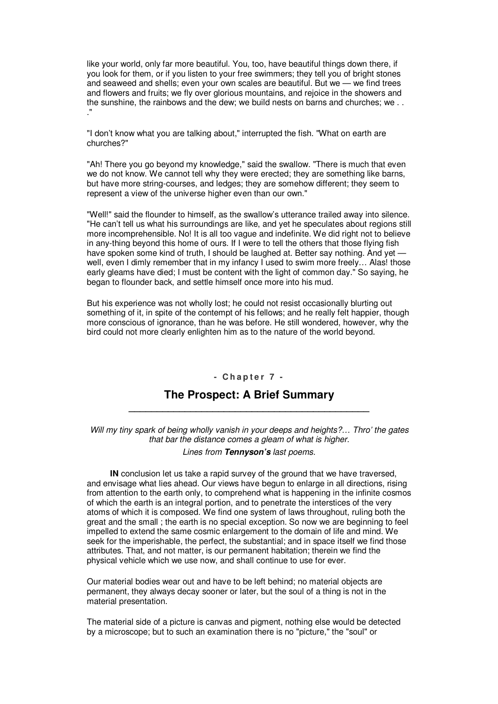like your world, only far more beautiful. You, too, have beautiful things down there, if you look for them, or if you listen to your free swimmers; they tell you of bright stones and seaweed and shells; even your own scales are beautiful. But we — we find trees and flowers and fruits; we fly over glorious mountains, and rejoice in the showers and the sunshine, the rainbows and the dew; we build nests on barns and churches; we . . ."

"I don't know what you are talking about," interrupted the fish. "What on earth are churches?"

"Ah! There you go beyond my knowledge," said the swallow. "There is much that even we do not know. We cannot tell why they were erected; they are something like barns, but have more string-courses, and ledges; they are somehow different; they seem to represent a view of the universe higher even than our own."

"Well!" said the flounder to himself, as the swallow's utterance trailed away into silence. "He can't tell us what his surroundings are like, and yet he speculates about regions still more incomprehensible. No! It is all too vague and indefinite. We did right not to believe in any-thing beyond this home of ours. If I were to tell the others that those flying fish have spoken some kind of truth, I should be laughed at. Better say nothing. And yet well, even I dimly remember that in my infancy I used to swim more freely… Alas! those early gleams have died; I must be content with the light of common day." So saying, he began to flounder back, and settle himself once more into his mud.

But his experience was not wholly lost; he could not resist occasionally blurting out something of it, in spite of the contempt of his fellows; and he really felt happier, though more conscious of ignorance, than he was before. He still wondered, however, why the bird could not more clearly enlighten him as to the nature of the world beyond.

### **- C h a p t e r 7 -**

## **The Prospect: A Brief Summary \_\_\_\_\_\_\_\_\_\_\_\_\_\_\_\_\_\_\_\_\_\_\_\_\_\_\_\_\_\_\_\_\_\_\_\_\_\_\_\_\_\_\_**

*Will my tiny spark of being wholly vanish in your deeps and heights?… Thro' the gates that bar the distance comes a gleam of what is higher.*

## *Lines from Tennyson's last poems.*

**IN** conclusion let us take a rapid survey of the ground that we have traversed. and envisage what lies ahead. Our views have begun to enlarge in all directions, rising from attention to the earth only, to comprehend what is happening in the infinite cosmos of which the earth is an integral portion, and to penetrate the interstices of the very atoms of which it is composed. We find one system of laws throughout, ruling both the great and the small ; the earth is no special exception. So now we are beginning to feel impelled to extend the same cosmic enlargement to the domain of life and mind. We seek for the imperishable, the perfect, the substantial; and in space itself we find those attributes. That, and not matter, is our permanent habitation; therein we find the physical vehicle which we use now, and shall continue to use for ever.

Our material bodies wear out and have to be left behind; no material objects are permanent, they always decay sooner or later, but the soul of a thing is not in the material presentation.

The material side of a picture is canvas and pigment, nothing else would be detected by a microscope; but to such an examination there is no "picture," the "soul" or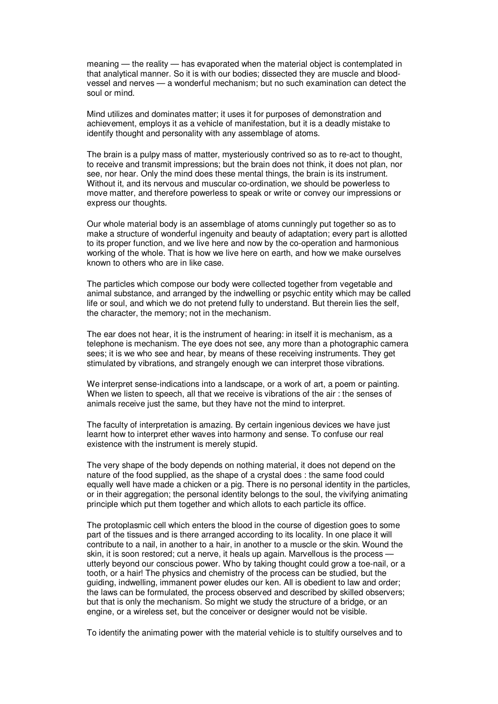meaning — the reality — has evaporated when the material object is contemplated in that analytical manner. So it is with our bodies; dissected they are muscle and bloodvessel and nerves — a wonderful mechanism; but no such examination can detect the soul or mind.

Mind utilizes and dominates matter; it uses it for purposes of demonstration and achievement, employs it as a vehicle of manifestation, but it is a deadly mistake to identify thought and personality with any assemblage of atoms.

The brain is a pulpy mass of matter, mysteriously contrived so as to re-act to thought, to receive and transmit impressions; but the brain does not think, it does not plan, nor see, nor hear. Only the mind does these mental things, the brain is its instrument. Without it, and its nervous and muscular co-ordination, we should be powerless to move matter, and therefore powerless to speak or write or convey our impressions or express our thoughts.

Our whole material body is an assemblage of atoms cunningly put together so as to make a structure of wonderful ingenuity and beauty of adaptation; every part is allotted to its proper function, and we live here and now by the co-operation and harmonious working of the whole. That is how we live here on earth, and how we make ourselves known to others who are in like case.

The particles which compose our body were collected together from vegetable and animal substance, and arranged by the indwelling or psychic entity which may be called life or soul, and which we do not pretend fully to understand. But therein lies the self, the character, the memory; not in the mechanism.

The ear does not hear, it is the instrument of hearing: in itself it is mechanism, as a telephone is mechanism. The eye does not see, any more than a photographic camera sees; it is we who see and hear, by means of these receiving instruments. They get stimulated by vibrations, and strangely enough we can interpret those vibrations.

We interpret sense-indications into a landscape, or a work of art, a poem or painting. When we listen to speech, all that we receive is vibrations of the air : the senses of animals receive just the same, but they have not the mind to interpret.

The faculty of interpretation is amazing. By certain ingenious devices we have just learnt how to interpret ether waves into harmony and sense. To confuse our real existence with the instrument is merely stupid.

The very shape of the body depends on nothing material, it does not depend on the nature of the food supplied, as the shape of a crystal does : the same food could equally well have made a chicken or a pig. There is no personal identity in the particles, or in their aggregation; the personal identity belongs to the soul, the vivifying animating principle which put them together and which allots to each particle its office.

The protoplasmic cell which enters the blood in the course of digestion goes to some part of the tissues and is there arranged according to its locality. In one place it will contribute to a nail, in another to a hair, in another to a muscle or the skin. Wound the skin, it is soon restored; cut a nerve, it heals up again. Marvellous is the process utterly beyond our conscious power. Who by taking thought could grow a toe-nail, or a tooth, or a hair! The physics and chemistry of the process can be studied, but the guiding, indwelling, immanent power eludes our ken. All is obedient to law and order; the laws can be formulated, the process observed and described by skilled observers; but that is only the mechanism. So might we study the structure of a bridge, or an engine, or a wireless set, but the conceiver or designer would not be visible.

To identify the animating power with the material vehicle is to stultify ourselves and to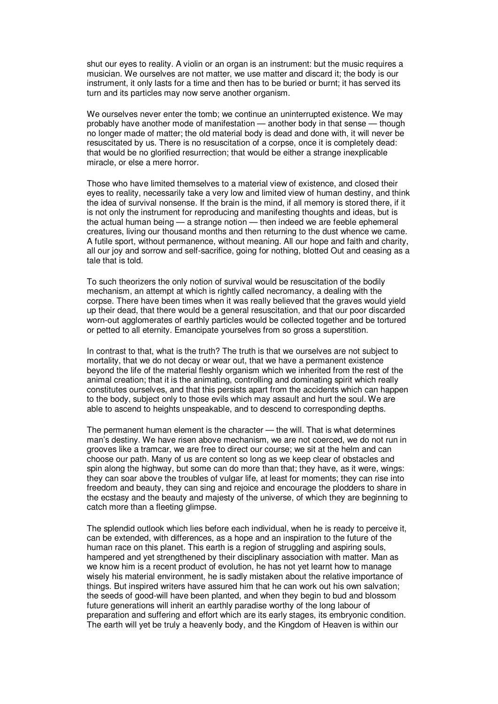shut our eyes to reality. A violin or an organ is an instrument: but the music requires a musician. We ourselves are not matter, we use matter and discard it; the body is our instrument, it only lasts for a time and then has to be buried or burnt; it has served its turn and its particles may now serve another organism.

We ourselves never enter the tomb; we continue an uninterrupted existence. We may probably have another mode of manifestation — another body in that sense — though no longer made of matter; the old material body is dead and done with, it will never be resuscitated by us. There is no resuscitation of a corpse, once it is completely dead: that would be no glorified resurrection; that would be either a strange inexplicable miracle, or else a mere horror.

Those who have limited themselves to a material view of existence, and closed their eyes to reality, necessarily take a very low and limited view of human destiny, and think the idea of survival nonsense. If the brain is the mind, if all memory is stored there, if it is not only the instrument for reproducing and manifesting thoughts and ideas, but is the actual human being — a strange notion — then indeed we are feeble ephemeral creatures, living our thousand months and then returning to the dust whence we came. A futile sport, without permanence, without meaning. All our hope and faith and charity, all our joy and sorrow and self-sacrifice, going for nothing, blotted Out and ceasing as a tale that is told.

To such theorizers the only notion of survival would be resuscitation of the bodily mechanism, an attempt at which is rightly called necromancy, a dealing with the corpse. There have been times when it was really believed that the graves would yield up their dead, that there would be a general resuscitation, and that our poor discarded worn-out agglomerates of earthly particles would be collected together and be tortured or petted to all eternity. Emancipate yourselves from so gross a superstition.

In contrast to that, what is the truth? The truth is that we ourselves are not subject to mortality, that we do not decay or wear out, that we have a permanent existence beyond the life of the material fleshly organism which we inherited from the rest of the animal creation; that it is the animating, controlling and dominating spirit which really constitutes ourselves, and that this persists apart from the accidents which can happen to the body, subject only to those evils which may assault and hurt the soul. We are able to ascend to heights unspeakable, and to descend to corresponding depths.

The permanent human element is the character — the will. That is what determines man's destiny. We have risen above mechanism, we are not coerced, we do not run in grooves like a tramcar, we are free to direct our course; we sit at the helm and can choose our path. Many of us are content so long as we keep clear of obstacles and spin along the highway, but some can do more than that; they have, as it were, wings: they can soar above the troubles of vulgar life, at least for moments; they can rise into freedom and beauty, they can sing and rejoice and encourage the plodders to share in the ecstasy and the beauty and majesty of the universe, of which they are beginning to catch more than a fleeting glimpse.

The splendid outlook which lies before each individual, when he is ready to perceive it, can be extended, with differences, as a hope and an inspiration to the future of the human race on this planet. This earth is a region of struggling and aspiring souls, hampered and yet strengthened by their disciplinary association with matter. Man as we know him is a recent product of evolution, he has not yet learnt how to manage wisely his material environment, he is sadly mistaken about the relative importance of things. But inspired writers have assured him that he can work out his own salvation; the seeds of good-will have been planted, and when they begin to bud and blossom future generations will inherit an earthly paradise worthy of the long labour of preparation and suffering and effort which are its early stages, its embryonic condition. The earth will yet be truly a heavenly body, and the Kingdom of Heaven is within our